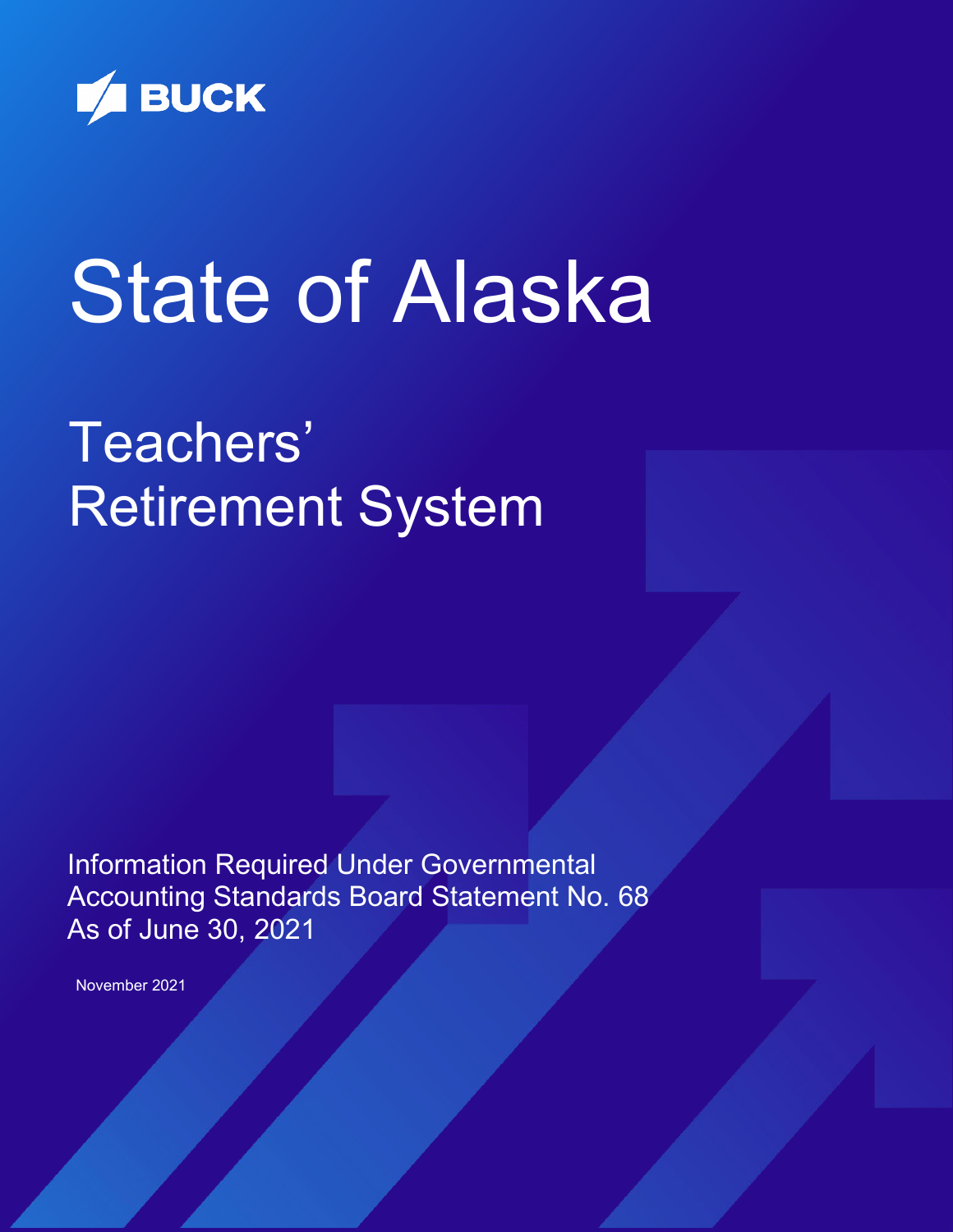

# State of Alaska

# Teachers' Retirement System

Information Required Under Governmental Accounting Standards Board Statement No. 68 As of June 30, 2021

November 2021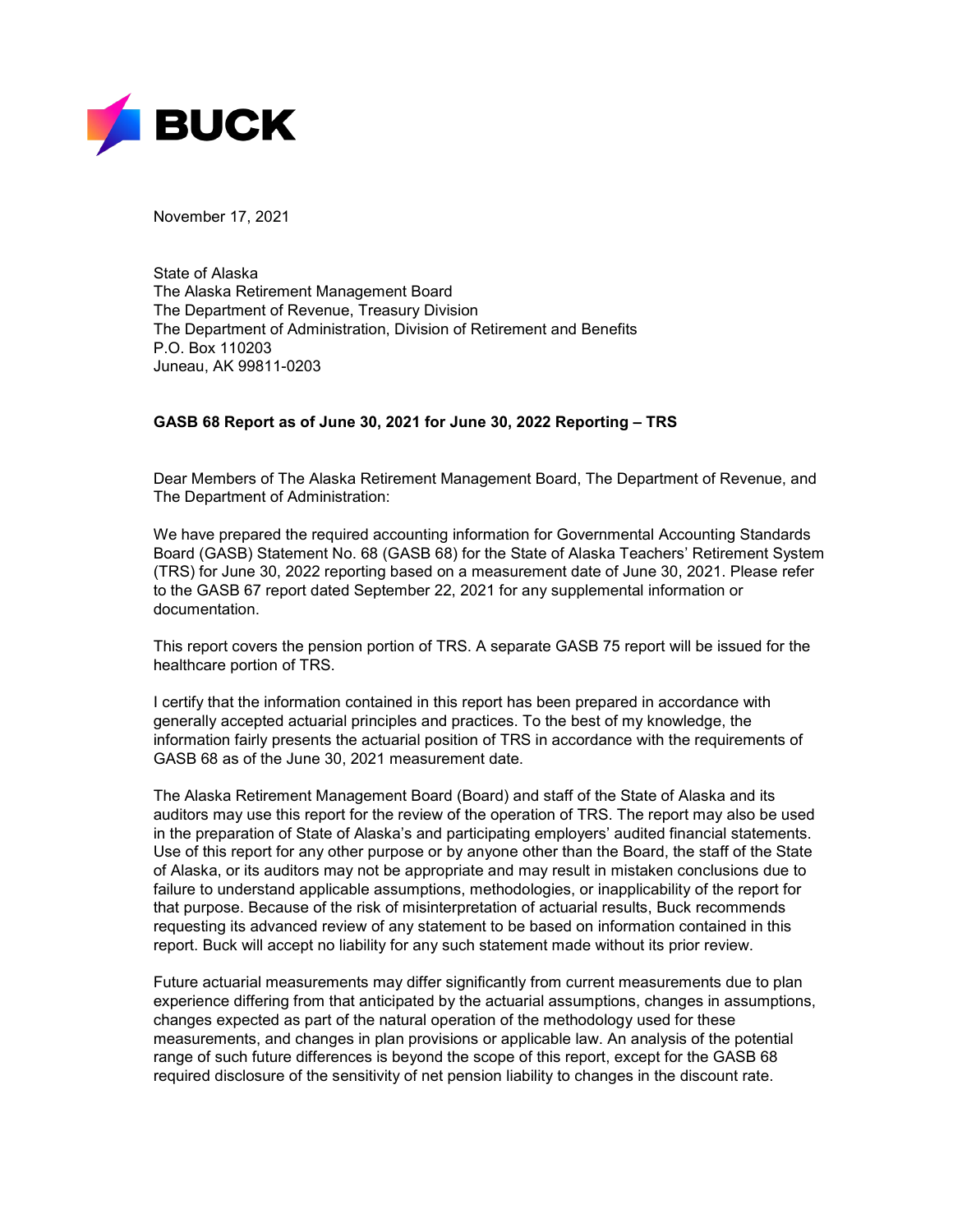

November 17, 2021

State of Alaska The Alaska Retirement Management Board The Department of Revenue, Treasury Division The Department of Administration, Division of Retirement and Benefits P.O. Box 110203 Juneau, AK 99811-0203

## **GASB 68 Report as of June 30, 2021 for June 30, 2022 Reporting – TRS**

Dear Members of The Alaska Retirement Management Board, The Department of Revenue, and The Department of Administration:

We have prepared the required accounting information for Governmental Accounting Standards Board (GASB) Statement No. 68 (GASB 68) for the State of Alaska Teachers' Retirement System (TRS) for June 30, 2022 reporting based on a measurement date of June 30, 2021. Please refer to the GASB 67 report dated September 22, 2021 for any supplemental information or documentation.

This report covers the pension portion of TRS. A separate GASB 75 report will be issued for the healthcare portion of TRS.

I certify that the information contained in this report has been prepared in accordance with generally accepted actuarial principles and practices. To the best of my knowledge, the information fairly presents the actuarial position of TRS in accordance with the requirements of GASB 68 as of the June 30, 2021 measurement date.

The Alaska Retirement Management Board (Board) and staff of the State of Alaska and its auditors may use this report for the review of the operation of TRS. The report may also be used in the preparation of State of Alaska's and participating employers' audited financial statements. Use of this report for any other purpose or by anyone other than the Board, the staff of the State of Alaska, or its auditors may not be appropriate and may result in mistaken conclusions due to failure to understand applicable assumptions, methodologies, or inapplicability of the report for that purpose. Because of the risk of misinterpretation of actuarial results, Buck recommends requesting its advanced review of any statement to be based on information contained in this report. Buck will accept no liability for any such statement made without its prior review.

Future actuarial measurements may differ significantly from current measurements due to plan experience differing from that anticipated by the actuarial assumptions, changes in assumptions, changes expected as part of the natural operation of the methodology used for these measurements, and changes in plan provisions or applicable law. An analysis of the potential range of such future differences is beyond the scope of this report, except for the GASB 68 required disclosure of the sensitivity of net pension liability to changes in the discount rate.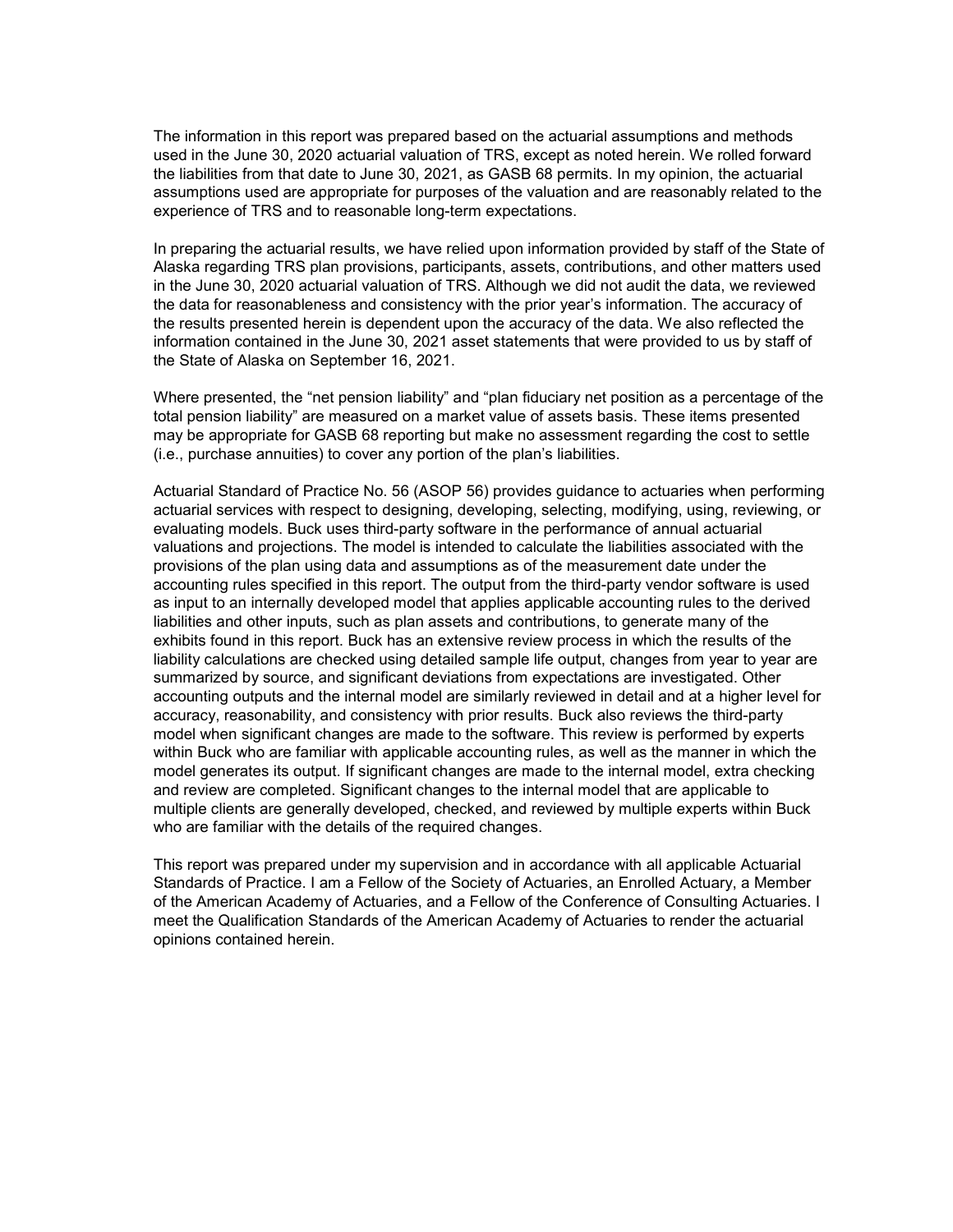The information in this report was prepared based on the actuarial assumptions and methods used in the June 30, 2020 actuarial valuation of TRS, except as noted herein. We rolled forward the liabilities from that date to June 30, 2021, as GASB 68 permits. In my opinion, the actuarial assumptions used are appropriate for purposes of the valuation and are reasonably related to the experience of TRS and to reasonable long-term expectations.

In preparing the actuarial results, we have relied upon information provided by staff of the State of Alaska regarding TRS plan provisions, participants, assets, contributions, and other matters used in the June 30, 2020 actuarial valuation of TRS. Although we did not audit the data, we reviewed the data for reasonableness and consistency with the prior year's information. The accuracy of the results presented herein is dependent upon the accuracy of the data. We also reflected the information contained in the June 30, 2021 asset statements that were provided to us by staff of the State of Alaska on September 16, 2021.

Where presented, the "net pension liability" and "plan fiduciary net position as a percentage of the total pension liability" are measured on a market value of assets basis. These items presented may be appropriate for GASB 68 reporting but make no assessment regarding the cost to settle (i.e., purchase annuities) to cover any portion of the plan's liabilities.

Actuarial Standard of Practice No. 56 (ASOP 56) provides guidance to actuaries when performing actuarial services with respect to designing, developing, selecting, modifying, using, reviewing, or evaluating models. Buck uses third-party software in the performance of annual actuarial valuations and projections. The model is intended to calculate the liabilities associated with the provisions of the plan using data and assumptions as of the measurement date under the accounting rules specified in this report. The output from the third-party vendor software is used as input to an internally developed model that applies applicable accounting rules to the derived liabilities and other inputs, such as plan assets and contributions, to generate many of the exhibits found in this report. Buck has an extensive review process in which the results of the liability calculations are checked using detailed sample life output, changes from year to year are summarized by source, and significant deviations from expectations are investigated. Other accounting outputs and the internal model are similarly reviewed in detail and at a higher level for accuracy, reasonability, and consistency with prior results. Buck also reviews the third-party model when significant changes are made to the software. This review is performed by experts within Buck who are familiar with applicable accounting rules, as well as the manner in which the model generates its output. If significant changes are made to the internal model, extra checking and review are completed. Significant changes to the internal model that are applicable to multiple clients are generally developed, checked, and reviewed by multiple experts within Buck who are familiar with the details of the required changes.

This report was prepared under my supervision and in accordance with all applicable Actuarial Standards of Practice. I am a Fellow of the Society of Actuaries, an Enrolled Actuary, a Member of the American Academy of Actuaries, and a Fellow of the Conference of Consulting Actuaries. I meet the Qualification Standards of the American Academy of Actuaries to render the actuarial opinions contained herein.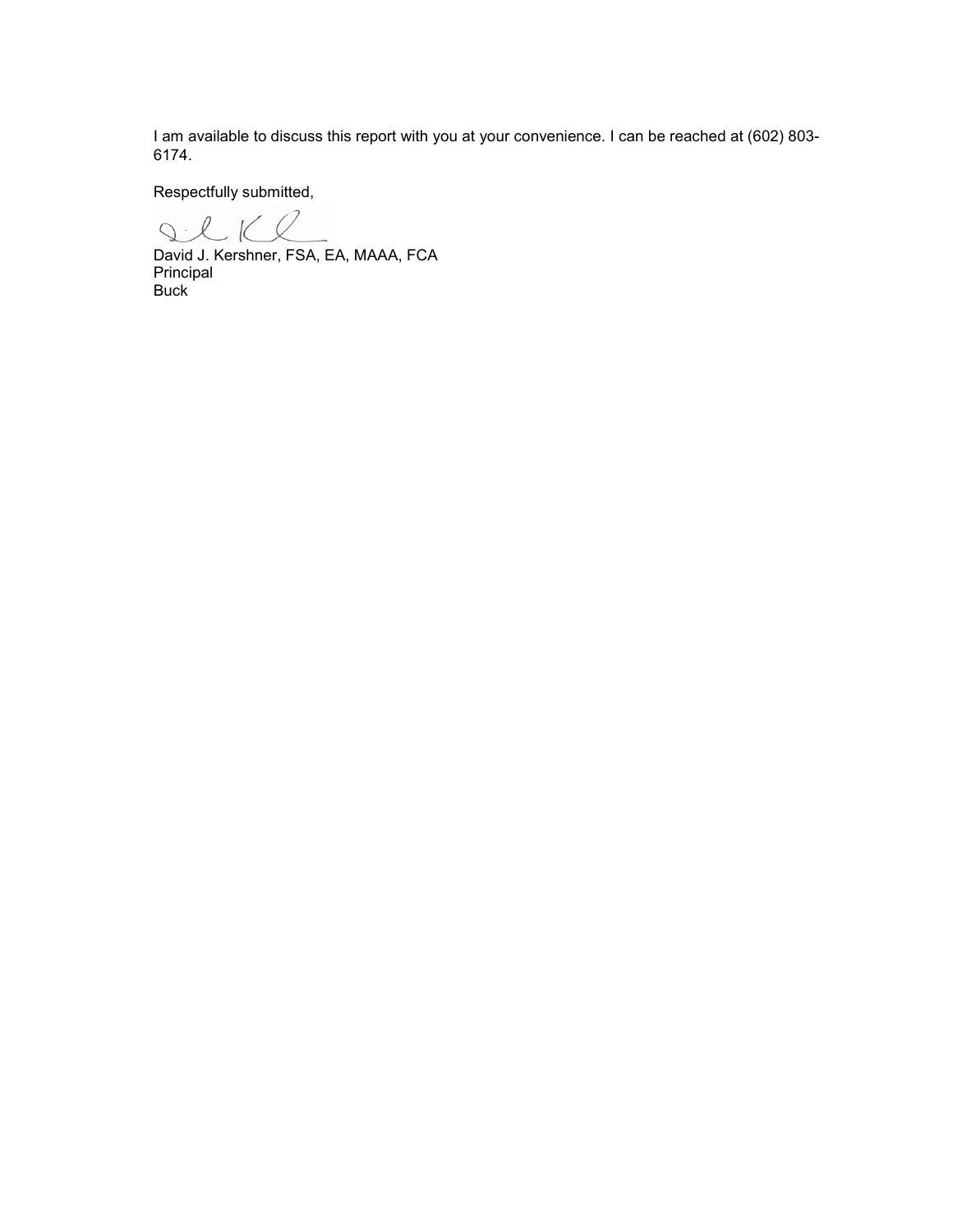I am available to discuss this report with you at your convenience. I can be reached at (602) 803- 6174.

Respectfully submitted,

IlKe

David J. Kershner, FSA, EA, MAAA, FCA Principal Buck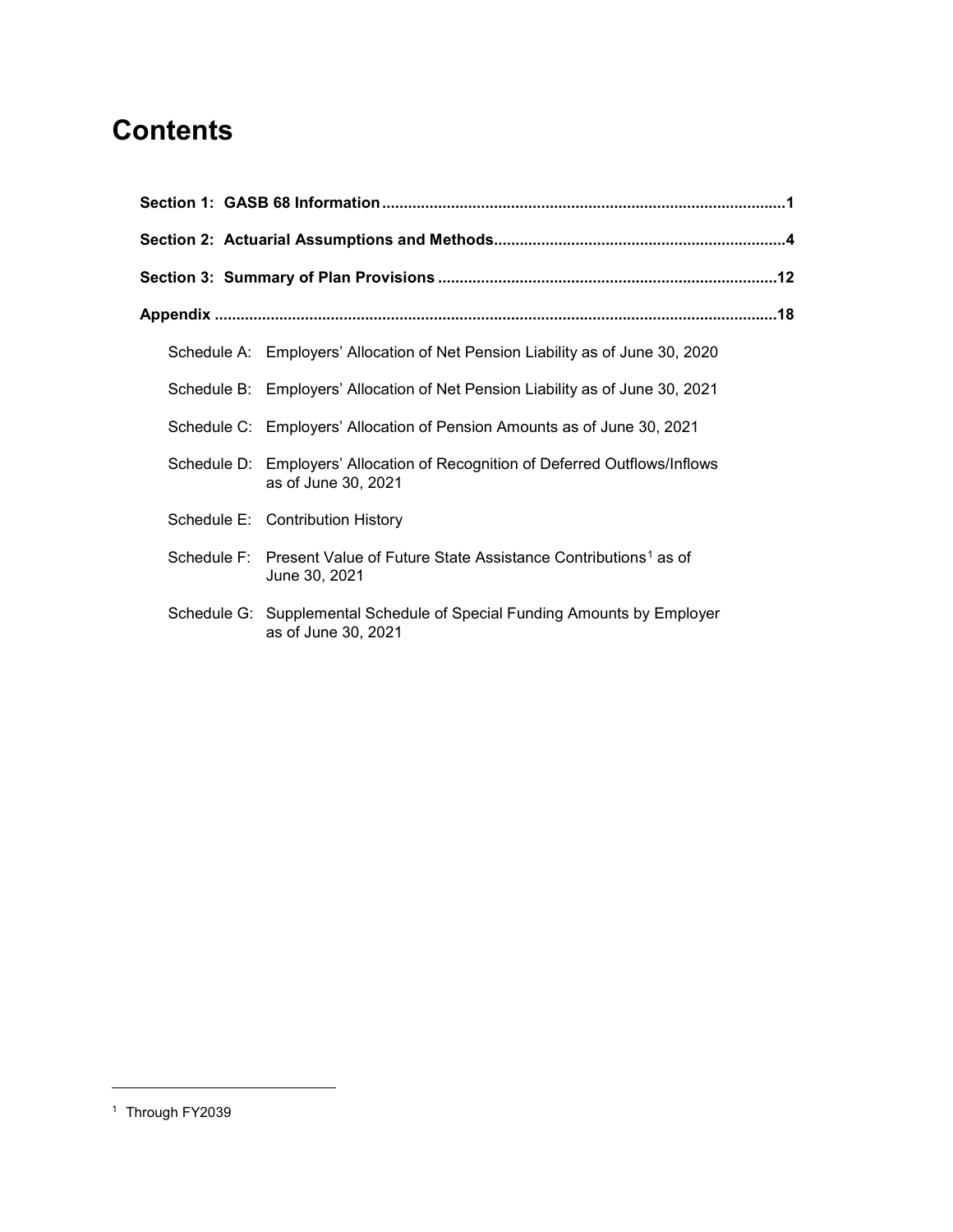# **Contents**

| Schedule A: Employers' Allocation of Net Pension Liability as of June 30, 2020                         |  |
|--------------------------------------------------------------------------------------------------------|--|
| Schedule B: Employers' Allocation of Net Pension Liability as of June 30, 2021                         |  |
| Schedule C: Employers' Allocation of Pension Amounts as of June 30, 2021                               |  |
| Schedule D: Employers' Allocation of Recognition of Deferred Outflows/Inflows<br>as of June 30, 2021   |  |
| Schedule E: Contribution History                                                                       |  |
| Schedule F: Present Value of Future State Assistance Contributions <sup>1</sup> as of<br>June 30, 2021 |  |
| Schedule G: Supplemental Schedule of Special Funding Amounts by Employer<br>as of June 30, 2021        |  |

-

<span id="page-4-0"></span><sup>&</sup>lt;sup>1</sup> Through FY2039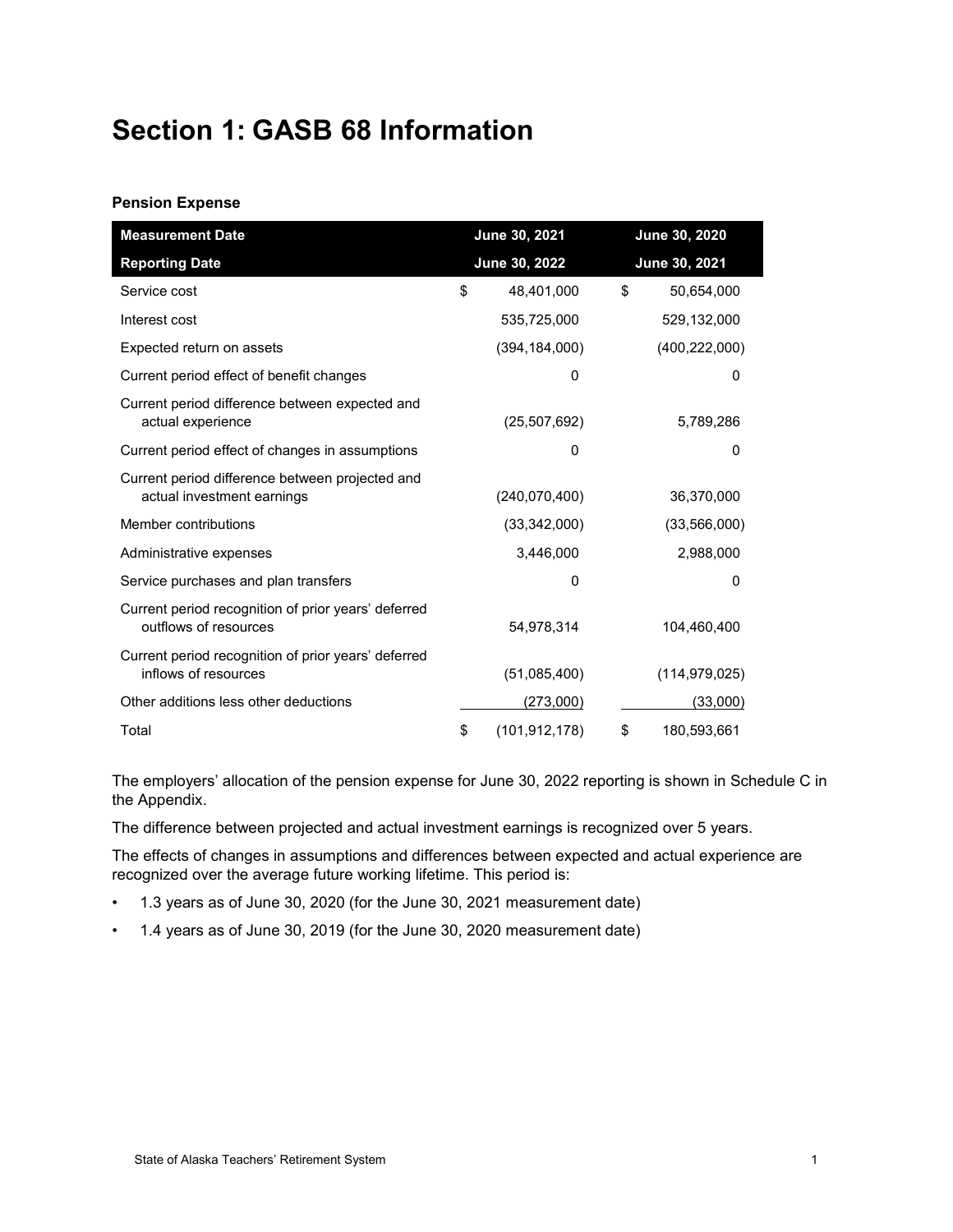# <span id="page-5-0"></span>**Section 1: GASB 68 Information**

#### **Pension Expense**

| <b>Measurement Date</b>                                                       | June 30, 2021 |                 | June 30, 2020 |                 |  |
|-------------------------------------------------------------------------------|---------------|-----------------|---------------|-----------------|--|
| <b>Reporting Date</b>                                                         | June 30, 2022 |                 | June 30, 2021 |                 |  |
| Service cost                                                                  | \$            | 48.401.000      | \$            | 50,654,000      |  |
| Interest cost                                                                 |               | 535,725,000     |               | 529,132,000     |  |
| Expected return on assets                                                     |               | (394, 184, 000) |               | (400, 222, 000) |  |
| Current period effect of benefit changes                                      |               | 0               |               | 0               |  |
| Current period difference between expected and<br>actual experience           |               | (25, 507, 692)  |               | 5,789,286       |  |
| Current period effect of changes in assumptions                               |               | $\Omega$        |               | 0               |  |
| Current period difference between projected and<br>actual investment earnings |               | (240,070,400)   |               | 36,370,000      |  |
| Member contributions                                                          |               | (33,342,000)    |               | (33,566,000)    |  |
| Administrative expenses                                                       |               | 3,446,000       |               | 2,988,000       |  |
| Service purchases and plan transfers                                          |               | 0               |               | 0               |  |
| Current period recognition of prior years' deferred<br>outflows of resources  |               | 54,978,314      |               | 104,460,400     |  |
| Current period recognition of prior years' deferred<br>inflows of resources   |               | (51,085,400)    |               | (114, 979, 025) |  |
| Other additions less other deductions                                         |               | (273,000)       |               | (33,000)        |  |
| Total                                                                         | \$            | (101, 912, 178) | \$            | 180,593,661     |  |

The employers' allocation of the pension expense for June 30, 2022 reporting is shown in Schedule C in the Appendix.

The difference between projected and actual investment earnings is recognized over 5 years.

The effects of changes in assumptions and differences between expected and actual experience are recognized over the average future working lifetime. This period is:

- 1.3 years as of June 30, 2020 (for the June 30, 2021 measurement date)
- 1.4 years as of June 30, 2019 (for the June 30, 2020 measurement date)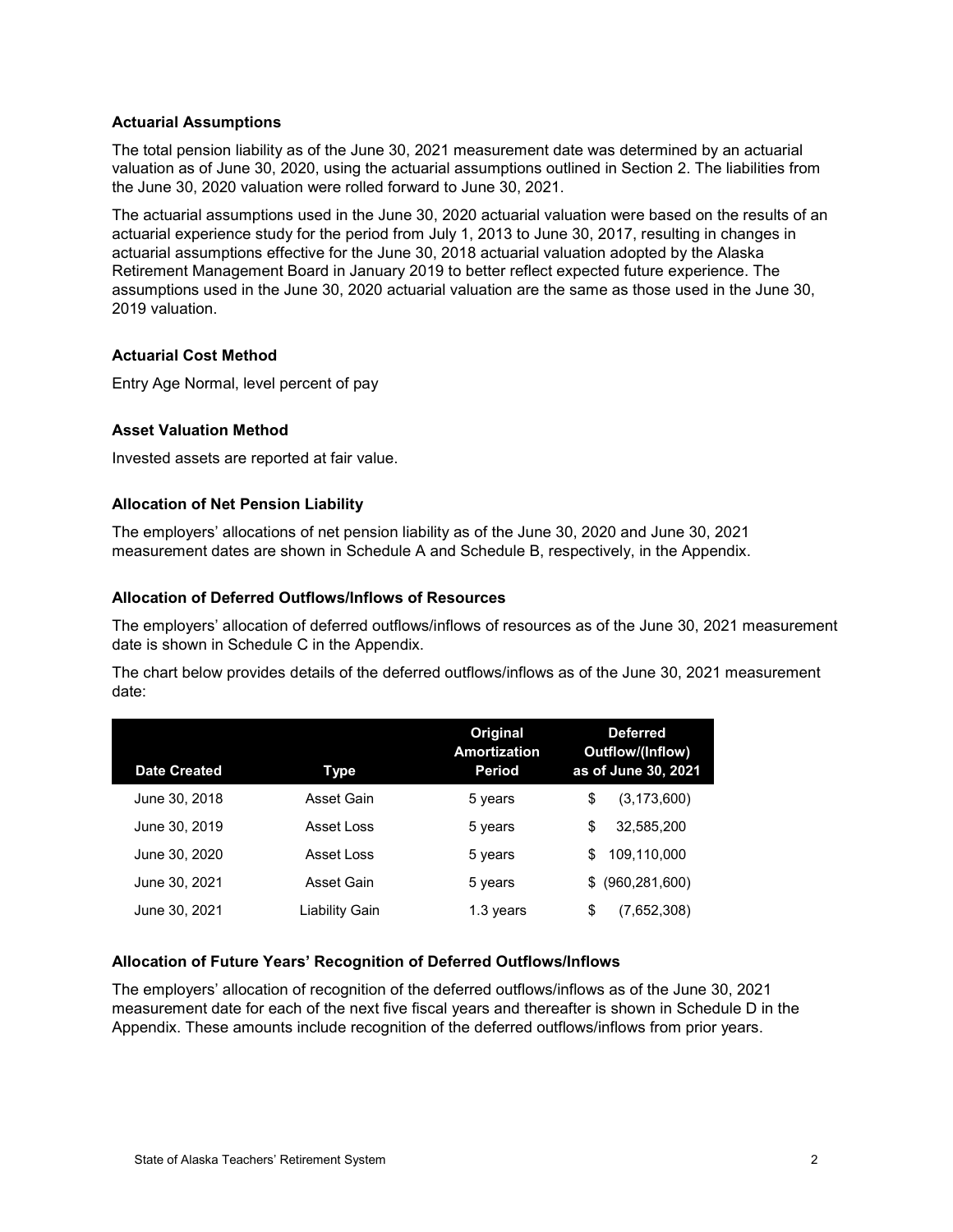#### **Actuarial Assumptions**

The total pension liability as of the June 30, 2021 measurement date was determined by an actuarial valuation as of June 30, 2020, using the actuarial assumptions outlined in Section 2. The liabilities from the June 30, 2020 valuation were rolled forward to June 30, 2021.

The actuarial assumptions used in the June 30, 2020 actuarial valuation were based on the results of an actuarial experience study for the period from July 1, 2013 to June 30, 2017, resulting in changes in actuarial assumptions effective for the June 30, 2018 actuarial valuation adopted by the Alaska Retirement Management Board in January 2019 to better reflect expected future experience. The assumptions used in the June 30, 2020 actuarial valuation are the same as those used in the June 30, 2019 valuation.

## **Actuarial Cost Method**

Entry Age Normal, level percent of pay

#### **Asset Valuation Method**

Invested assets are reported at fair value.

#### **Allocation of Net Pension Liability**

The employers' allocations of net pension liability as of the June 30, 2020 and June 30, 2021 measurement dates are shown in Schedule A and Schedule B, respectively, in the Appendix.

#### **Allocation of Deferred Outflows/Inflows of Resources**

The employers' allocation of deferred outflows/inflows of resources as of the June 30, 2021 measurement date is shown in Schedule C in the Appendix.

The chart below provides details of the deferred outflows/inflows as of the June 30, 2021 measurement date:

| <b>Date Created</b> | Type           | Original<br><b>Amortization</b><br>Period | <b>Deferred</b><br><b>Outflow/(Inflow)</b><br>as of June 30, 2021 |
|---------------------|----------------|-------------------------------------------|-------------------------------------------------------------------|
| June 30, 2018       | Asset Gain     | 5 years                                   | \$<br>(3, 173, 600)                                               |
| June 30, 2019       | Asset Loss     | 5 years                                   | \$<br>32,585,200                                                  |
| June 30, 2020       | Asset Loss     | 5 years                                   | 109.110.000<br>\$                                                 |
| June 30, 2021       | Asset Gain     | 5 years                                   | (960, 281, 600)<br>\$.                                            |
| June 30, 2021       | Liability Gain | 1.3 years                                 | \$<br>(7,652,308)                                                 |

## **Allocation of Future Years' Recognition of Deferred Outflows/Inflows**

The employers' allocation of recognition of the deferred outflows/inflows as of the June 30, 2021 measurement date for each of the next five fiscal years and thereafter is shown in Schedule D in the Appendix. These amounts include recognition of the deferred outflows/inflows from prior years.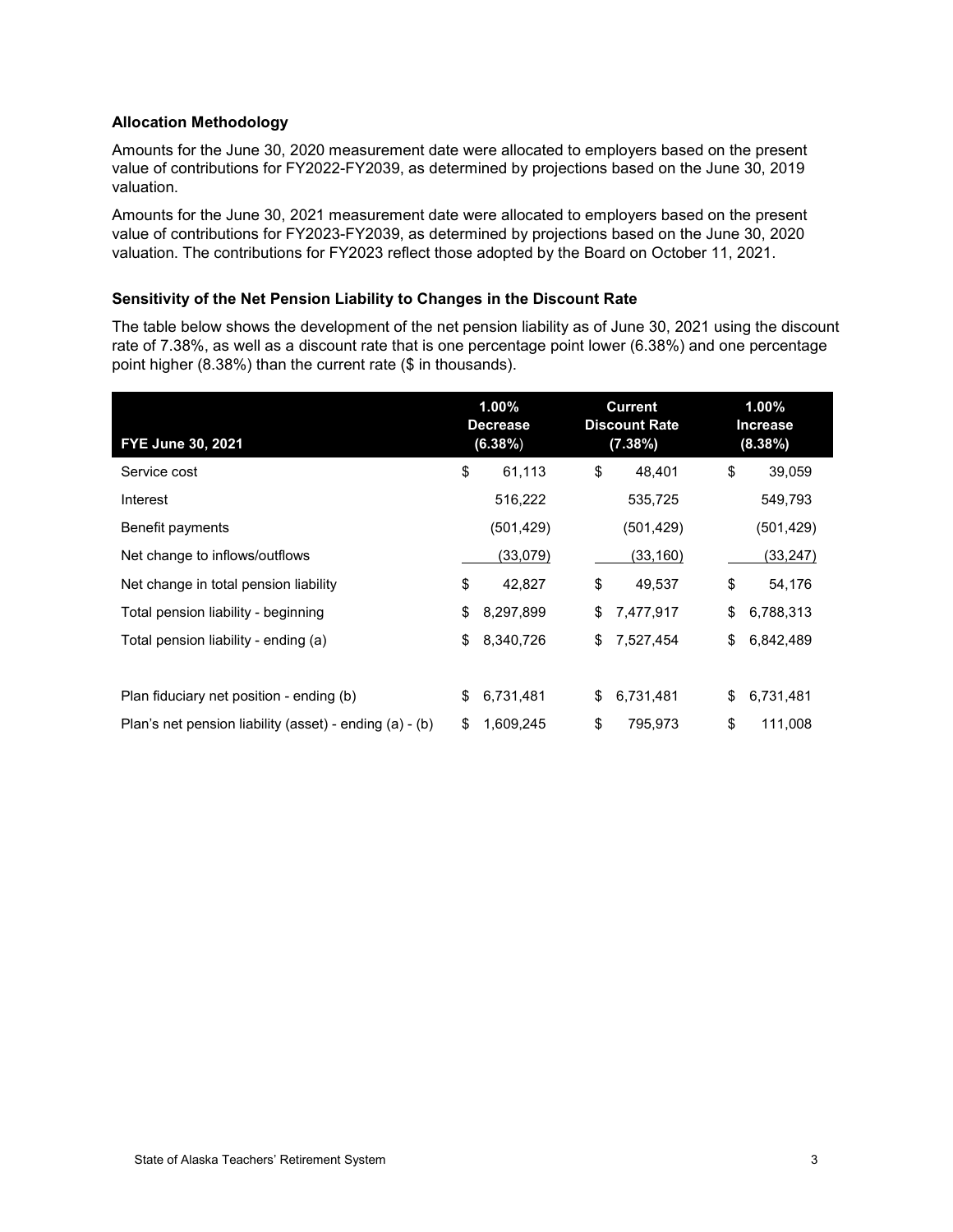#### **Allocation Methodology**

Amounts for the June 30, 2020 measurement date were allocated to employers based on the present value of contributions for FY2022-FY2039, as determined by projections based on the June 30, 2019 valuation.

Amounts for the June 30, 2021 measurement date were allocated to employers based on the present value of contributions for FY2023-FY2039, as determined by projections based on the June 30, 2020 valuation. The contributions for FY2023 reflect those adopted by the Board on October 11, 2021.

#### **Sensitivity of the Net Pension Liability to Changes in the Discount Rate**

The table below shows the development of the net pension liability as of June 30, 2021 using the discount rate of 7.38%, as well as a discount rate that is one percentage point lower (6.38%) and one percentage point higher (8.38%) than the current rate (\$ in thousands).

| FYE June 30, 2021                                       | $1.00\%$<br><b>Decrease</b><br>$(6.38\%)$ | <b>Current</b><br><b>Discount Rate</b><br>(7.38%) |            | 1.00%<br><b>Increase</b><br>(8.38%) |
|---------------------------------------------------------|-------------------------------------------|---------------------------------------------------|------------|-------------------------------------|
| Service cost                                            | \$<br>61,113                              | \$                                                | 48,401     | \$<br>39,059                        |
| Interest                                                | 516,222                                   |                                                   | 535,725    | 549,793                             |
| Benefit payments                                        | (501,429)                                 |                                                   | (501, 429) | (501,429)                           |
| Net change to inflows/outflows                          | (33,079)                                  |                                                   | (33, 160)  | (33, 247)                           |
| Net change in total pension liability                   | \$<br>42,827                              | \$                                                | 49,537     | \$<br>54,176                        |
| Total pension liability - beginning                     | \$<br>8,297,899                           | \$                                                | 7,477,917  | \$<br>6,788,313                     |
| Total pension liability - ending (a)                    | \$<br>8,340,726                           | \$                                                | 7,527,454  | \$<br>6,842,489                     |
|                                                         |                                           |                                                   |            |                                     |
| Plan fiduciary net position - ending (b)                | \$<br>6,731,481                           | \$                                                | 6,731,481  | \$<br>6,731,481                     |
| Plan's net pension liability (asset) - ending (a) - (b) | \$<br>1,609,245                           | \$                                                | 795,973    | \$<br>111,008                       |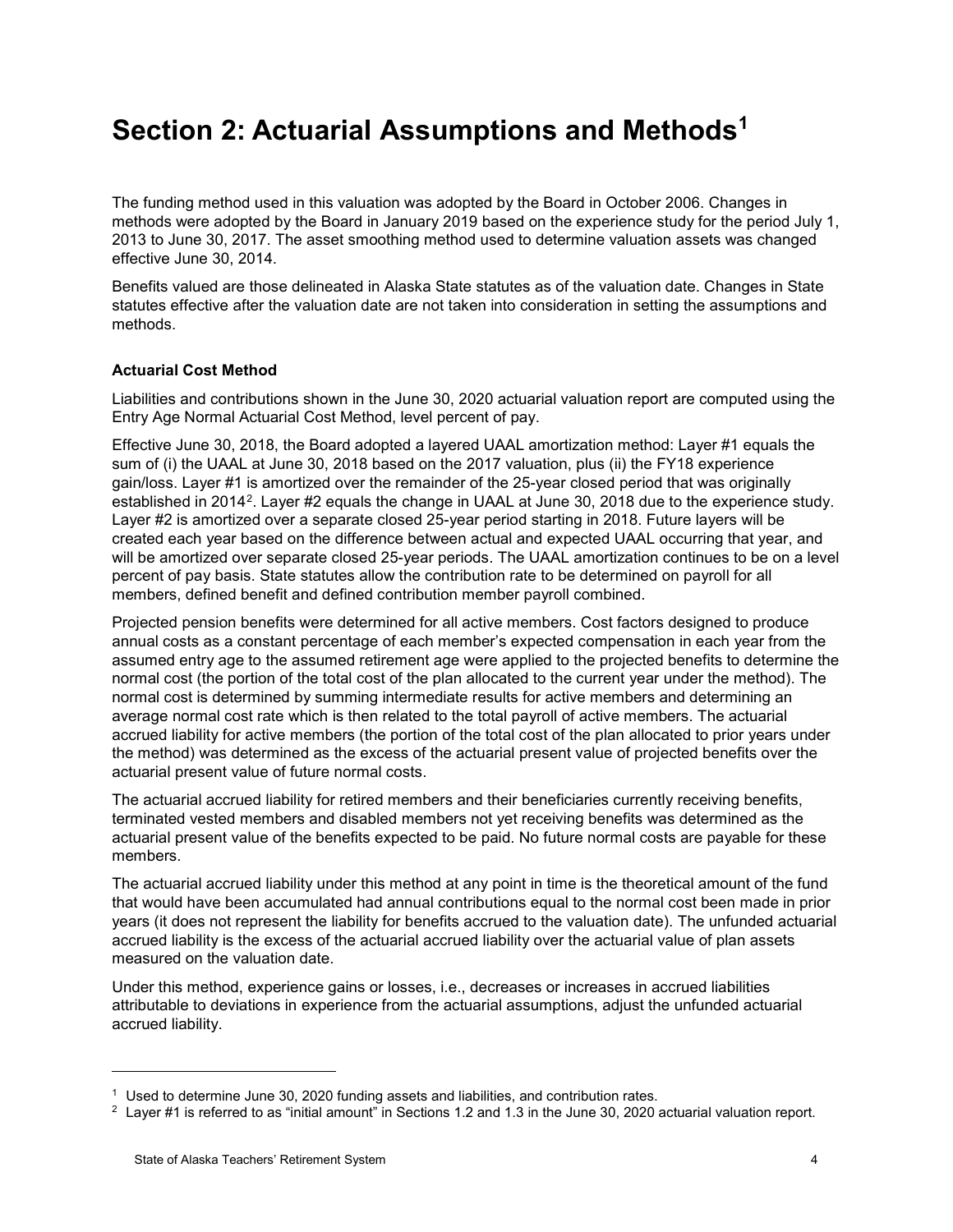## <span id="page-8-0"></span>**Section 2: Actuarial Assumptions and Methods[1](#page-8-1)**

The funding method used in this valuation was adopted by the Board in October 2006. Changes in methods were adopted by the Board in January 2019 based on the experience study for the period July 1, 2013 to June 30, 2017. The asset smoothing method used to determine valuation assets was changed effective June 30, 2014.

Benefits valued are those delineated in Alaska State statutes as of the valuation date. Changes in State statutes effective after the valuation date are not taken into consideration in setting the assumptions and methods.

## **Actuarial Cost Method**

Liabilities and contributions shown in the June 30, 2020 actuarial valuation report are computed using the Entry Age Normal Actuarial Cost Method, level percent of pay.

Effective June 30, 2018, the Board adopted a layered UAAL amortization method: Layer #1 equals the sum of (i) the UAAL at June 30, 2018 based on the 2017 valuation, plus (ii) the FY18 experience gain/loss. Layer #1 is amortized over the remainder of the 25-year closed period that was originally established in [2](#page-8-2)014<sup>2</sup>. Layer #2 equals the change in UAAL at June 30, 2018 due to the experience study. Layer #2 is amortized over a separate closed 25-year period starting in 2018. Future layers will be created each year based on the difference between actual and expected UAAL occurring that year, and will be amortized over separate closed 25-year periods. The UAAL amortization continues to be on a level percent of pay basis. State statutes allow the contribution rate to be determined on payroll for all members, defined benefit and defined contribution member payroll combined.

Projected pension benefits were determined for all active members. Cost factors designed to produce annual costs as a constant percentage of each member's expected compensation in each year from the assumed entry age to the assumed retirement age were applied to the projected benefits to determine the normal cost (the portion of the total cost of the plan allocated to the current year under the method). The normal cost is determined by summing intermediate results for active members and determining an average normal cost rate which is then related to the total payroll of active members. The actuarial accrued liability for active members (the portion of the total cost of the plan allocated to prior years under the method) was determined as the excess of the actuarial present value of projected benefits over the actuarial present value of future normal costs.

The actuarial accrued liability for retired members and their beneficiaries currently receiving benefits, terminated vested members and disabled members not yet receiving benefits was determined as the actuarial present value of the benefits expected to be paid. No future normal costs are payable for these members.

The actuarial accrued liability under this method at any point in time is the theoretical amount of the fund that would have been accumulated had annual contributions equal to the normal cost been made in prior years (it does not represent the liability for benefits accrued to the valuation date). The unfunded actuarial accrued liability is the excess of the actuarial accrued liability over the actuarial value of plan assets measured on the valuation date.

Under this method, experience gains or losses, i.e., decreases or increases in accrued liabilities attributable to deviations in experience from the actuarial assumptions, adjust the unfunded actuarial accrued liability.

-

 $1$  Used to determine June 30, 2020 funding assets and liabilities, and contribution rates.

<span id="page-8-2"></span><span id="page-8-1"></span> $2$  Layer #1 is referred to as "initial amount" in Sections 1.2 and 1.3 in the June 30, 2020 actuarial valuation report.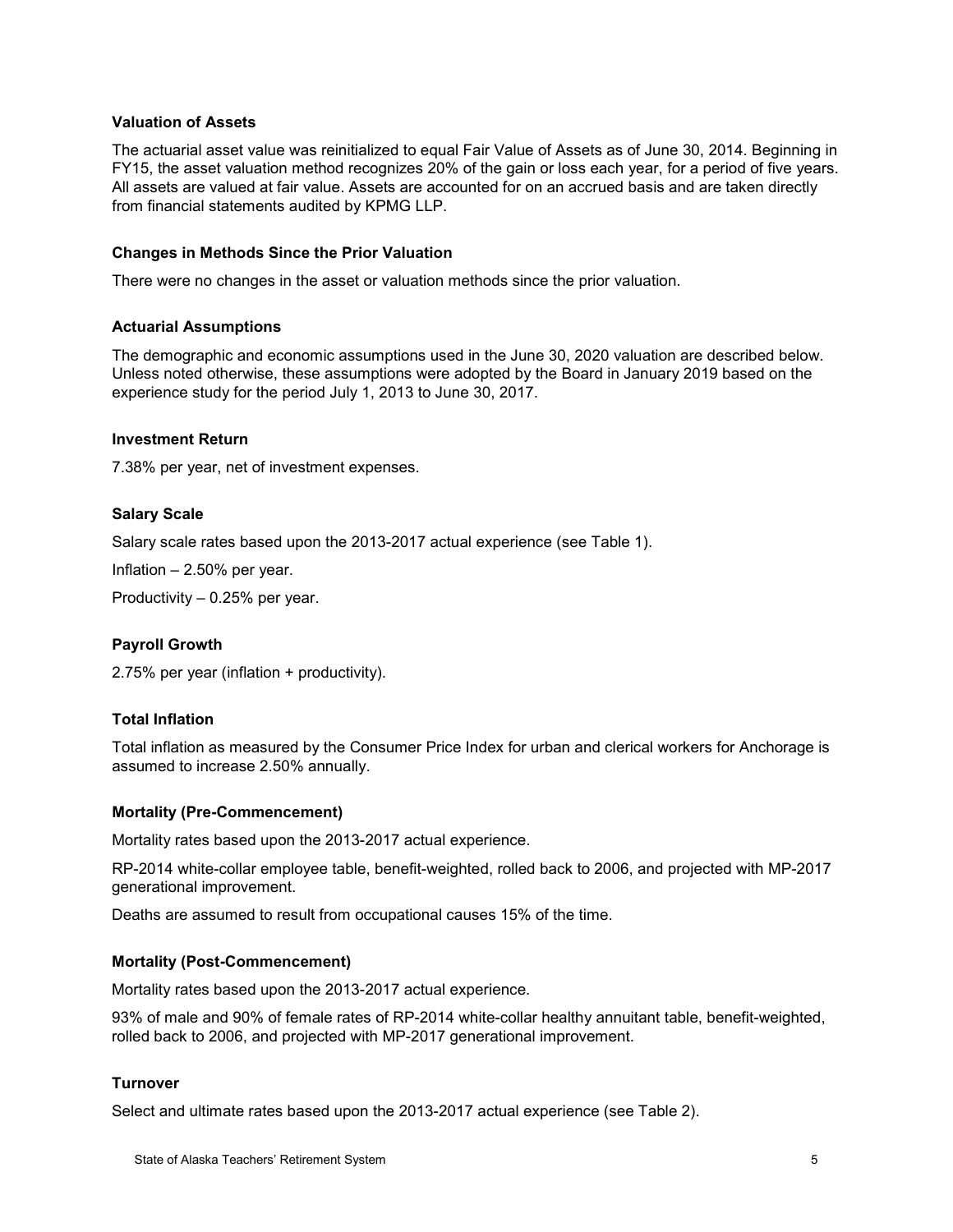#### **Valuation of Assets**

The actuarial asset value was reinitialized to equal Fair Value of Assets as of June 30, 2014. Beginning in FY15, the asset valuation method recognizes 20% of the gain or loss each year, for a period of five years. All assets are valued at fair value. Assets are accounted for on an accrued basis and are taken directly from financial statements audited by KPMG LLP.

#### **Changes in Methods Since the Prior Valuation**

There were no changes in the asset or valuation methods since the prior valuation.

#### **Actuarial Assumptions**

The demographic and economic assumptions used in the June 30, 2020 valuation are described below. Unless noted otherwise, these assumptions were adopted by the Board in January 2019 based on the experience study for the period July 1, 2013 to June 30, 2017.

#### **Investment Return**

7.38% per year, net of investment expenses.

#### **Salary Scale**

Salary scale rates based upon the 2013-2017 actual experience (see Table 1).

Inflation – 2.50% per year.

Productivity – 0.25% per year.

#### **Payroll Growth**

2.75% per year (inflation + productivity).

#### **Total Inflation**

Total inflation as measured by the Consumer Price Index for urban and clerical workers for Anchorage is assumed to increase 2.50% annually.

#### **Mortality (Pre-Commencement)**

Mortality rates based upon the 2013-2017 actual experience.

RP-2014 white-collar employee table, benefit-weighted, rolled back to 2006, and projected with MP-2017 generational improvement.

Deaths are assumed to result from occupational causes 15% of the time.

#### **Mortality (Post-Commencement)**

Mortality rates based upon the 2013-2017 actual experience.

93% of male and 90% of female rates of RP-2014 white-collar healthy annuitant table, benefit-weighted, rolled back to 2006, and projected with MP-2017 generational improvement.

#### **Turnover**

Select and ultimate rates based upon the 2013-2017 actual experience (see Table 2).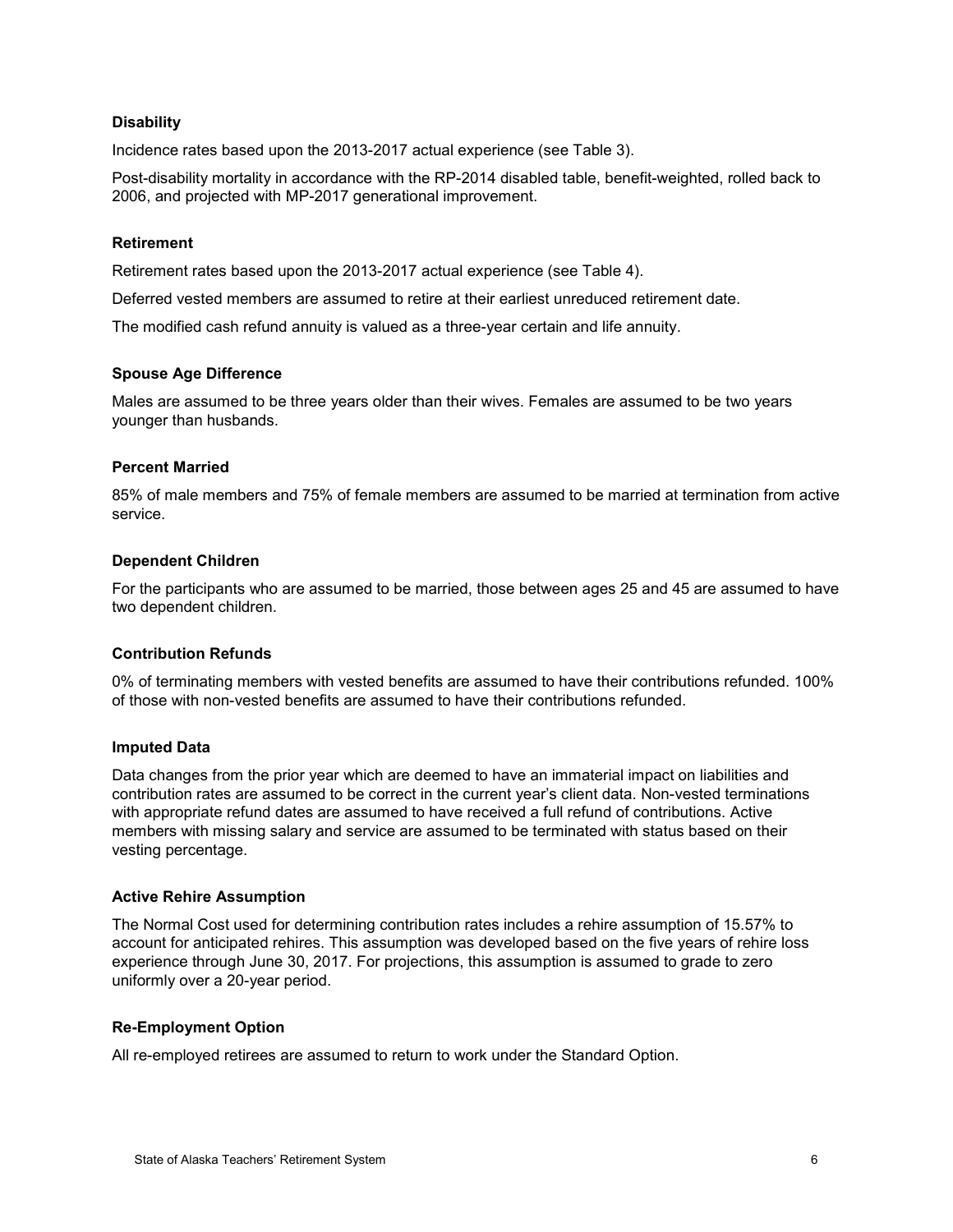#### **Disability**

Incidence rates based upon the 2013-2017 actual experience (see Table 3).

Post-disability mortality in accordance with the RP-2014 disabled table, benefit-weighted, rolled back to 2006, and projected with MP-2017 generational improvement.

#### **Retirement**

Retirement rates based upon the 2013-2017 actual experience (see Table 4).

Deferred vested members are assumed to retire at their earliest unreduced retirement date.

The modified cash refund annuity is valued as a three-year certain and life annuity.

#### **Spouse Age Difference**

Males are assumed to be three years older than their wives. Females are assumed to be two years younger than husbands.

#### **Percent Married**

85% of male members and 75% of female members are assumed to be married at termination from active service.

#### **Dependent Children**

For the participants who are assumed to be married, those between ages 25 and 45 are assumed to have two dependent children.

#### **Contribution Refunds**

0% of terminating members with vested benefits are assumed to have their contributions refunded. 100% of those with non-vested benefits are assumed to have their contributions refunded.

#### **Imputed Data**

Data changes from the prior year which are deemed to have an immaterial impact on liabilities and contribution rates are assumed to be correct in the current year's client data. Non-vested terminations with appropriate refund dates are assumed to have received a full refund of contributions. Active members with missing salary and service are assumed to be terminated with status based on their vesting percentage.

#### **Active Rehire Assumption**

The Normal Cost used for determining contribution rates includes a rehire assumption of 15.57% to account for anticipated rehires. This assumption was developed based on the five years of rehire loss experience through June 30, 2017. For projections, this assumption is assumed to grade to zero uniformly over a 20-year period.

#### **Re-Employment Option**

All re-employed retirees are assumed to return to work under the Standard Option.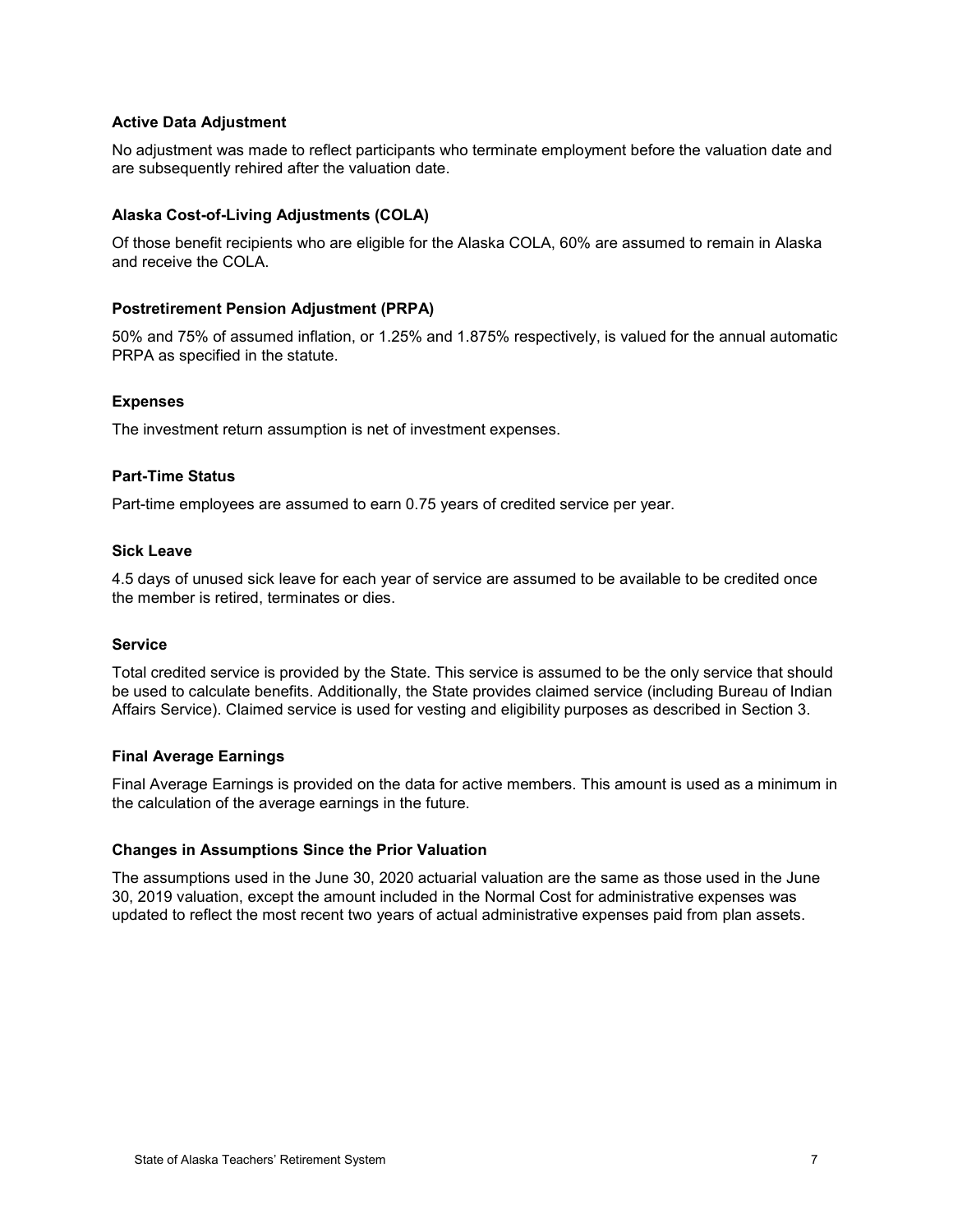#### **Active Data Adjustment**

No adjustment was made to reflect participants who terminate employment before the valuation date and are subsequently rehired after the valuation date.

#### **Alaska Cost-of-Living Adjustments (COLA)**

Of those benefit recipients who are eligible for the Alaska COLA, 60% are assumed to remain in Alaska and receive the COLA.

#### **Postretirement Pension Adjustment (PRPA)**

50% and 75% of assumed inflation, or 1.25% and 1.875% respectively, is valued for the annual automatic PRPA as specified in the statute.

#### **Expenses**

The investment return assumption is net of investment expenses.

#### **Part-Time Status**

Part-time employees are assumed to earn 0.75 years of credited service per year.

#### **Sick Leave**

4.5 days of unused sick leave for each year of service are assumed to be available to be credited once the member is retired, terminates or dies.

#### **Service**

Total credited service is provided by the State. This service is assumed to be the only service that should be used to calculate benefits. Additionally, the State provides claimed service (including Bureau of Indian Affairs Service). Claimed service is used for vesting and eligibility purposes as described in Section 3.

#### **Final Average Earnings**

Final Average Earnings is provided on the data for active members. This amount is used as a minimum in the calculation of the average earnings in the future.

#### **Changes in Assumptions Since the Prior Valuation**

The assumptions used in the June 30, 2020 actuarial valuation are the same as those used in the June 30, 2019 valuation, except the amount included in the Normal Cost for administrative expenses was updated to reflect the most recent two years of actual administrative expenses paid from plan assets.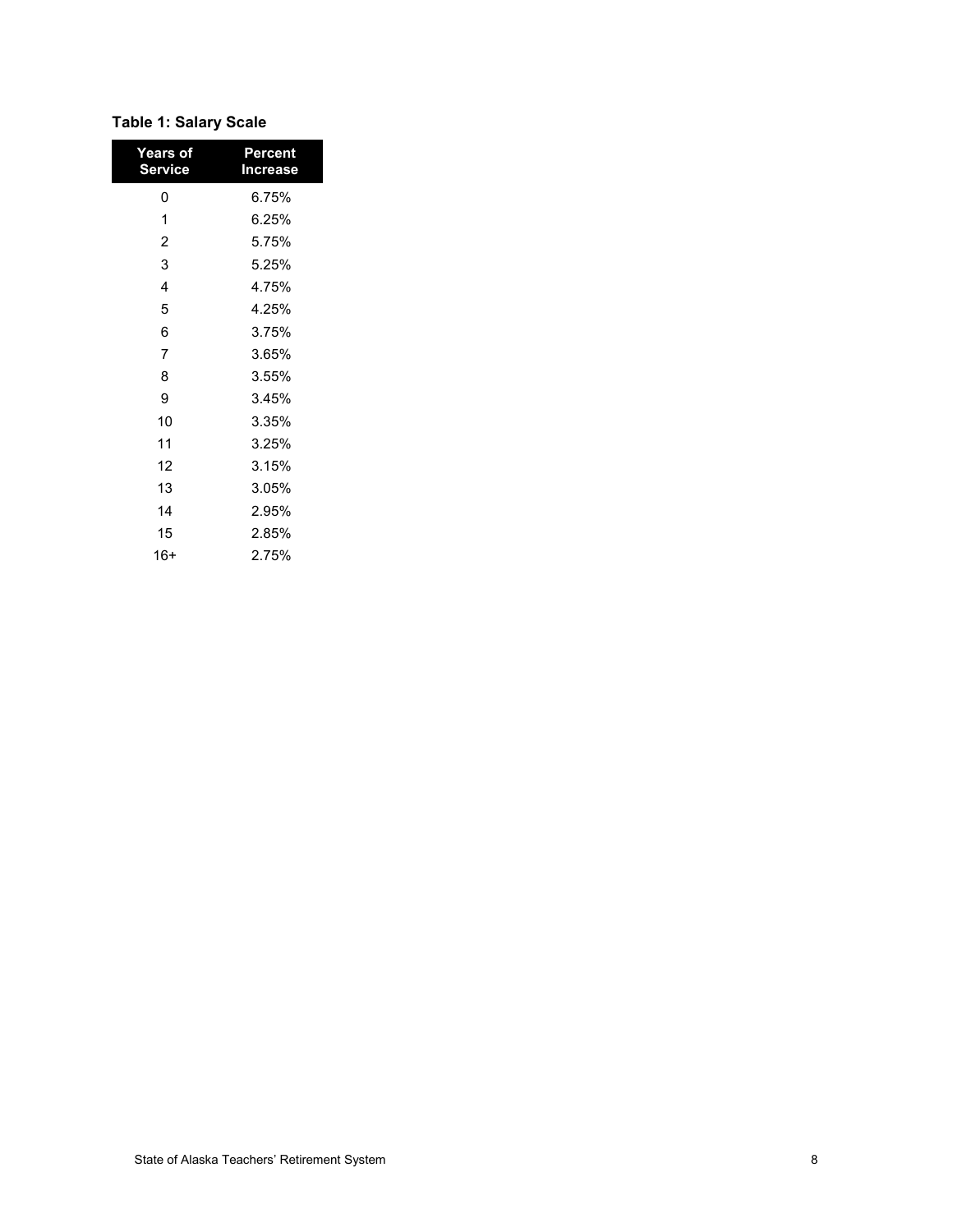## **Table 1: Salary Scale**

| Years of<br><b>Service</b> | Percent<br>Increase |
|----------------------------|---------------------|
| 0                          | 6.75%               |
| 1                          | 6.25%               |
| $\overline{2}$             | 5.75%               |
| 3                          | 5.25%               |
| 4                          | 4.75%               |
| 5                          | 4.25%               |
| 6                          | 3.75%               |
| $\overline{7}$             | 3.65%               |
| 8                          | 3.55%               |
| 9                          | 3.45%               |
| 10                         | 3.35%               |
| 11                         | 3.25%               |
| 12                         | 3.15%               |
| 13                         | 3.05%               |
| 14                         | 2.95%               |
| 15                         | 2.85%               |
| 16+                        | 2.75%               |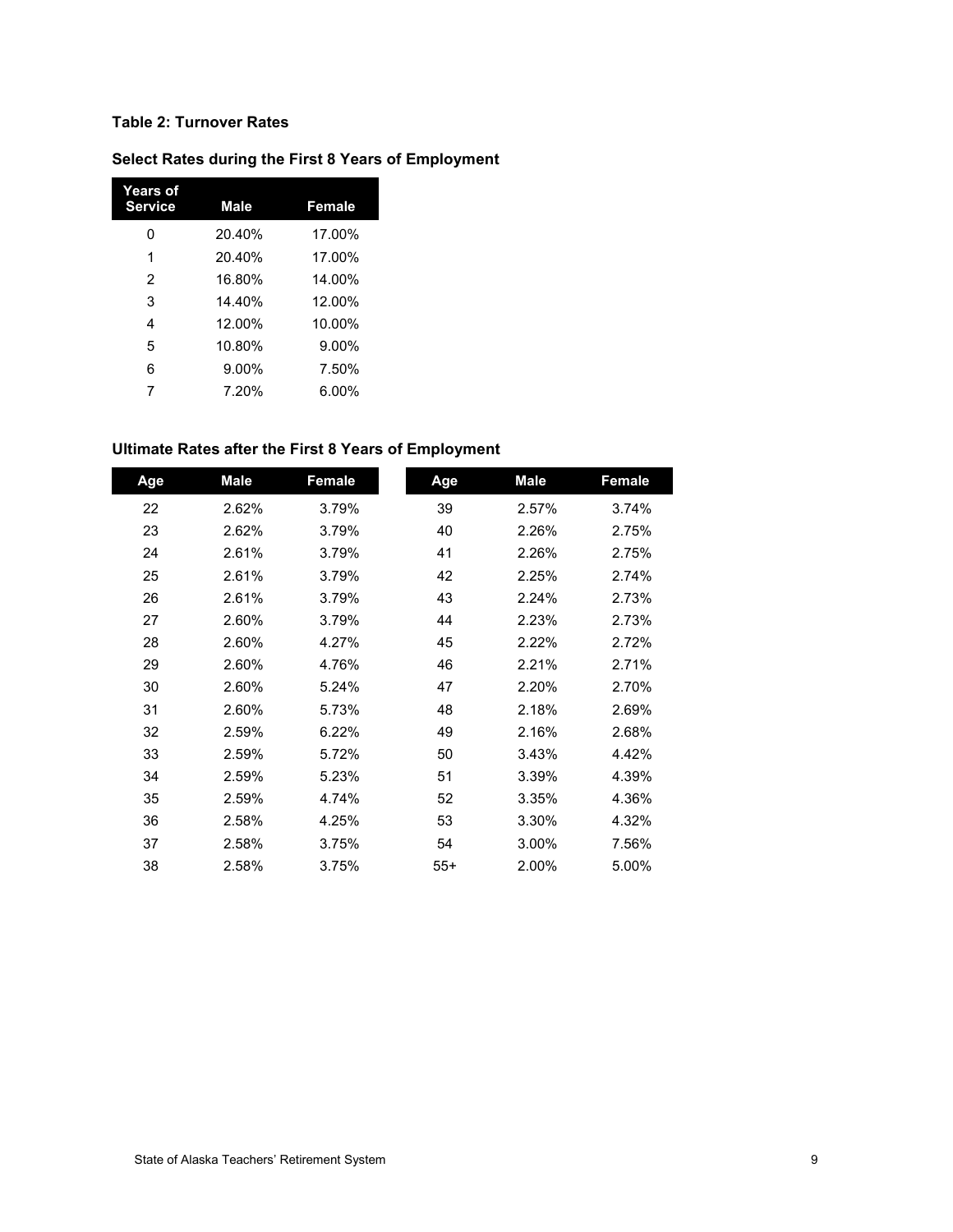## **Table 2: Turnover Rates**

ı

## **Select Rates during the First 8 Years of Employment**

| <b>Years of</b><br><b>Service</b> | <b>Male</b> | Female   |
|-----------------------------------|-------------|----------|
| ი                                 | 20.40%      | 17.00%   |
| 1                                 | 20.40%      | 17.00%   |
| 2                                 | 16.80%      | 14.00%   |
| 3                                 | 14.40%      | 12.00%   |
| 4                                 | 12.00%      | 10.00%   |
| 5                                 | 10.80%      | $9.00\%$ |
| 6                                 | 9.00%       | 7.50%    |
| 7                                 | 7.20%       | 6.00%    |

## **Ultimate Rates after the First 8 Years of Employment**

| Age | Male  | Female | Age   | <b>Male</b> | Female |
|-----|-------|--------|-------|-------------|--------|
| 22  | 2.62% | 3.79%  | 39    | 2.57%       | 3.74%  |
| 23  | 2.62% | 3.79%  | 40    | 2.26%       | 2.75%  |
| 24  | 2.61% | 3.79%  | 41    | 2.26%       | 2.75%  |
| 25  | 2.61% | 3.79%  | 42    | 2.25%       | 2.74%  |
| 26  | 2.61% | 3.79%  | 43    | 2.24%       | 2.73%  |
| 27  | 2.60% | 3.79%  | 44    | 2.23%       | 2.73%  |
| 28  | 2.60% | 4.27%  | 45    | 2.22%       | 2.72%  |
| 29  | 2.60% | 4.76%  | 46    | 2.21%       | 2.71%  |
| 30  | 2.60% | 5.24%  | 47    | 2.20%       | 2.70%  |
| 31  | 2.60% | 5.73%  | 48    | 2.18%       | 2.69%  |
| 32  | 2.59% | 6.22%  | 49    | 2.16%       | 2.68%  |
| 33  | 2.59% | 5.72%  | 50    | 3.43%       | 4.42%  |
| 34  | 2.59% | 5.23%  | 51    | 3.39%       | 4.39%  |
| 35  | 2.59% | 4.74%  | 52    | 3.35%       | 4.36%  |
| 36  | 2.58% | 4.25%  | 53    | 3.30%       | 4.32%  |
| 37  | 2.58% | 3.75%  | 54    | 3.00%       | 7.56%  |
| 38  | 2.58% | 3.75%  | $55+$ | 2.00%       | 5.00%  |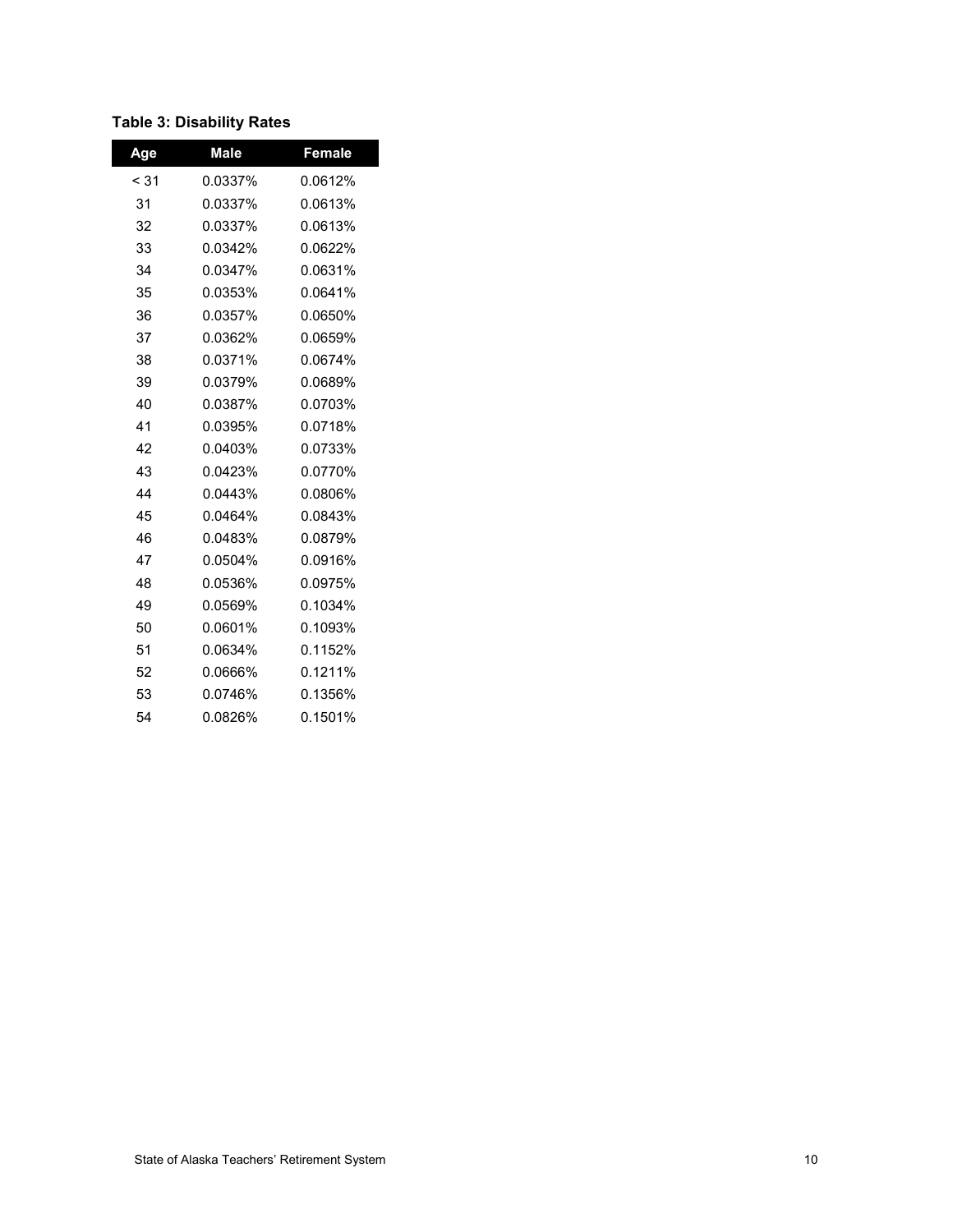## **Table 3: Disability Rates**

| Age    | <b>Male</b> | Female  |
|--------|-------------|---------|
| $<$ 31 | 0.0337%     | 0.0612% |
| 31     | 0.0337%     | 0.0613% |
| 32     | 0.0337%     | 0.0613% |
| 33     | 0.0342%     | 0.0622% |
| 34     | 0.0347%     | 0.0631% |
| 35     | 0.0353%     | 0.0641% |
| 36     | 0.0357%     | 0.0650% |
| 37     | 0.0362%     | 0.0659% |
| 38     | 0.0371%     | 0.0674% |
| 39     | 0.0379%     | 0.0689% |
| 40     | 0.0387%     | 0.0703% |
| 41     | 0.0395%     | 0.0718% |
| 42     | 0.0403%     | 0.0733% |
| 43     | 0.0423%     | 0.0770% |
| 44     | 0.0443%     | 0.0806% |
| 45     | 0.0464%     | 0.0843% |
| 46     | 0.0483%     | 0.0879% |
| 47     | 0.0504%     | 0.0916% |
| 48     | 0.0536%     | 0.0975% |
| 49     | 0.0569%     | 0.1034% |
| 50     | 0.0601%     | 0.1093% |
| 51     | 0.0634%     | 0.1152% |
| 52     | 0.0666%     | 0.1211% |
| 53     | 0.0746%     | 0.1356% |
| 54     | 0.0826%     | 0.1501% |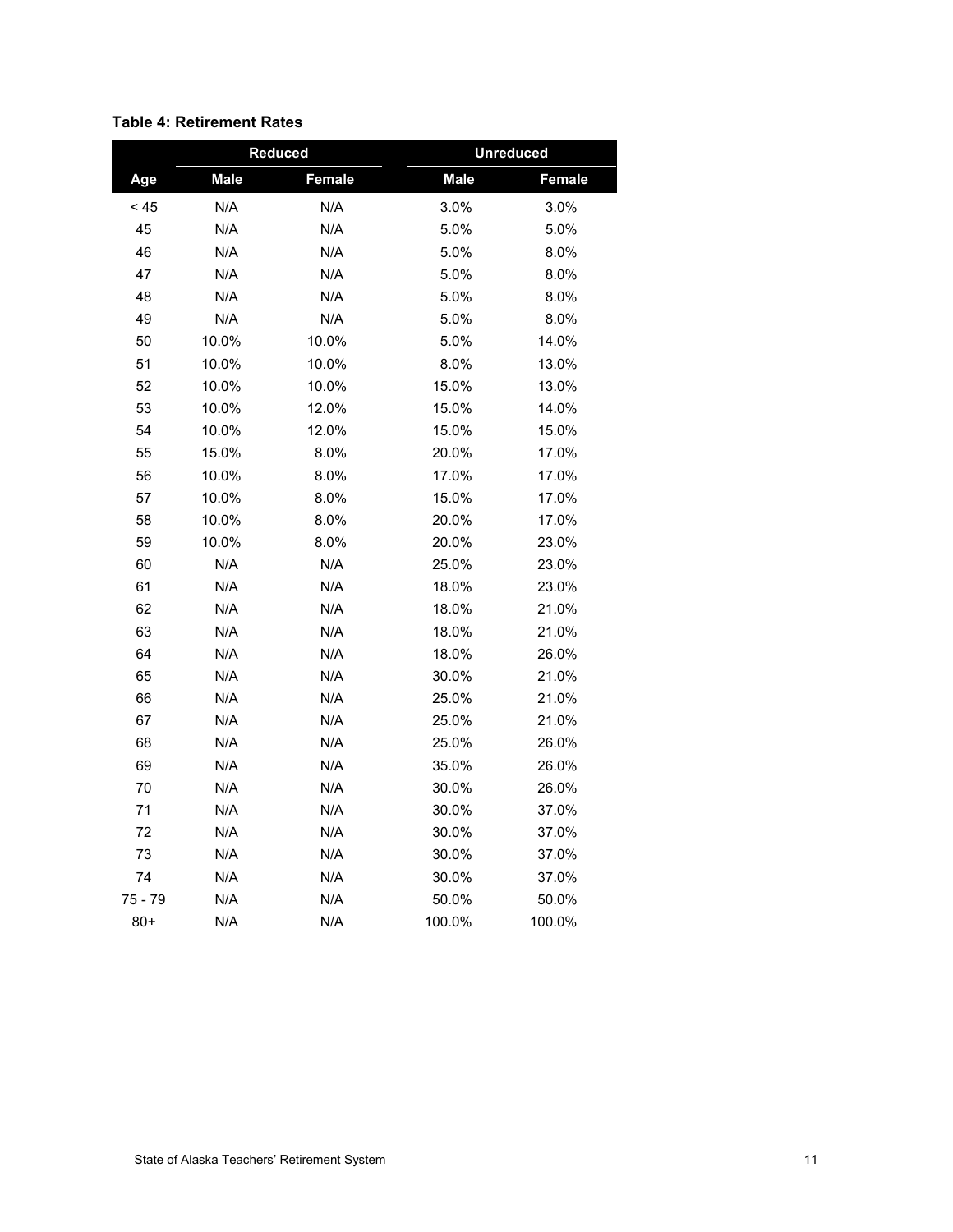|         |             | Reduced | <b>Unreduced</b> |        |  |  |
|---------|-------------|---------|------------------|--------|--|--|
| Age     | <b>Male</b> | Female  | <b>Male</b>      | Female |  |  |
| < 45    | N/A         | N/A     | 3.0%             | 3.0%   |  |  |
| 45      | N/A         | N/A     | 5.0%             | 5.0%   |  |  |
| 46      | N/A         | N/A     | 5.0%             | 8.0%   |  |  |
| 47      | N/A         | N/A     | 5.0%             | 8.0%   |  |  |
| 48      | N/A         | N/A     | 5.0%             | 8.0%   |  |  |
| 49      | N/A         | N/A     | 5.0%             | 8.0%   |  |  |
| 50      | 10.0%       | 10.0%   | 5.0%             | 14.0%  |  |  |
| 51      | 10.0%       | 10.0%   | 8.0%             | 13.0%  |  |  |
| 52      | 10.0%       | 10.0%   | 15.0%            | 13.0%  |  |  |
| 53      | 10.0%       | 12.0%   | 15.0%            | 14.0%  |  |  |
| 54      | 10.0%       | 12.0%   | 15.0%            | 15.0%  |  |  |
| 55      | 15.0%       | 8.0%    | 20.0%            | 17.0%  |  |  |
| 56      | 10.0%       | 8.0%    | 17.0%            | 17.0%  |  |  |
| 57      | 10.0%       | 8.0%    | 15.0%            | 17.0%  |  |  |
| 58      | 10.0%       | 8.0%    | 20.0%            | 17.0%  |  |  |
| 59      | 10.0%       | 8.0%    | 20.0%            | 23.0%  |  |  |
| 60      | N/A         | N/A     | 25.0%            | 23.0%  |  |  |
| 61      | N/A         | N/A     | 18.0%            | 23.0%  |  |  |
| 62      | N/A         | N/A     | 18.0%            | 21.0%  |  |  |
| 63      | N/A         | N/A     | 18.0%            | 21.0%  |  |  |
| 64      | N/A         | N/A     | 18.0%            | 26.0%  |  |  |
| 65      | N/A         | N/A     | 30.0%            | 21.0%  |  |  |
| 66      | N/A         | N/A     | 25.0%            | 21.0%  |  |  |
| 67      | N/A         | N/A     | 25.0%            | 21.0%  |  |  |
| 68      | N/A         | N/A     | 25.0%            | 26.0%  |  |  |
| 69      | N/A         | N/A     | 35.0%            | 26.0%  |  |  |
| 70      | N/A         | N/A     | 30.0%            | 26.0%  |  |  |
| 71      | N/A         | N/A     | 30.0%            | 37.0%  |  |  |
| 72      | N/A         | N/A     | 30.0%            | 37.0%  |  |  |
| 73      | N/A         | N/A     | 30.0%            | 37.0%  |  |  |
| 74      | N/A         | N/A     | 30.0%            | 37.0%  |  |  |
| 75 - 79 | N/A         | N/A     | 50.0%            | 50.0%  |  |  |
| $80+$   | N/A         | N/A     | 100.0%           | 100.0% |  |  |

## **Table 4: Retirement Rates**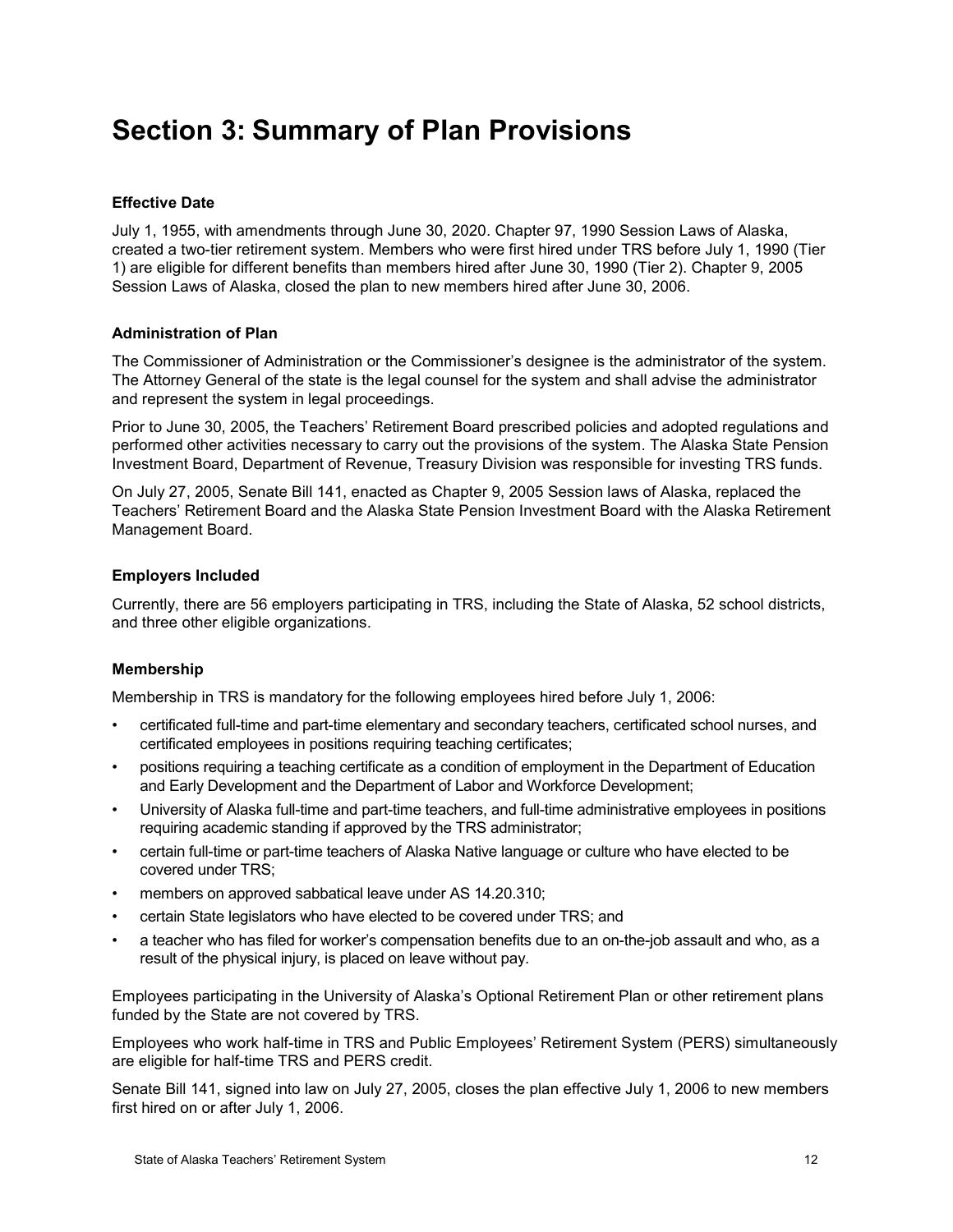## <span id="page-16-0"></span>**Section 3: Summary of Plan Provisions**

## **Effective Date**

July 1, 1955, with amendments through June 30, 2020. Chapter 97, 1990 Session Laws of Alaska, created a two-tier retirement system. Members who were first hired under TRS before July 1, 1990 (Tier 1) are eligible for different benefits than members hired after June 30, 1990 (Tier 2). Chapter 9, 2005 Session Laws of Alaska, closed the plan to new members hired after June 30, 2006.

#### **Administration of Plan**

The Commissioner of Administration or the Commissioner's designee is the administrator of the system. The Attorney General of the state is the legal counsel for the system and shall advise the administrator and represent the system in legal proceedings.

Prior to June 30, 2005, the Teachers' Retirement Board prescribed policies and adopted regulations and performed other activities necessary to carry out the provisions of the system. The Alaska State Pension Investment Board, Department of Revenue, Treasury Division was responsible for investing TRS funds.

On July 27, 2005, Senate Bill 141, enacted as Chapter 9, 2005 Session laws of Alaska, replaced the Teachers' Retirement Board and the Alaska State Pension Investment Board with the Alaska Retirement Management Board.

#### **Employers Included**

Currently, there are 56 employers participating in TRS, including the State of Alaska, 52 school districts, and three other eligible organizations.

#### **Membership**

Membership in TRS is mandatory for the following employees hired before July 1, 2006:

- certificated full-time and part-time elementary and secondary teachers, certificated school nurses, and certificated employees in positions requiring teaching certificates;
- positions requiring a teaching certificate as a condition of employment in the Department of Education and Early Development and the Department of Labor and Workforce Development;
- University of Alaska full-time and part-time teachers, and full-time administrative employees in positions requiring academic standing if approved by the TRS administrator;
- certain full-time or part-time teachers of Alaska Native language or culture who have elected to be covered under TRS;
- members on approved sabbatical leave under AS 14.20.310;
- certain State legislators who have elected to be covered under TRS; and
- a teacher who has filed for worker's compensation benefits due to an on-the-job assault and who, as a result of the physical injury, is placed on leave without pay.

Employees participating in the University of Alaska's Optional Retirement Plan or other retirement plans funded by the State are not covered by TRS.

Employees who work half-time in TRS and Public Employees' Retirement System (PERS) simultaneously are eligible for half-time TRS and PERS credit.

Senate Bill 141, signed into law on July 27, 2005, closes the plan effective July 1, 2006 to new members first hired on or after July 1, 2006.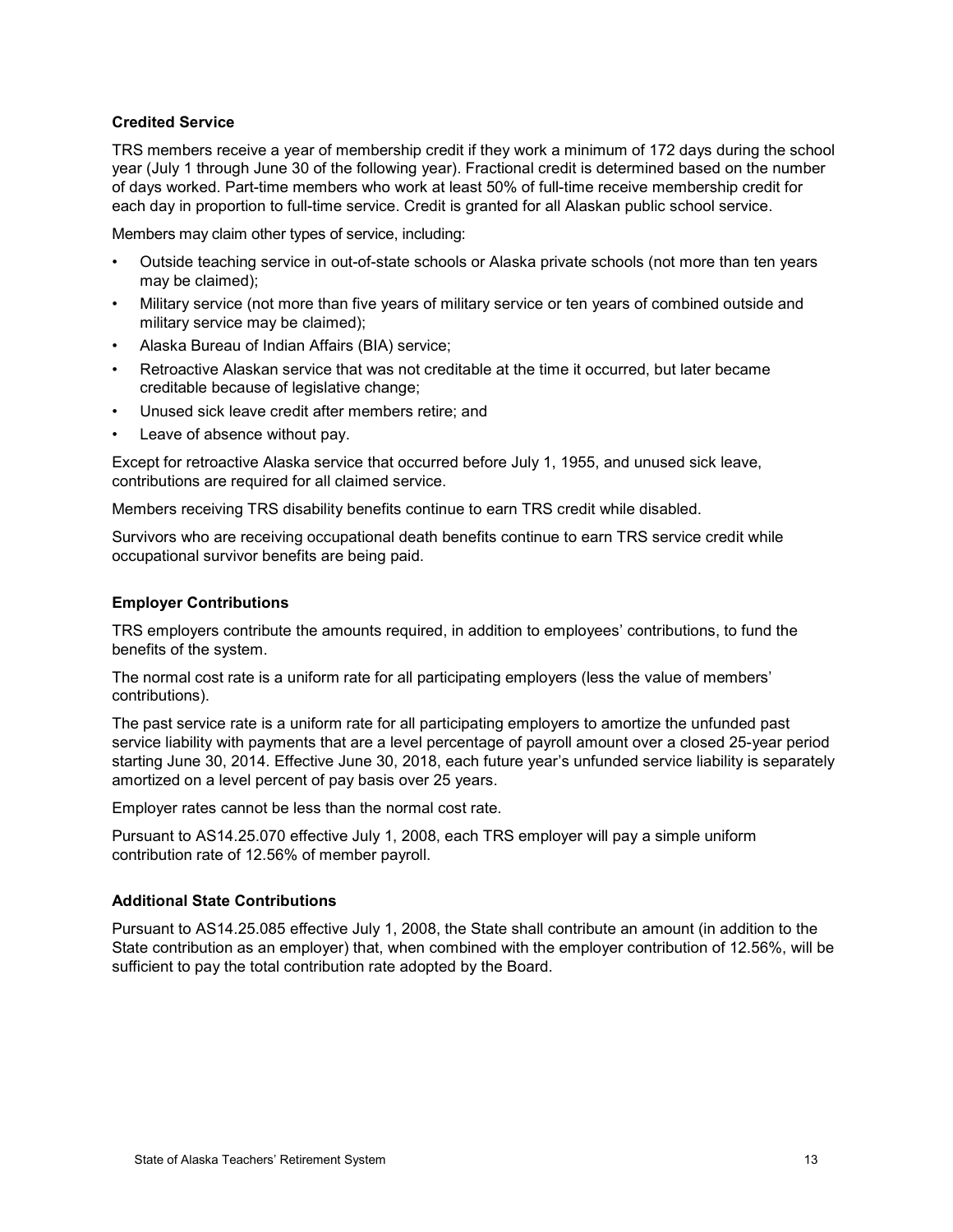#### **Credited Service**

TRS members receive a year of membership credit if they work a minimum of 172 days during the school year (July 1 through June 30 of the following year). Fractional credit is determined based on the number of days worked. Part-time members who work at least 50% of full-time receive membership credit for each day in proportion to full-time service. Credit is granted for all Alaskan public school service.

Members may claim other types of service, including:

- Outside teaching service in out-of-state schools or Alaska private schools (not more than ten years may be claimed);
- Military service (not more than five years of military service or ten years of combined outside and military service may be claimed);
- Alaska Bureau of Indian Affairs (BIA) service;
- Retroactive Alaskan service that was not creditable at the time it occurred, but later became creditable because of legislative change;
- Unused sick leave credit after members retire; and
- Leave of absence without pay.

Except for retroactive Alaska service that occurred before July 1, 1955, and unused sick leave, contributions are required for all claimed service.

Members receiving TRS disability benefits continue to earn TRS credit while disabled.

Survivors who are receiving occupational death benefits continue to earn TRS service credit while occupational survivor benefits are being paid.

#### **Employer Contributions**

TRS employers contribute the amounts required, in addition to employees' contributions, to fund the benefits of the system.

The normal cost rate is a uniform rate for all participating employers (less the value of members' contributions).

The past service rate is a uniform rate for all participating employers to amortize the unfunded past service liability with payments that are a level percentage of payroll amount over a closed 25-year period starting June 30, 2014. Effective June 30, 2018, each future year's unfunded service liability is separately amortized on a level percent of pay basis over 25 years.

Employer rates cannot be less than the normal cost rate.

Pursuant to AS14.25.070 effective July 1, 2008, each TRS employer will pay a simple uniform contribution rate of 12.56% of member payroll.

#### **Additional State Contributions**

Pursuant to AS14.25.085 effective July 1, 2008, the State shall contribute an amount (in addition to the State contribution as an employer) that, when combined with the employer contribution of 12.56%, will be sufficient to pay the total contribution rate adopted by the Board.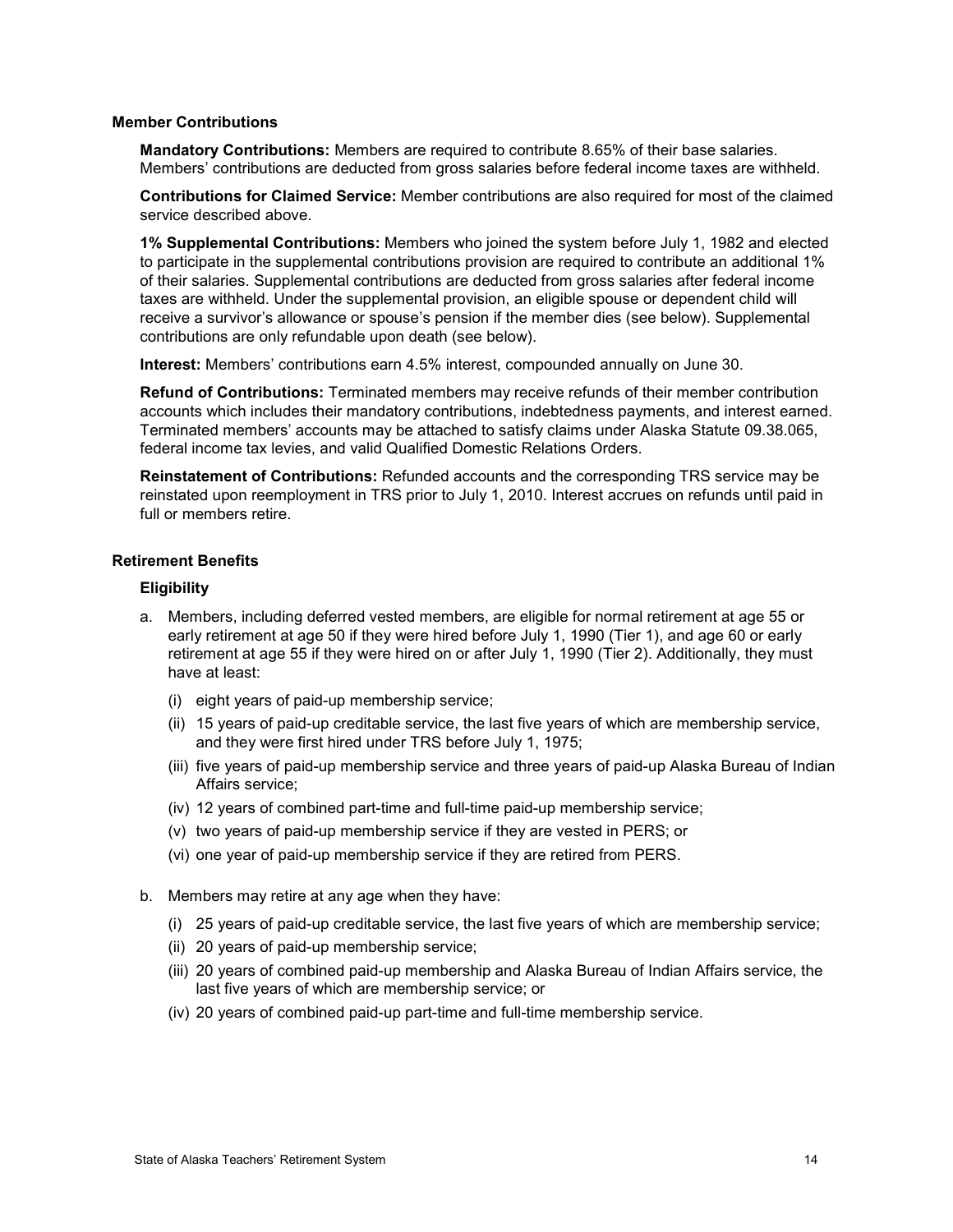#### **Member Contributions**

**Mandatory Contributions:** Members are required to contribute 8.65% of their base salaries. Members' contributions are deducted from gross salaries before federal income taxes are withheld.

**Contributions for Claimed Service:** Member contributions are also required for most of the claimed service described above.

**1% Supplemental Contributions:** Members who joined the system before July 1, 1982 and elected to participate in the supplemental contributions provision are required to contribute an additional 1% of their salaries. Supplemental contributions are deducted from gross salaries after federal income taxes are withheld. Under the supplemental provision, an eligible spouse or dependent child will receive a survivor's allowance or spouse's pension if the member dies (see below). Supplemental contributions are only refundable upon death (see below).

**Interest:** Members' contributions earn 4.5% interest, compounded annually on June 30.

**Refund of Contributions:** Terminated members may receive refunds of their member contribution accounts which includes their mandatory contributions, indebtedness payments, and interest earned. Terminated members' accounts may be attached to satisfy claims under Alaska Statute 09.38.065, federal income tax levies, and valid Qualified Domestic Relations Orders.

**Reinstatement of Contributions:** Refunded accounts and the corresponding TRS service may be reinstated upon reemployment in TRS prior to July 1, 2010. Interest accrues on refunds until paid in full or members retire.

#### **Retirement Benefits**

#### **Eligibility**

- a. Members, including deferred vested members, are eligible for normal retirement at age 55 or early retirement at age 50 if they were hired before July 1, 1990 (Tier 1), and age 60 or early retirement at age 55 if they were hired on or after July 1, 1990 (Tier 2). Additionally, they must have at least:
	- (i) eight years of paid-up membership service;
	- (ii) 15 years of paid-up creditable service, the last five years of which are membership service, and they were first hired under TRS before July 1, 1975;
	- (iii) five years of paid-up membership service and three years of paid-up Alaska Bureau of Indian Affairs service;
	- (iv) 12 years of combined part-time and full-time paid-up membership service;
	- (v) two years of paid-up membership service if they are vested in PERS; or
	- (vi) one year of paid-up membership service if they are retired from PERS.
- b. Members may retire at any age when they have:
	- (i) 25 years of paid-up creditable service, the last five years of which are membership service;
	- (ii) 20 years of paid-up membership service;
	- (iii) 20 years of combined paid-up membership and Alaska Bureau of Indian Affairs service, the last five years of which are membership service; or
	- (iv) 20 years of combined paid-up part-time and full-time membership service.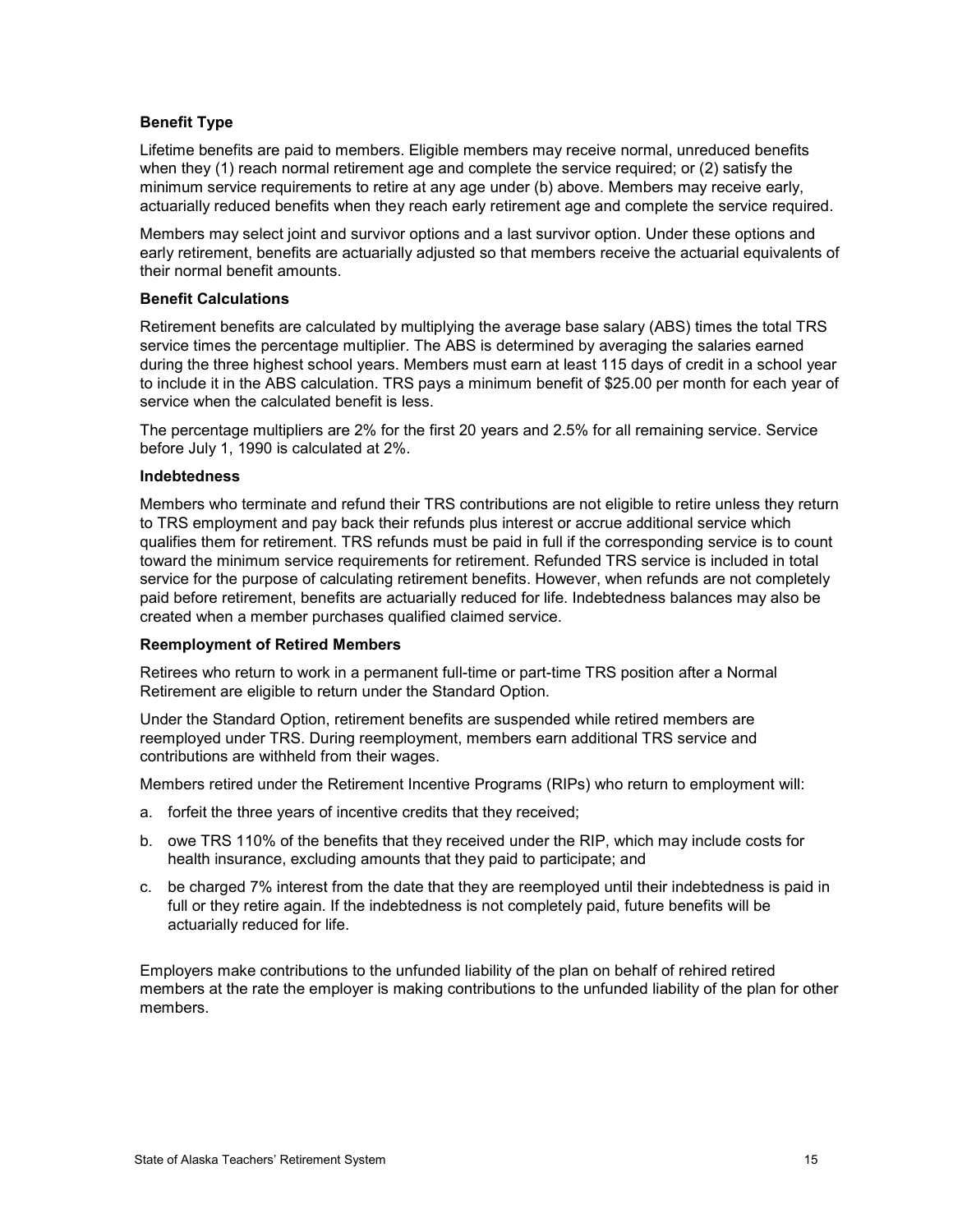#### **Benefit Type**

Lifetime benefits are paid to members. Eligible members may receive normal, unreduced benefits when they (1) reach normal retirement age and complete the service required; or (2) satisfy the minimum service requirements to retire at any age under (b) above. Members may receive early, actuarially reduced benefits when they reach early retirement age and complete the service required.

Members may select joint and survivor options and a last survivor option. Under these options and early retirement, benefits are actuarially adjusted so that members receive the actuarial equivalents of their normal benefit amounts.

#### **Benefit Calculations**

Retirement benefits are calculated by multiplying the average base salary (ABS) times the total TRS service times the percentage multiplier. The ABS is determined by averaging the salaries earned during the three highest school years. Members must earn at least 115 days of credit in a school year to include it in the ABS calculation. TRS pays a minimum benefit of \$25.00 per month for each year of service when the calculated benefit is less.

The percentage multipliers are 2% for the first 20 years and 2.5% for all remaining service. Service before July 1, 1990 is calculated at 2%.

#### **Indebtedness**

Members who terminate and refund their TRS contributions are not eligible to retire unless they return to TRS employment and pay back their refunds plus interest or accrue additional service which qualifies them for retirement. TRS refunds must be paid in full if the corresponding service is to count toward the minimum service requirements for retirement. Refunded TRS service is included in total service for the purpose of calculating retirement benefits. However, when refunds are not completely paid before retirement, benefits are actuarially reduced for life. Indebtedness balances may also be created when a member purchases qualified claimed service.

#### **Reemployment of Retired Members**

Retirees who return to work in a permanent full-time or part-time TRS position after a Normal Retirement are eligible to return under the Standard Option.

Under the Standard Option, retirement benefits are suspended while retired members are reemployed under TRS. During reemployment, members earn additional TRS service and contributions are withheld from their wages.

Members retired under the Retirement Incentive Programs (RIPs) who return to employment will:

- a. forfeit the three years of incentive credits that they received;
- b. owe TRS 110% of the benefits that they received under the RIP, which may include costs for health insurance, excluding amounts that they paid to participate; and
- c. be charged 7% interest from the date that they are reemployed until their indebtedness is paid in full or they retire again. If the indebtedness is not completely paid, future benefits will be actuarially reduced for life.

Employers make contributions to the unfunded liability of the plan on behalf of rehired retired members at the rate the employer is making contributions to the unfunded liability of the plan for other members.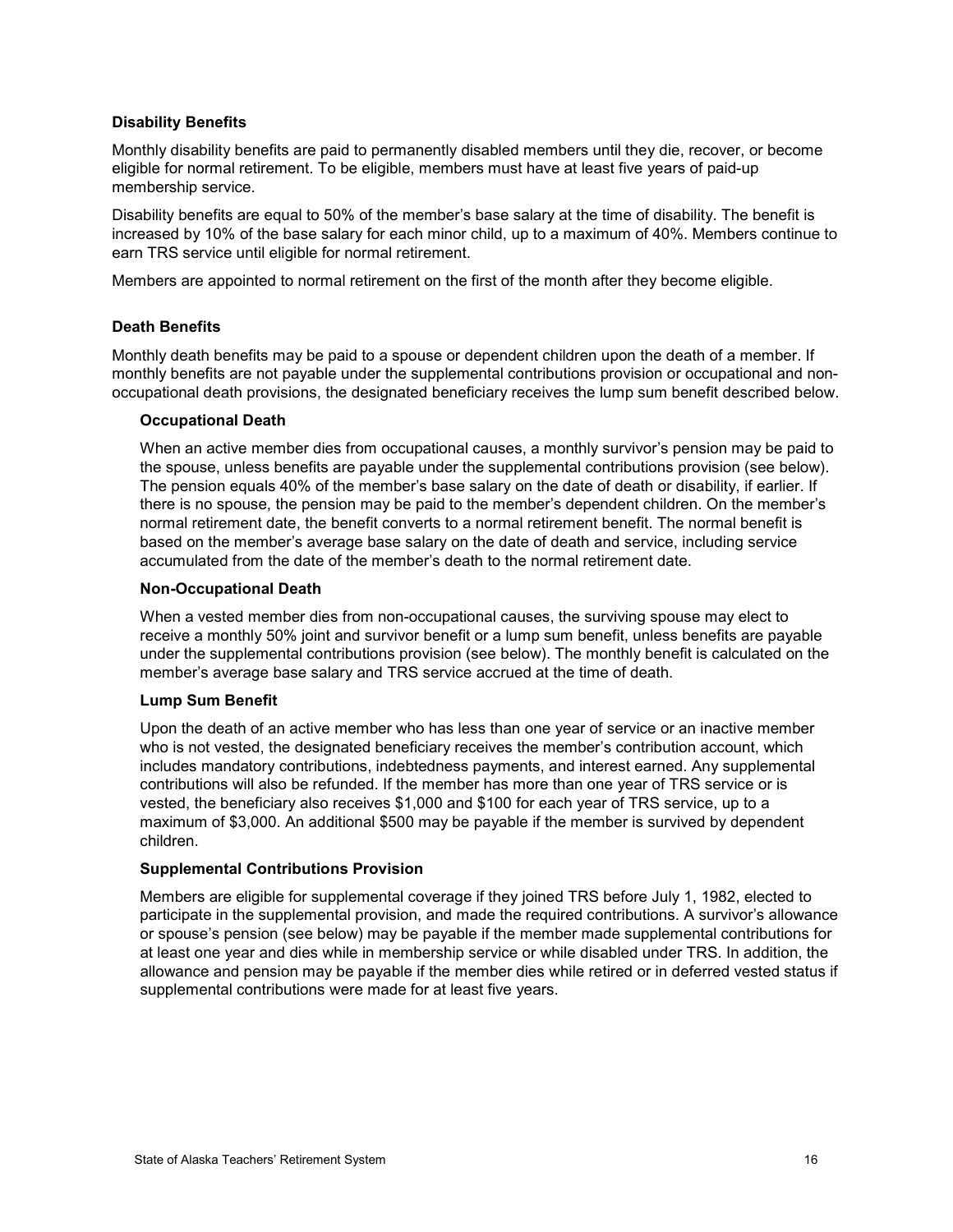#### **Disability Benefits**

Monthly disability benefits are paid to permanently disabled members until they die, recover, or become eligible for normal retirement. To be eligible, members must have at least five years of paid-up membership service.

Disability benefits are equal to 50% of the member's base salary at the time of disability. The benefit is increased by 10% of the base salary for each minor child, up to a maximum of 40%. Members continue to earn TRS service until eligible for normal retirement.

Members are appointed to normal retirement on the first of the month after they become eligible.

#### **Death Benefits**

Monthly death benefits may be paid to a spouse or dependent children upon the death of a member. If monthly benefits are not payable under the supplemental contributions provision or occupational and nonoccupational death provisions, the designated beneficiary receives the lump sum benefit described below.

#### **Occupational Death**

When an active member dies from occupational causes, a monthly survivor's pension may be paid to the spouse, unless benefits are payable under the supplemental contributions provision (see below). The pension equals 40% of the member's base salary on the date of death or disability, if earlier. If there is no spouse, the pension may be paid to the member's dependent children. On the member's normal retirement date, the benefit converts to a normal retirement benefit. The normal benefit is based on the member's average base salary on the date of death and service, including service accumulated from the date of the member's death to the normal retirement date.

#### **Non-Occupational Death**

When a vested member dies from non-occupational causes, the surviving spouse may elect to receive a monthly 50% joint and survivor benefit or a lump sum benefit, unless benefits are payable under the supplemental contributions provision (see below). The monthly benefit is calculated on the member's average base salary and TRS service accrued at the time of death.

#### **Lump Sum Benefit**

Upon the death of an active member who has less than one year of service or an inactive member who is not vested, the designated beneficiary receives the member's contribution account, which includes mandatory contributions, indebtedness payments, and interest earned. Any supplemental contributions will also be refunded. If the member has more than one year of TRS service or is vested, the beneficiary also receives \$1,000 and \$100 for each year of TRS service, up to a maximum of \$3,000. An additional \$500 may be payable if the member is survived by dependent children.

#### **Supplemental Contributions Provision**

Members are eligible for supplemental coverage if they joined TRS before July 1, 1982, elected to participate in the supplemental provision, and made the required contributions. A survivor's allowance or spouse's pension (see below) may be payable if the member made supplemental contributions for at least one year and dies while in membership service or while disabled under TRS. In addition, the allowance and pension may be payable if the member dies while retired or in deferred vested status if supplemental contributions were made for at least five years.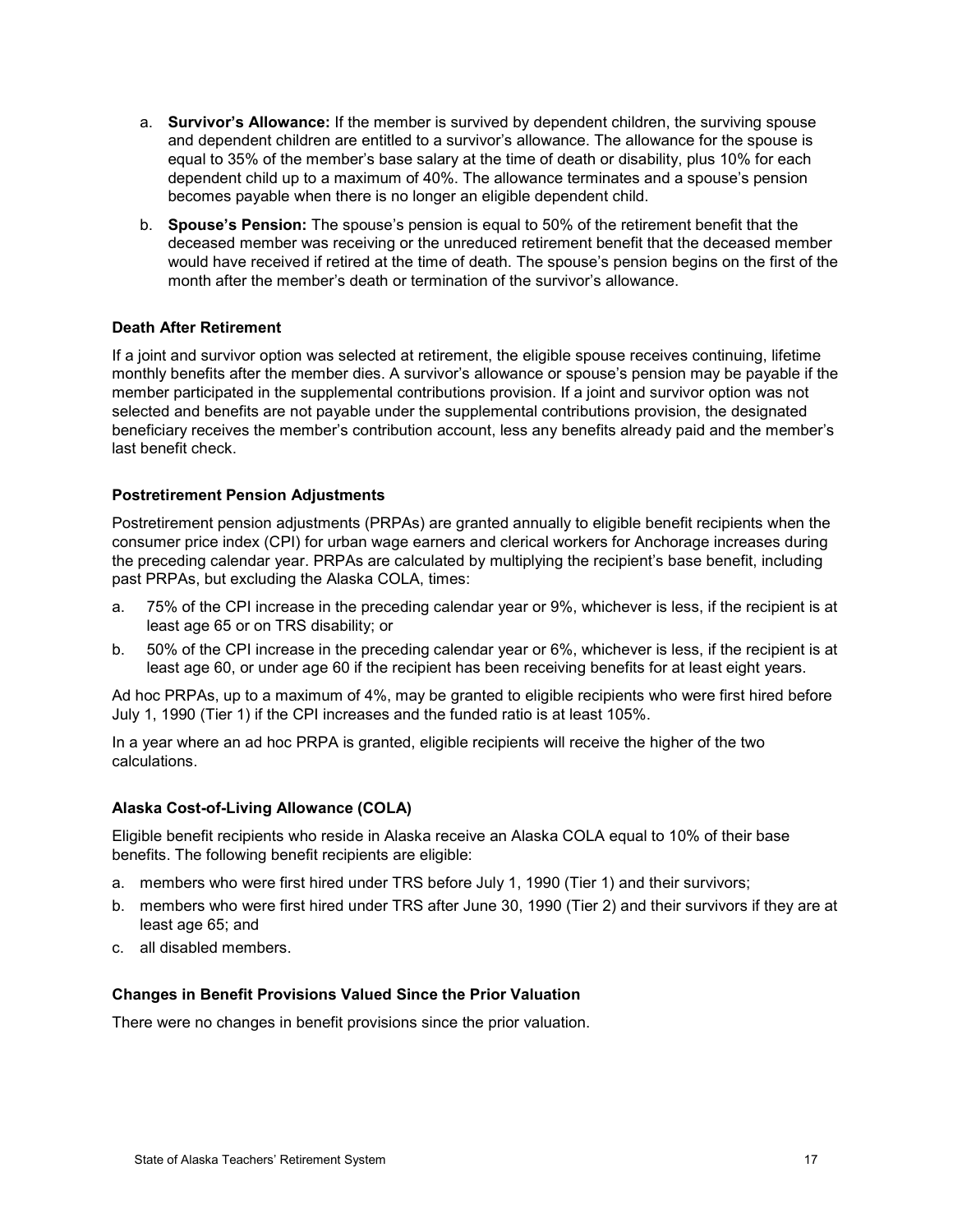- a. **Survivor's Allowance:** If the member is survived by dependent children, the surviving spouse and dependent children are entitled to a survivor's allowance. The allowance for the spouse is equal to 35% of the member's base salary at the time of death or disability, plus 10% for each dependent child up to a maximum of 40%. The allowance terminates and a spouse's pension becomes payable when there is no longer an eligible dependent child.
- b. **Spouse's Pension:** The spouse's pension is equal to 50% of the retirement benefit that the deceased member was receiving or the unreduced retirement benefit that the deceased member would have received if retired at the time of death. The spouse's pension begins on the first of the month after the member's death or termination of the survivor's allowance.

#### **Death After Retirement**

If a joint and survivor option was selected at retirement, the eligible spouse receives continuing, lifetime monthly benefits after the member dies. A survivor's allowance or spouse's pension may be payable if the member participated in the supplemental contributions provision. If a joint and survivor option was not selected and benefits are not payable under the supplemental contributions provision, the designated beneficiary receives the member's contribution account, less any benefits already paid and the member's last benefit check.

#### **Postretirement Pension Adjustments**

Postretirement pension adjustments (PRPAs) are granted annually to eligible benefit recipients when the consumer price index (CPI) for urban wage earners and clerical workers for Anchorage increases during the preceding calendar year. PRPAs are calculated by multiplying the recipient's base benefit, including past PRPAs, but excluding the Alaska COLA, times:

- a. 75% of the CPI increase in the preceding calendar year or 9%, whichever is less, if the recipient is at least age 65 or on TRS disability; or
- b. 50% of the CPI increase in the preceding calendar year or 6%, whichever is less, if the recipient is at least age 60, or under age 60 if the recipient has been receiving benefits for at least eight years.

Ad hoc PRPAs, up to a maximum of 4%, may be granted to eligible recipients who were first hired before July 1, 1990 (Tier 1) if the CPI increases and the funded ratio is at least 105%.

In a year where an ad hoc PRPA is granted, eligible recipients will receive the higher of the two calculations.

#### **Alaska Cost-of-Living Allowance (COLA)**

Eligible benefit recipients who reside in Alaska receive an Alaska COLA equal to 10% of their base benefits. The following benefit recipients are eligible:

- a. members who were first hired under TRS before July 1, 1990 (Tier 1) and their survivors;
- b. members who were first hired under TRS after June 30, 1990 (Tier 2) and their survivors if they are at least age 65; and
- c. all disabled members.

#### **Changes in Benefit Provisions Valued Since the Prior Valuation**

There were no changes in benefit provisions since the prior valuation.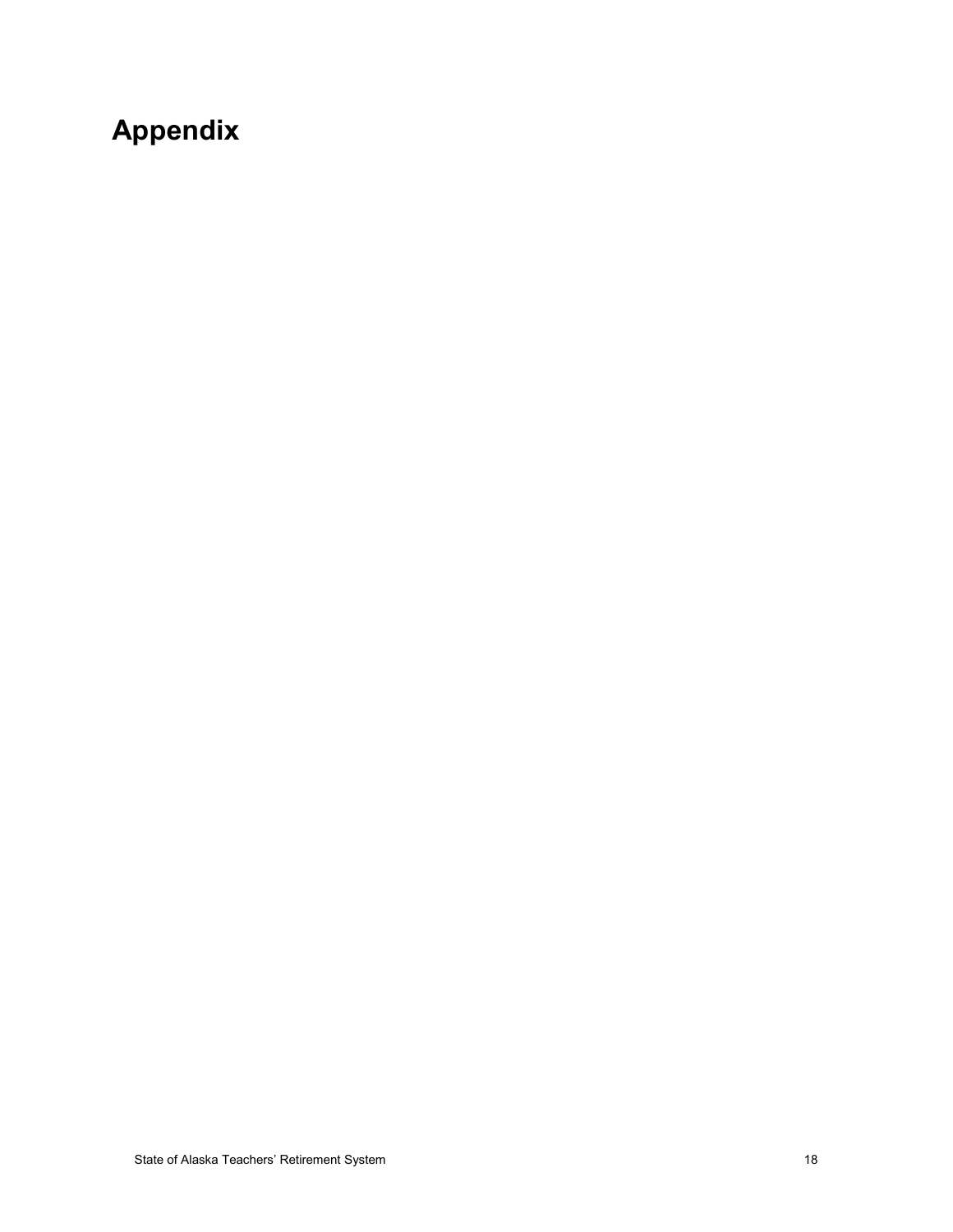# <span id="page-22-0"></span>**Appendix**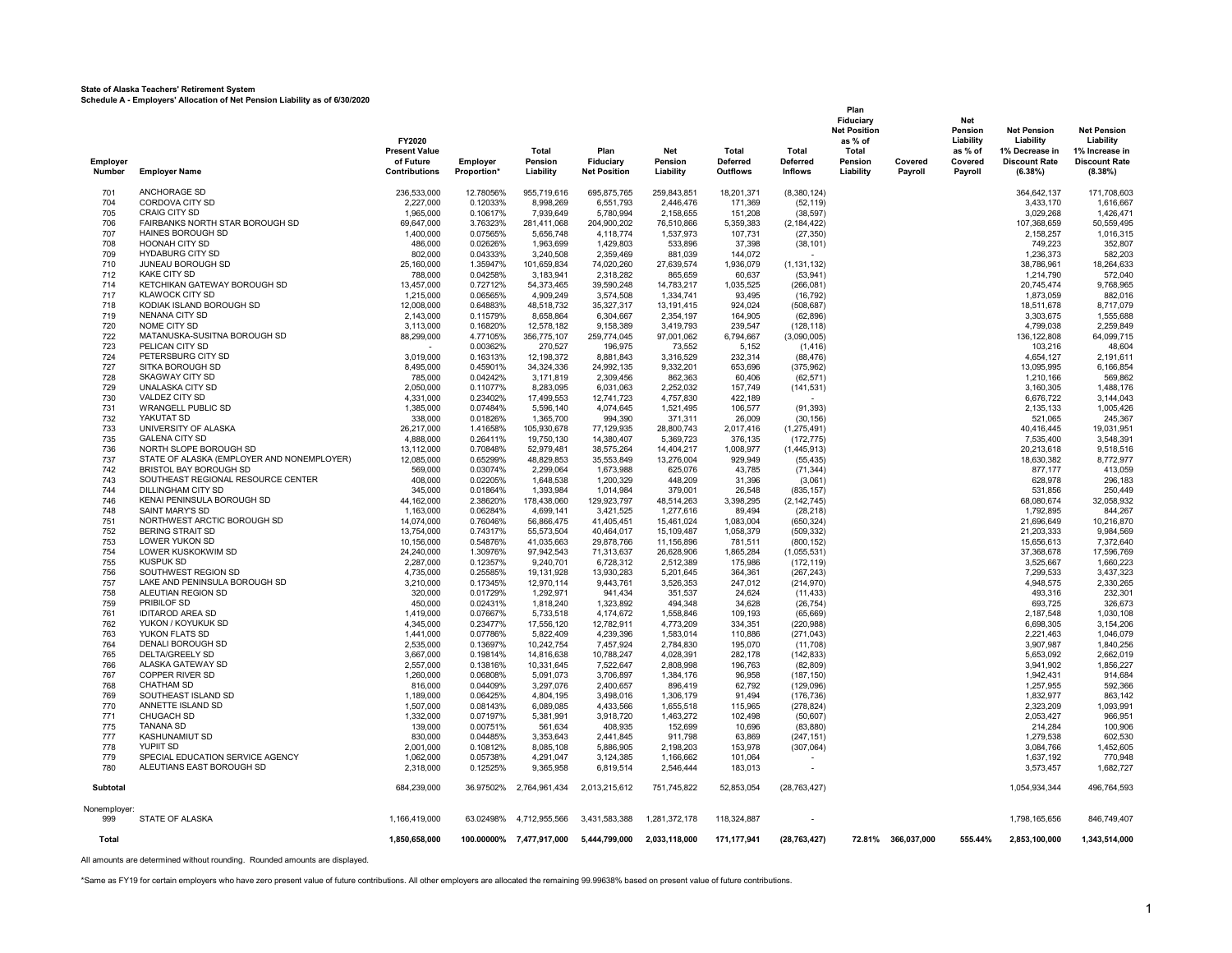#### **State of Alaska Teachers' Retirement System Schedule A - Employers' Allocation of Net Pension Liability as of 6/30/2020**

**Plan Fiduciary Net Net Position Pension Net Pension Net Pension FY2020 as % of Liability Liability Liability Present Value Total Plan Net Total Total Total as % of 1% Decrease in 1% Increase in Employer of Future Employer Pension Fiduciary Pension Deferred Deferred Pension Covered Covered Discount Rate Discount Rate** Number EmployerName Contributions Proportion\* Liability Net Position Liability Outflows Inflows Liability Payroll Payroll (6.38%) (8.38%) ANCHORAGE SD 236,533,000 12.78056% 955,719,616 695,875,765 259,843,851 18,201,371 (8,380,124) 364,642,137 171,708,603 CORDOVA CITY SD 2,227,000 0.12033% 8,998,269 6,551,793 2,446,476 171,369 (52,119) 3,433,170 1,616,667 CRAIG CITY SD 1,965,000 0.10617% 7,939,649 5,780,994 2,158,655 151,208 (38,597) 3,029,268 1,426,471 FAIRBANKS NORTH STAR BOROUGH SD 69,647,000 3.76323% 281,411,068 204,900,202 76,510,866 5,359,383 (2,184,422) 107,368,659 50,559,495 HAINES BOROUGH SD 1,400,000 0.07565% 5,656,748 4,118,774 1,537,973 107,731 (27,350) 2,158,257 1,016,315 HOONAH CITY SD 486,000 0.02626% 1,963,699 1,429,803 533,896 37,398 (38,101) 749,223 352,807 HYDABURG CITY SD 802,000 0.04333% 3,240,508 2,359,469 881,039 144,072 - 1,236,373 582,203 JUNEAU BOROUGH SD 25,160,000 1.35947% 101,659,834 74,020,260 27,639,574 1,936,079 (1,131,132) 38,786,961 18,264,633 KAKE CITY SD 788,000 0.04258% 3,183,941 2,318,282 865,659 60,637 (53,941) 1,214,790 572,040 KETCHIKAN GATEWAY BOROUGH SD 13,457,000 0.72712% 54,373,465 39,590,248 14,783,217 1,035,525 (266,081) 20,745,474 9,768,965 KLAWOCK CITY SD 1,215,000 0.06565% 4,909,249 3,574,508 1,334,741 93,495 (16,792) 1,873,059 882,016 KODIAK ISLAND BOROUGH SD 12,008,000 0.64883% 48,518,732 35,327,317 13,191,415 924,024 (508,687) 18,511,678 8,717,079 NENANA CITY SD 2,143,000 0.11579% 8,658,864 6,304,667 2,354,197 164,905 (62,896) 3,303,675 1,555,688 NOME CITY SD 3,113,000 0.16820% 12,578,182 9,158,389 3,419,793 239,547 (128,118) 4,799,038 2,259,849 MATANUSKA-SUSITNA BOROUGH SD 88,299,000 4.77105% 356,775,107 259,774,045 97,001,062 6,794,667 (3,090,005) 136,122,808 64,099,715 723 PELICAN CITY SD - 0.00362% 270,527 196,975 73,552 5,152 (1,416) 103,216 48,604 PETERSBURG CITY SD 3,019,000 0.16313% 12,198,372 8,881,843 3,316,529 232,314 (88,476) 4,654,127 2,191,611 SITKA BOROUGH SD 8,495,000 0.45901% 34,324,336 24,992,135 9,332,201 653,696 (375,962) 13,095,995 6,166,854 SKAGWAY CITY SD 785,000 0.04242% 3,171,819 2,309,456 862,363 60,406 (62,571) 1,210,166 569,862 UNALASKA CITY SD 2,050,000 0.11077% 8,283,095 6,031,063 2,252,032 157,749 (141,531) 3,160,305 1,488,176 VALDEZ CITY SD 4,331,000 0.23402% 17,499,553 12,741,723 4,757,830 422,189 - 6,676,722 3,144,043 WRANGELL PUBLIC SD 1,385,000 0.07484% 5,596,140 4,074,645 1,521,495 106,577 (91,393) 2,135,133 1,005,426 YAKUTAT SD 338,000 0.01826% 1,365,700 994,390 371,311 26,009 (30,156) 521,065 245,367 UNIVERSITY OF ALASKA 26,217,000 1.41658% 105,930,678 77,129,935 28,800,743 2,017,416 (1,275,491) 40,416,445 19,031,951 735 GALENA CITY SD 4,888,000 0.26411% 19,750,130 14,380,407 5,369,723 376,135 (172,775) 7,535,400 3,548,391 NORTH SLOPE BOROUGH SD 13,112,000 0.70848% 52,979,481 38,575,264 14,404,217 1,008,977 (1,445,913) 20,213,618 9,518,516 STATE OF ALASKA (EMPLOYER AND NONEMPLOYER) 12,085,000 0.65299% 48,829,853 35,553,849 13,276,004 929,949 (55,435) 18,630,382 8,772,977 BRISTOL BAY BOROUGH SD 569,000 0.03074% 2,299,064 1,673,988 625,076 43,785 (71,344) 877,177 413,059 SOUTHEAST REGIONAL RESOURCE CENTER 408,000 0.02205% 1,648,538 1,200,329 448,209 31,396 (3,061) 628,978 296,183 DILLINGHAM CITY SD 345,000 0.01864% 1,393,984 1,014,984 379,001 26,548 (835,157) 531,856 250,449 .<br>1990 TAB 1991 ALS 1991 MASS 1992 12, 162,000 129,923,797 12,514,263 129,923,797 1277,616 129,923,295 12,142,74<br>1992 TAB 1,792,895 1,792,895 844,267 1,163,000 1,06284% 4,699,141 3,421,525 1,277,616 89,494 (28,218) 748 MAS SAINT MARY'S SD 1,163,000 0.06284% 4,699,141 3,421,525 1,277,616 89,494 (28,218) 1,792,895 844,267 NORTHWEST ARCTIC BOROUGH SD 14,074,000 0.76046% 56,866,475 41,405,451 15,461,024 1,083,004 (650,324) 21,696,649 10,216,870 BERING STRAIT SD 13,754,000 0.74317% 55,573,504 40,464,017 15,109,487 1,058,379 (509,332) 21,203,333 9,984,569 LOWER YUKON SD 10,156,000 0.54876% 41,035,663 29,878,766 11,156,896 781,511 (800,152) 15,656,613 7,372,640 LOWER KUSKOKWIM SD 24,240,000 1.30976% 97,942,543 71,313,637 26,628,906 1,865,284 (1,055,531) 37,368,678 17,596,769 KUSPUK SD 2,287,000 0.12357% 9,240,701 6,728,312 2,512,389 175,986 (172,119) 3,525,667 1,660,223 SOUTHWEST REGION SD 4,735,000 0.25585% 19,131,928 13,930,283 5,201,645 364,361 (267,243) 7,299,533 3,437,323 LAKE AND PENINSULA BOROUGH SD 3,210,000 0.17345% 12,970,114 9,443,761 3,526,353 247,012 (214,970) 4,948,575 2,330,265 ALEUTIAN REGION SD 320,000 0.01729% 1,292,971 941,434 351,537 24,624 (11,433) 493,316 232,301 PRIBILOF SD 450,000 0.02431% 1,818,240 1,323,892 494,348 34,628 (26,754) 693,725 326,673 IDITAROD AREA SD 1,419,000 0.07667% 5,733,518 4,174,672 1,558,846 109,193 (65,669) 2,187,548 1,030,108 YUKON / KOYUKUK SD 4,345,000 0.23477% 17,556,120 12,782,911 4,773,209 334,351 (220,988) 6,698,305 3,154,206 YUKON FLATS SD 1,441,000 0.07786% 5,822,409 4,239,396 1,583,014 110,886 (271,043) 2,221,463 1,046,079 DENALI BOROUGH SD 2,535,000 0.13697% 10,242,754 7,457,924 2,784,830 195,070 (11,708) 3,907,987 1,840,256 DELTA/GREELY SD 3,667,000 0.19814% 14,816,638 10,788,247 4,028,391 282,178 (142,833) 5,653,092 2,662,019 ALASKA GATEWAY SD 2,557,000 0.13816% 10,331,645 7,522,647 2,808,998 196,763 (82,809) 3,941,902 1,856,227 COPPER RIVER SD 1,260,000 0.06808% 5,091,073 3,706,897 1,384,176 96,958 (187,150) 1,942,431 914,684 CHATHAM SD 816,000 0.04409% 3,297,076 2,400,657 896,419 62,792 (129,096) 1,257,955 592,366 SOUTHEAST ISLAND SD 1,189,000 0.06425% 4,804,195 3,498,016 1,306,179 91,494 (176,736) 1,832,977 863,142 ANNETTE ISLAND SD 1,507,000 0.08143% 6,089,085 4,433,566 1,655,518 115,965 (278,824) 2,323,209 1,093,991 CHUGACH SD 1,332,000 0.07197% 5,381,991 3,918,720 1,463,272 102,498 (50,607) 2,053,427 966,951 TANANA SD 139,000 0.00751% 561,634 408,935 152,699 10,696 (83,880) 214,284 100,906 KASHUNAMIUT SD 830,000 0.04485% 3,353,643 2,441,845 911,798 63,869 (247,151) 1,279,538 602,530 YUPIIT SD 2,001,000 0.10812% 8,085,108 5,886,905 2,198,203 153,978 (307,064) 3,084,766 1,452,605 SPECIAL EDUCATION SERVICE AGENCY 1,062,000 0.05738% 4,291,047 3,124,385 1,166,662 101,064 - 1,637,192 770,948 ALEUTIANS EAST BOROUGH SD 2,318,000 0.12525% 9,365,958 6,819,514 2,546,444 183,013 - 3,573,457 1,682,727 **Subtotal** 684,239,000 36.97502% 2,764,961,434 2,013,215,612 751,745,822 52,853,054 (28,763,427) 1,054,934,344 496,764,593 Nonemployer:<br>999 STATE OF ALASKA STATE OF ALASKA 1,166,419,000 63.02498% 4,712,955,566 3,431,583,388 1,281,372,178 118,324,887 - 1,798,165,656 846,749,407 **Total 1,850,658,000 100.00000% 7,477,917,000 5,444,799,000 2,033,118,000 171,177,941 (28,763,427) 72.81% 366,037,000 555.44% 2,853,100,000 1,343,514,000**

All amounts are determined without rounding. Rounded amounts are displayed.

\*Same as FY19 for certain employers who have zero present value of future contributions. All other employers are allocated the remaining 99.99638% based on present value of future contributions.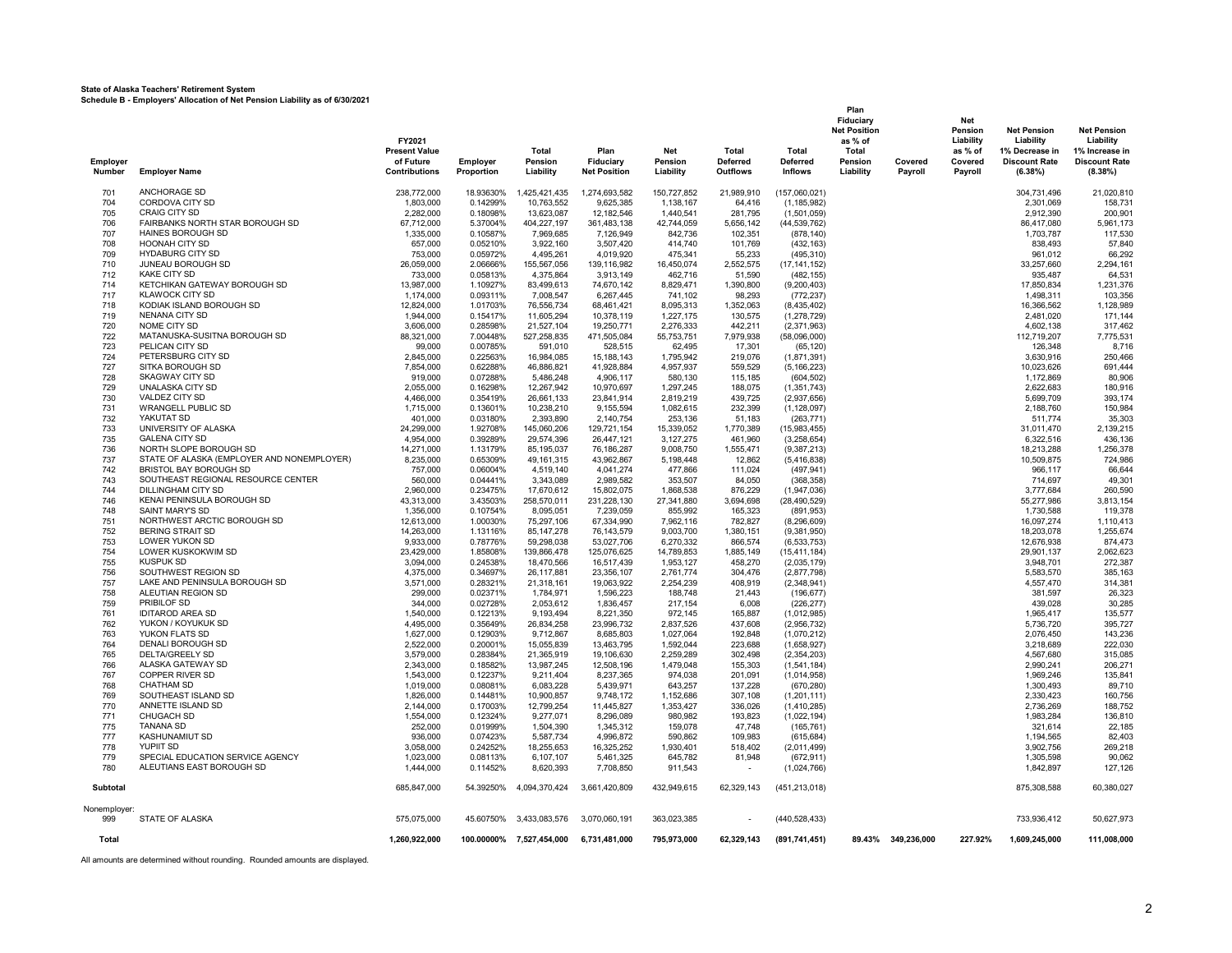**State of Alaska Teachers' Retirement System Schedule B - Employers' Allocation of Net Pension Liability as of 6/30/2021**

| Employer<br><b>Number</b> | <b>Employer Name</b>                             | FY2021<br><b>Present Value</b><br>of Future<br><b>Contributions</b> | <b>Employer</b><br>Proportion | Total<br>Pension<br>Liability | Plan<br>Fiduciary<br><b>Net Position</b> | <b>Net</b><br>Pension<br>Liability | Total<br><b>Deferred</b><br><b>Outflows</b> | Total<br><b>Deferred</b><br><b>Inflows</b> | Plan<br>Fiduciary<br><b>Net Position</b><br>as % of<br>Total<br>Pension<br>Liability | Covered<br>Payroll | Net<br>Pension<br>Liability<br>as % of<br>Covered<br>Payroll | <b>Net Pension</b><br>Liability<br>1% Decrease in<br><b>Discount Rate</b><br>(6.38%) | <b>Net Pension</b><br>Liability<br>1% Increase in<br><b>Discount Rate</b><br>(8.38%) |
|---------------------------|--------------------------------------------------|---------------------------------------------------------------------|-------------------------------|-------------------------------|------------------------------------------|------------------------------------|---------------------------------------------|--------------------------------------------|--------------------------------------------------------------------------------------|--------------------|--------------------------------------------------------------|--------------------------------------------------------------------------------------|--------------------------------------------------------------------------------------|
| 701                       | ANCHORAGE SD                                     | 238,772,000                                                         | 18.93630%                     | 1,425,421,435                 | 1,274,693,582                            | 150,727,852                        | 21,989,910                                  | (157,060,021)                              |                                                                                      |                    |                                                              | 304,731,496                                                                          | 21,020,810                                                                           |
| 704                       | CORDOVA CITY SD                                  | 1,803,000                                                           | 0.14299%                      | 10,763,552                    | 9,625,385                                | 1,138,167                          | 64,416                                      | (1, 185, 982)                              |                                                                                      |                    |                                                              | 2,301,069                                                                            | 158,731                                                                              |
| 705                       | CRAIG CITY SD                                    | 2,282,000                                                           | 0.18098%                      | 13,623,087                    | 12,182,546                               | 1,440,541                          | 281,795                                     | (1,501,059)                                |                                                                                      |                    |                                                              | 2,912,390                                                                            | 200,901                                                                              |
| 706                       | FAIRBANKS NORTH STAR BOROUGH SD                  | 67,712,000                                                          | 5.37004%                      | 404,227,197                   | 361,483,138                              | 42,744,059                         | 5,656,142                                   | (44, 539, 762)                             |                                                                                      |                    |                                                              | 86,417,080                                                                           | 5,961,173                                                                            |
| 707<br>708                | HAINES BOROUGH SD<br><b>HOONAH CITY SD</b>       | 1,335,000<br>657,000                                                | 0.10587%<br>0.05210%          | 7,969,685<br>3,922,160        | 7,126,949<br>3,507,420                   | 842,736<br>414,740                 | 102,351<br>101,769                          | (878, 140)<br>(432, 163)                   |                                                                                      |                    |                                                              | 1,703,787<br>838,493                                                                 | 117,530<br>57,840                                                                    |
| 709                       | <b>HYDABURG CITY SD</b>                          | 753,000                                                             | 0.05972%                      | 4,495,261                     | 4,019,920                                | 475,341                            | 55,233                                      | (495, 310)                                 |                                                                                      |                    |                                                              | 961,012                                                                              | 66,292                                                                               |
| 710                       | JUNEAU BOROUGH SD                                | 26,059,000                                                          | 2.06666%                      | 155,567,056                   | 139,116,982                              | 16,450,074                         | 2,552,575                                   | (17, 141, 152)                             |                                                                                      |                    |                                                              | 33,257,660                                                                           | 2,294,161                                                                            |
| 712                       | <b>KAKE CITY SD</b>                              | 733,000                                                             | 0.05813%                      | 4,375,864                     | 3,913,149                                | 462,716                            | 51,590                                      | (482, 155)                                 |                                                                                      |                    |                                                              | 935,487                                                                              | 64,531                                                                               |
| 714                       | KETCHIKAN GATEWAY BOROUGH SD                     | 13,987,000                                                          | 1.10927%                      | 83,499,613                    | 74,670,142                               | 8,829,471                          | 1,390,800                                   | (9,200,403)                                |                                                                                      |                    |                                                              | 17,850,834                                                                           | 1,231,376                                                                            |
| 717                       | <b>KLAWOCK CITY SD</b>                           | 1,174,000                                                           | 0.09311%                      | 7,008,547                     | 6,267,445                                | 741,102                            | 98,293                                      | (772, 237)                                 |                                                                                      |                    |                                                              | 1,498,311                                                                            | 103,356                                                                              |
| 718                       | KODIAK ISLAND BOROUGH SD                         | 12,824,000                                                          | 1.01703%                      | 76,556,734                    | 68,461,421                               | 8,095,313                          | 1,352,063                                   | (8,435,402)                                |                                                                                      |                    |                                                              | 16,366,562                                                                           | 1,128,989                                                                            |
| 719<br>720                | NENANA CITY SD<br>NOME CITY SD                   | 1,944,000<br>3,606,000                                              | 0.15417%<br>0.28598%          | 11,605,294<br>21,527,104      | 10,378,119<br>19,250,771                 | 1,227,175<br>2,276,333             | 130,575<br>442,211                          | (1,278,729)<br>(2,371,963)                 |                                                                                      |                    |                                                              | 2,481,020                                                                            | 171,144<br>317,462                                                                   |
| 722                       | MATANUSKA-SUSITNA BOROUGH SD                     | 88,321,000                                                          | 7.00448%                      | 527,258,835                   | 471,505,084                              | 55,753,751                         | 7,979,938                                   | (58,096,000)                               |                                                                                      |                    |                                                              | 4,602,138<br>112,719,207                                                             | 7,775,531                                                                            |
| 723                       | PELICAN CITY SD                                  | 99,000                                                              | 0.00785%                      | 591,010                       | 528,515                                  | 62,495                             | 17,301                                      | (65, 120)                                  |                                                                                      |                    |                                                              | 126,348                                                                              | 8,716                                                                                |
| 724                       | PETERSBURG CITY SD                               | 2,845,000                                                           | 0.22563%                      | 16,984,085                    | 15,188,143                               | 1,795,942                          | 219,076                                     | (1,871,391)                                |                                                                                      |                    |                                                              | 3,630,916                                                                            | 250,466                                                                              |
| 727                       | SITKA BOROUGH SD                                 | 7.854.000                                                           | 0.62288%                      | 46,886,821                    | 41.928.884                               | 4.957.937                          | 559,529                                     | (5, 166, 223)                              |                                                                                      |                    |                                                              | 10.023.626                                                                           | 691.444                                                                              |
| 728                       | <b>SKAGWAY CITY SD</b>                           | 919,000                                                             | 0.07288%                      | 5,486,248                     | 4,906,117                                | 580.130                            | 115,185                                     | (604, 502)                                 |                                                                                      |                    |                                                              | 1,172,869                                                                            | 80,906                                                                               |
| 729                       | <b>UNALASKA CITY SD</b>                          | 2,055,000                                                           | 0.16298%                      | 12,267,942                    | 10,970,697                               | 1,297,245                          | 188,075                                     | (1,351,743)                                |                                                                                      |                    |                                                              | 2,622,683                                                                            | 180,916                                                                              |
| 730<br>731                | VALDEZ CITY SD<br><b>WRANGELL PUBLIC SD</b>      | 4,466,000                                                           | 0.35419%                      | 26,661,133<br>10,238,210      | 23,841,914                               | 2,819,219                          | 439,725<br>232,399                          | (2,937,656)                                |                                                                                      |                    |                                                              | 5,699,709                                                                            | 393,174<br>150,984                                                                   |
| 732                       | YAKUTAT SD                                       | 1,715,000<br>401.000                                                | 0.13601%<br>0.03180%          | 2.393.890                     | 9,155,594<br>2,140,754                   | 1,082,615<br>253.136               | 51,183                                      | (1, 128, 097)<br>(263, 771)                |                                                                                      |                    |                                                              | 2,188,760<br>511.774                                                                 | 35,303                                                                               |
| 733                       | UNIVERSITY OF ALASKA                             | 24,299,000                                                          | 1.92708%                      | 145,060,206                   | 129,721,154                              | 15,339,052                         | 1,770,389                                   | (15,983,455)                               |                                                                                      |                    |                                                              | 31,011,470                                                                           | 2,139,215                                                                            |
| 735                       | <b>GALENA CITY SD</b>                            | 4.954.000                                                           | 0.39289%                      | 29.574.396                    | 26.447.121                               | 3.127.275                          | 461.960                                     | (3.258.654)                                |                                                                                      |                    |                                                              | 6.322.516                                                                            | 436.136                                                                              |
| 736                       | NORTH SLOPE BOROUGH SD                           | 14.271.000                                                          | 1.13179%                      | 85,195,037                    | 76,186,287                               | 9.008.750                          | 1,555,471                                   | (9,387,213)                                |                                                                                      |                    |                                                              | 18,213,288                                                                           | 1,256,378                                                                            |
| 737                       | STATE OF ALASKA (EMPLOYER AND NONEMPLOYER)       | 8,235,000                                                           | 0.65309%                      | 49, 161, 315                  | 43,962,867                               | 5,198,448                          | 12,862                                      | (5, 416, 838)                              |                                                                                      |                    |                                                              | 10,509,875                                                                           | 724,986                                                                              |
| 742                       | BRISTOL BAY BOROUGH SD                           | 757,000                                                             | 0.06004%                      | 4,519,140                     | 4,041,274                                | 477,866                            | 111,024                                     | (497, 941)                                 |                                                                                      |                    |                                                              | 966,117                                                                              | 66,644                                                                               |
| 743                       | SOUTHEAST REGIONAL RESOURCE CENTER               | 560,000                                                             | 0.04441%                      | 3,343,089                     | 2,989,582                                | 353,507                            | 84,050                                      | (368, 358)                                 |                                                                                      |                    |                                                              | 714,697                                                                              | 49,301                                                                               |
| 744<br>746                | DILLINGHAM CITY SD<br>KENAI PENINSULA BOROUGH SD | 2,960,000<br>43,313,000                                             | 0.23475%<br>3.43503%          | 17,670,612<br>258,570,011     | 15,802,075<br>231,228,130                | 1,868,538<br>27,341,880            | 876,229<br>3,694,698                        | (1,947,036)<br>(28, 490, 529)              |                                                                                      |                    |                                                              | 3,777,684<br>55,277,986                                                              | 260,590<br>3,813,154                                                                 |
| 748                       | SAINT MARY'S SD                                  | 1,356,000                                                           | 0.10754%                      | 8,095,051                     | 7,239,059                                | 855,992                            | 165,323                                     | (891, 953)                                 |                                                                                      |                    |                                                              | 1,730,588                                                                            | 119,378                                                                              |
| 751                       | NORTHWEST ARCTIC BOROUGH SD                      | 12,613,000                                                          | 1.00030%                      | 75,297,106                    | 67,334,990                               | 7,962,116                          | 782,827                                     | (8, 296, 609)                              |                                                                                      |                    |                                                              | 16,097,274                                                                           | 1,110,413                                                                            |
| 752                       | <b>BERING STRAIT SD</b>                          | 14,263,000                                                          | 1.13116%                      | 85, 147, 278                  | 76, 143, 579                             | 9,003,700                          | 1,380,151                                   | (9,381,950)                                |                                                                                      |                    |                                                              | 18,203,078                                                                           | 1,255,674                                                                            |
| 753                       | LOWER YUKON SD                                   | 9,933,000                                                           | 0.78776%                      | 59,298,038                    | 53,027,706                               | 6,270,332                          | 866,574                                     | (6, 533, 753)                              |                                                                                      |                    |                                                              | 12,676,938                                                                           | 874,473                                                                              |
| 754                       | LOWER KUSKOKWIM SD                               | 23,429,000                                                          | 1.85808%                      | 139,866,478                   | 125,076,625                              | 14,789,853                         | 1,885,149                                   | (15, 411, 184)                             |                                                                                      |                    |                                                              | 29,901,137                                                                           | 2,062,623                                                                            |
| 755                       | <b>KUSPUK SD</b><br>SOUTHWEST REGION SD          | 3,094,000                                                           | 0.24538%                      | 18,470,566                    | 16,517,439                               | 1,953,127                          | 458,270                                     | (2,035,179)                                |                                                                                      |                    |                                                              | 3,948,701                                                                            | 272,387                                                                              |
| 756<br>757                | LAKE AND PENINSULA BOROUGH SD                    | 4,375,000<br>3,571,000                                              | 0.34697%<br>0.28321%          | 26,117,881<br>21,318,161      | 23,356,107<br>19,063,922                 | 2,761,774<br>2,254,239             | 304,476<br>408,919                          | (2,877,798)<br>(2,348,941)                 |                                                                                      |                    |                                                              | 5,583,570<br>4,557,470                                                               | 385,163<br>314,381                                                                   |
| 758                       | ALEUTIAN REGION SD                               | 299.000                                                             | 0.02371%                      | 1,784,971                     | 1,596,223                                | 188.748                            | 21,443                                      | (196, 677)                                 |                                                                                      |                    |                                                              | 381.597                                                                              | 26.323                                                                               |
| 759                       | PRIBILOF SD                                      | 344.000                                                             | 0.02728%                      | 2,053,612                     | 1,836,457                                | 217,154                            | 6,008                                       | (226, 277)                                 |                                                                                      |                    |                                                              | 439,028                                                                              | 30,285                                                                               |
| 761                       | <b>IDITAROD AREA SD</b>                          | 1,540,000                                                           | 0.12213%                      | 9,193,494                     | 8,221,350                                | 972,145                            | 165,887                                     | (1,012,985)                                |                                                                                      |                    |                                                              | 1,965,417                                                                            | 135,577                                                                              |
| 762                       | YUKON / KOYUKUK SD                               | 4,495,000                                                           | 0.35649%                      | 26,834,258                    | 23,996,732                               | 2,837,526                          | 437,608                                     | (2,956,732)                                |                                                                                      |                    |                                                              | 5,736,720                                                                            | 395,727                                                                              |
| 763                       | YUKON FLATS SD                                   | 1,627,000                                                           | 0.12903%                      | 9,712,867                     | 8,685,803                                | 1,027,064                          | 192,848                                     | (1,070,212)                                |                                                                                      |                    |                                                              | 2,076,450                                                                            | 143,236                                                                              |
| 764<br>765                | DENALI BOROUGH SD<br>DELTA/GREELY SD             | 2,522,000<br>3,579,000                                              | 0.20001%<br>0.28384%          | 15,055,839<br>21,365,919      | 13,463,795<br>19,106,630                 | 1,592,044<br>2,259,289             | 223,688<br>302,498                          | (1,658,927)<br>(2,354,203)                 |                                                                                      |                    |                                                              | 3,218,689<br>4,567,680                                                               | 222,030<br>315,085                                                                   |
| 766                       | ALASKA GATEWAY SD                                | 2.343.000                                                           | 0.18582%                      | 13,987,245                    | 12,508,196                               | 1.479.048                          | 155,303                                     | (1,541,184)                                |                                                                                      |                    |                                                              | 2,990,241                                                                            | 206,271                                                                              |
| 767                       | <b>COPPER RIVER SD</b>                           | 1,543,000                                                           | 0.12237%                      | 9,211,404                     | 8,237,365                                | 974.038                            | 201,091                                     | (1,014,958)                                |                                                                                      |                    |                                                              | 1,969,246                                                                            | 135,841                                                                              |
| 768                       | <b>CHATHAM SD</b>                                | 1,019,000                                                           | 0.08081%                      | 6,083,228                     | 5,439,971                                | 643,257                            | 137,228                                     | (670, 280)                                 |                                                                                      |                    |                                                              | 1,300,493                                                                            | 89,710                                                                               |
| 769                       | SOUTHEAST ISLAND SD                              | 1,826,000                                                           | 0.14481%                      | 10,900,857                    | 9,748,172                                | 1,152,686                          | 307,108                                     | (1,201,111)                                |                                                                                      |                    |                                                              | 2,330,423                                                                            | 160,756                                                                              |
| 770                       | ANNETTE ISLAND SD                                | 2,144,000                                                           | 0.17003%                      | 12,799,254                    | 11,445,827                               | 1,353,427                          | 336,026                                     | (1,410,285)                                |                                                                                      |                    |                                                              | 2,736,269                                                                            | 188,752                                                                              |
| 771                       | <b>CHUGACH SD</b>                                | 1,554,000                                                           | 0.12324%                      | 9,277,071                     | 8,296,089                                | 980.982                            | 193,823                                     | (1,022,194)                                |                                                                                      |                    |                                                              | 1,983,284                                                                            | 136,810                                                                              |
| 775<br>777                | <b>TANANA SD</b><br>KASHUNAMIUT SD               | 252.000<br>936,000                                                  | 0.01999%<br>0.07423%          | 1.504.390                     | 1.345.312                                | 159.078<br>590.862                 | 47.748<br>109.983                           | (165.761)                                  |                                                                                      |                    |                                                              | 321.614                                                                              | 22.185<br>82.403                                                                     |
| 778                       | <b>YUPIIT SD</b>                                 | 3.058.000                                                           | 0.24252%                      | 5,587,734<br>18,255,653       | 4.996.872<br>16,325,252                  | 1.930.401                          | 518.402                                     | (615, 684)<br>(2,011,499)                  |                                                                                      |                    |                                                              | 1.194.565<br>3.902.756                                                               | 269.218                                                                              |
| 779                       | SPECIAL EDUCATION SERVICE AGENCY                 | 1,023,000                                                           | 0.08113%                      | 6,107,107                     | 5,461,325                                | 645,782                            | 81,948                                      | (672, 911)                                 |                                                                                      |                    |                                                              | 1,305,598                                                                            | 90.062                                                                               |
| 780                       | ALEUTIANS EAST BOROUGH SD                        | 1,444,000                                                           | 0.11452%                      | 8,620,393                     | 7,708,850                                | 911,543                            | $\sim$                                      | (1,024,766)                                |                                                                                      |                    |                                                              | 1,842,897                                                                            | 127,126                                                                              |
| Subtotal                  |                                                  | 685,847,000                                                         | 54.39250%                     | 4,094,370,424                 | 3,661,420,809                            | 432,949,615                        | 62,329,143                                  | (451, 213, 018)                            |                                                                                      |                    |                                                              | 875,308,588                                                                          | 60,380,027                                                                           |
| Nonemployer:              |                                                  |                                                                     |                               |                               |                                          |                                    |                                             |                                            |                                                                                      |                    |                                                              |                                                                                      |                                                                                      |
| 999                       | STATE OF ALASKA                                  | 575,075,000                                                         | 45.60750%                     | 3,433,083,576                 | 3,070,060,191                            | 363,023,385                        |                                             | (440, 528, 433)                            |                                                                                      |                    |                                                              | 733,936,412                                                                          | 50,627,973                                                                           |
| Total                     |                                                  | 1,260,922,000                                                       |                               | 100.00000% 7,527,454,000      | 6,731,481,000                            | 795,973,000                        | 62,329,143                                  | (891,741,451)                              |                                                                                      | 89.43% 349,236,000 | 227.92%                                                      | 1,609,245,000                                                                        | 111,008,000                                                                          |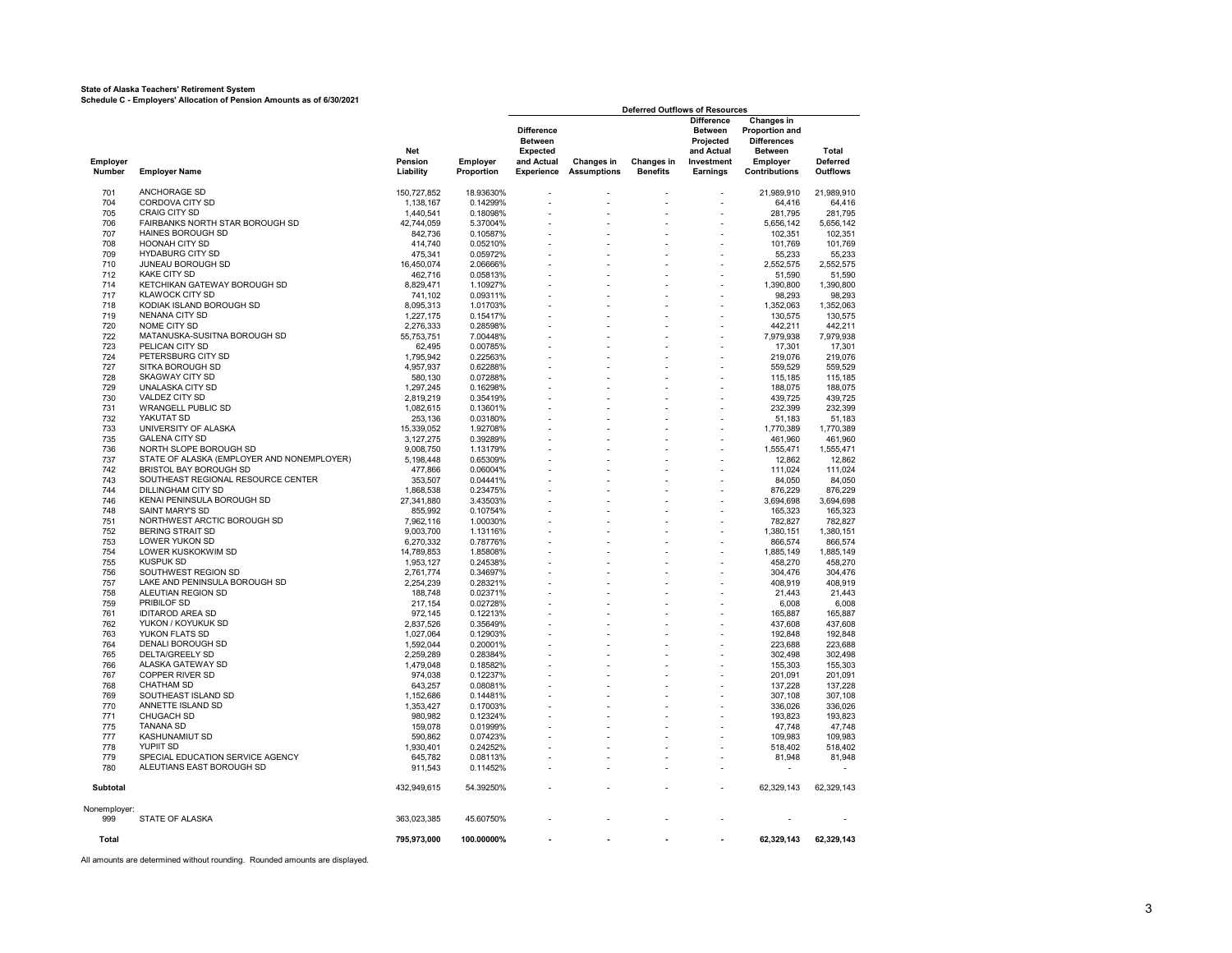#### **State of Alaska Teachers' Retirement System**

**Schedule C - Employers' Allocation of Pension Amounts as of 6/30/2021**

|                    |                                                        |                             |                        |                                                                                    |                                  | <b>Deferred Outflows of Resources</b> |                                                                                          |                                                                                                                        |                                             |
|--------------------|--------------------------------------------------------|-----------------------------|------------------------|------------------------------------------------------------------------------------|----------------------------------|---------------------------------------|------------------------------------------------------------------------------------------|------------------------------------------------------------------------------------------------------------------------|---------------------------------------------|
| Employer<br>Number | <b>Employer Name</b>                                   | Net<br>Pension<br>Liability | Employer<br>Proportion | <b>Difference</b><br><b>Between</b><br><b>Expected</b><br>and Actual<br>Experience | Changes in<br><b>Assumptions</b> | Changes in<br><b>Benefits</b>         | <b>Difference</b><br><b>Between</b><br>Projected<br>and Actual<br>Investment<br>Earnings | <b>Changes in</b><br><b>Proportion and</b><br><b>Differences</b><br><b>Between</b><br>Employer<br><b>Contributions</b> | <b>Total</b><br>Deferred<br><b>Outflows</b> |
| 701                | ANCHORAGE SD                                           | 150,727,852                 | 18.93630%              |                                                                                    |                                  |                                       |                                                                                          | 21,989,910                                                                                                             | 21,989,910                                  |
| 704                | CORDOVA CITY SD                                        | 1,138,167                   | 0.14299%               |                                                                                    |                                  |                                       | $\overline{a}$                                                                           | 64,416                                                                                                                 | 64,416                                      |
| 705                | <b>CRAIG CITY SD</b>                                   | 1,440,541                   | 0.18098%               |                                                                                    |                                  |                                       |                                                                                          | 281,795                                                                                                                | 281,795                                     |
| 706                | FAIRBANKS NORTH STAR BOROUGH SD                        | 42,744,059                  | 5.37004%               |                                                                                    |                                  |                                       |                                                                                          | 5,656,142                                                                                                              | 5,656,142                                   |
| 707                | HAINES BOROUGH SD                                      | 842,736                     | 0.10587%               |                                                                                    |                                  |                                       |                                                                                          | 102,351                                                                                                                | 102.351                                     |
| 708                | <b>HOONAH CITY SD</b>                                  | 414,740                     | 0.05210%               |                                                                                    |                                  |                                       |                                                                                          | 101,769                                                                                                                | 101,769                                     |
| 709                | <b>HYDABURG CITY SD</b>                                | 475,341                     | 0.05972%               |                                                                                    |                                  |                                       |                                                                                          | 55,233                                                                                                                 | 55,233                                      |
| 710                | JUNEAU BOROUGH SD                                      | 16,450,074                  | 2.06666%               |                                                                                    |                                  |                                       |                                                                                          | 2,552,575                                                                                                              | 2,552,575                                   |
| 712                | <b>KAKE CITY SD</b>                                    | 462,716                     | 0.05813%               |                                                                                    |                                  |                                       |                                                                                          | 51,590                                                                                                                 | 51,590                                      |
| 714                | KETCHIKAN GATEWAY BOROUGH SD                           | 8,829,471                   | 1.10927%               |                                                                                    |                                  |                                       |                                                                                          | 1,390,800                                                                                                              | 1,390,800                                   |
| 717                | <b>KLAWOCK CITY SD</b>                                 | 741,102                     | 0.09311%               |                                                                                    |                                  |                                       | $\overline{a}$                                                                           | 98,293                                                                                                                 | 98,293                                      |
| 718                | KODIAK ISLAND BOROUGH SD                               | 8,095,313                   | 1.01703%               |                                                                                    |                                  |                                       |                                                                                          | 1,352,063                                                                                                              | 1,352,063                                   |
| 719                | <b>NENANA CITY SD</b>                                  | 1,227,175                   | 0.15417%               |                                                                                    |                                  |                                       |                                                                                          | 130,575                                                                                                                | 130,575                                     |
| 720                | NOME CITY SD                                           | 2,276,333                   | 0.28598%               |                                                                                    |                                  |                                       |                                                                                          | 442,211                                                                                                                | 442,211                                     |
| 722                | MATANUSKA-SUSITNA BOROUGH SD                           | 55,753,751                  | 7.00448%               |                                                                                    |                                  |                                       |                                                                                          | 7,979,938                                                                                                              | 7,979,938                                   |
| 723                | PELICAN CITY SD                                        | 62,495                      | 0.00785%               |                                                                                    |                                  |                                       |                                                                                          | 17,301                                                                                                                 | 17,301                                      |
| 724<br>727         | PETERSBURG CITY SD<br>SITKA BOROUGH SD                 | 1,795,942<br>4,957,937      | 0.22563%<br>0.62288%   |                                                                                    |                                  |                                       |                                                                                          | 219,076<br>559,529                                                                                                     | 219,076<br>559,529                          |
| 728                | <b>SKAGWAY CITY SD</b>                                 | 580,130                     | 0.07288%               |                                                                                    |                                  |                                       |                                                                                          | 115,185                                                                                                                | 115,185                                     |
| 729                | UNALASKA CITY SD                                       | 1,297,245                   | 0.16298%               |                                                                                    |                                  |                                       |                                                                                          | 188.075                                                                                                                | 188.075                                     |
| 730                | <b>VALDEZ CITY SD</b>                                  | 2,819,219                   | 0.35419%               |                                                                                    |                                  |                                       |                                                                                          | 439,725                                                                                                                | 439,725                                     |
| 731                | <b>WRANGELL PUBLIC SD</b>                              | 1,082,615                   | 0.13601%               |                                                                                    |                                  |                                       |                                                                                          | 232,399                                                                                                                | 232,399                                     |
| 732                | YAKUTAT SD                                             | 253,136                     | 0.03180%               |                                                                                    |                                  |                                       |                                                                                          | 51,183                                                                                                                 | 51,183                                      |
| 733                | UNIVERSITY OF ALASKA                                   | 15,339,052                  | 1.92708%               |                                                                                    |                                  |                                       |                                                                                          | 1,770,389                                                                                                              | 1,770,389                                   |
| 735                | <b>GALENA CITY SD</b>                                  | 3,127,275                   | 0.39289%               |                                                                                    |                                  |                                       |                                                                                          | 461,960                                                                                                                | 461,960                                     |
| 736                | NORTH SLOPE BOROUGH SD                                 | 9,008,750                   | 1.13179%               |                                                                                    |                                  |                                       |                                                                                          | 1,555,471                                                                                                              | 1,555,471                                   |
| 737                | STATE OF ALASKA (EMPLOYER AND NONEMPLOYER)             | 5,198,448                   | 0.65309%               |                                                                                    |                                  |                                       |                                                                                          | 12,862                                                                                                                 | 12,862                                      |
| 742                | BRISTOL BAY BOROUGH SD                                 | 477,866                     | 0.06004%               |                                                                                    |                                  |                                       |                                                                                          | 111.024                                                                                                                | 111,024                                     |
| 743                | SOUTHEAST REGIONAL RESOURCE CENTER                     | 353,507                     | 0.04441%               |                                                                                    |                                  |                                       |                                                                                          | 84,050                                                                                                                 | 84,050                                      |
| 744                | DILLINGHAM CITY SD                                     | 1,868,538                   | 0.23475%               |                                                                                    |                                  |                                       |                                                                                          | 876,229                                                                                                                | 876,229                                     |
| 746                | KENAI PENINSULA BOROUGH SD                             | 27,341,880                  | 3.43503%               |                                                                                    |                                  |                                       |                                                                                          | 3,694,698                                                                                                              | 3,694,698                                   |
| 748                | SAINT MARY'S SD                                        | 855,992                     | 0.10754%               |                                                                                    |                                  |                                       |                                                                                          | 165,323                                                                                                                | 165,323                                     |
| 751<br>752         | NORTHWEST ARCTIC BOROUGH SD<br><b>BERING STRAIT SD</b> | 7,962,116<br>9,003,700      | 1.00030%<br>1.13116%   |                                                                                    |                                  |                                       |                                                                                          | 782,827<br>1,380,151                                                                                                   | 782,827<br>1,380,151                        |
| 753                | LOWER YUKON SD                                         | 6.270.332                   | 0.78776%               |                                                                                    |                                  |                                       |                                                                                          | 866,574                                                                                                                | 866.574                                     |
| 754                | LOWER KUSKOKWIM SD                                     | 14.789.853                  | 1.85808%               |                                                                                    |                                  |                                       |                                                                                          | 1,885,149                                                                                                              | 1,885,149                                   |
| 755                | KUSPUK SD                                              | 1,953,127                   | 0.24538%               |                                                                                    |                                  |                                       |                                                                                          | 458,270                                                                                                                | 458,270                                     |
| 756                | SOUTHWEST REGION SD                                    | 2,761,774                   | 0.34697%               |                                                                                    |                                  |                                       |                                                                                          | 304,476                                                                                                                | 304,476                                     |
| 757                | LAKE AND PENINSULA BOROUGH SD                          | 2,254,239                   | 0.28321%               |                                                                                    |                                  |                                       |                                                                                          | 408,919                                                                                                                | 408,919                                     |
| 758                | ALEUTIAN REGION SD                                     | 188,748                     | 0.02371%               |                                                                                    |                                  |                                       |                                                                                          | 21,443                                                                                                                 | 21,443                                      |
| 759                | PRIBILOF SD                                            | 217,154                     | 0.02728%               |                                                                                    |                                  |                                       |                                                                                          | 6,008                                                                                                                  | 6,008                                       |
| 761                | <b>IDITAROD AREA SD</b>                                | 972,145                     | 0.12213%               |                                                                                    |                                  |                                       |                                                                                          | 165,887                                                                                                                | 165,887                                     |
| 762                | YUKON / KOYUKUK SD                                     | 2,837,526                   | 0.35649%               |                                                                                    |                                  |                                       |                                                                                          | 437.608                                                                                                                | 437.608                                     |
| 763                | YUKON FLATS SD                                         | 1,027,064                   | 0.12903%               |                                                                                    |                                  |                                       |                                                                                          | 192,848                                                                                                                | 192,848                                     |
| 764                | DENALI BOROUGH SD                                      | 1,592,044                   | 0.20001%               |                                                                                    |                                  |                                       |                                                                                          | 223,688                                                                                                                | 223,688                                     |
| 765                | DELTA/GREELY SD                                        | 2,259,289                   | 0.28384%               |                                                                                    |                                  |                                       |                                                                                          | 302,498                                                                                                                | 302,498                                     |
| 766                | ALASKA GATEWAY SD                                      | 1,479,048                   | 0.18582%               |                                                                                    |                                  |                                       |                                                                                          | 155,303                                                                                                                | 155,303                                     |
| 767                | COPPER RIVER SD                                        | 974,038                     | 0.12237%               |                                                                                    |                                  |                                       |                                                                                          | 201,091                                                                                                                | 201,091                                     |
| 768<br>769         | <b>CHATHAM SD</b><br>SOUTHEAST ISLAND SD               | 643,257<br>1,152,686        | 0.08081%<br>0.14481%   |                                                                                    |                                  |                                       |                                                                                          | 137,228<br>307,108                                                                                                     | 137,228<br>307,108                          |
| 770                | ANNETTE ISLAND SD                                      | 1,353,427                   | 0.17003%               |                                                                                    |                                  |                                       |                                                                                          | 336,026                                                                                                                | 336,026                                     |
| 771                | CHUGACH SD                                             | 980,982                     | 0.12324%               |                                                                                    |                                  |                                       |                                                                                          | 193,823                                                                                                                | 193,823                                     |
| 775                | <b>TANANA SD</b>                                       | 159,078                     | 0.01999%               |                                                                                    |                                  |                                       |                                                                                          | 47,748                                                                                                                 | 47,748                                      |
| 777                | KASHUNAMIUT SD                                         | 590,862                     | 0.07423%               |                                                                                    |                                  |                                       |                                                                                          | 109,983                                                                                                                | 109,983                                     |
| 778                | YUPIIT SD                                              | 1,930,401                   | 0.24252%               |                                                                                    |                                  |                                       |                                                                                          | 518,402                                                                                                                | 518,402                                     |
| 779                | SPECIAL EDUCATION SERVICE AGENCY                       | 645,782                     | 0.08113%               |                                                                                    |                                  |                                       |                                                                                          | 81,948                                                                                                                 | 81,948                                      |
| 780                | ALEUTIANS EAST BOROUGH SD                              | 911,543                     | 0.11452%               |                                                                                    |                                  |                                       |                                                                                          |                                                                                                                        |                                             |
| Subtotal           |                                                        | 432,949,615                 | 54.39250%              |                                                                                    |                                  |                                       |                                                                                          | 62,329,143                                                                                                             | 62,329,143                                  |
| Nonemployer:       |                                                        |                             |                        |                                                                                    |                                  |                                       |                                                                                          |                                                                                                                        |                                             |
| 999                | STATE OF ALASKA                                        | 363,023,385                 | 45.60750%              |                                                                                    |                                  |                                       |                                                                                          |                                                                                                                        |                                             |
| Total              |                                                        | 795,973,000                 | 100.00000%             |                                                                                    |                                  |                                       |                                                                                          | 62,329,143                                                                                                             | 62,329,143                                  |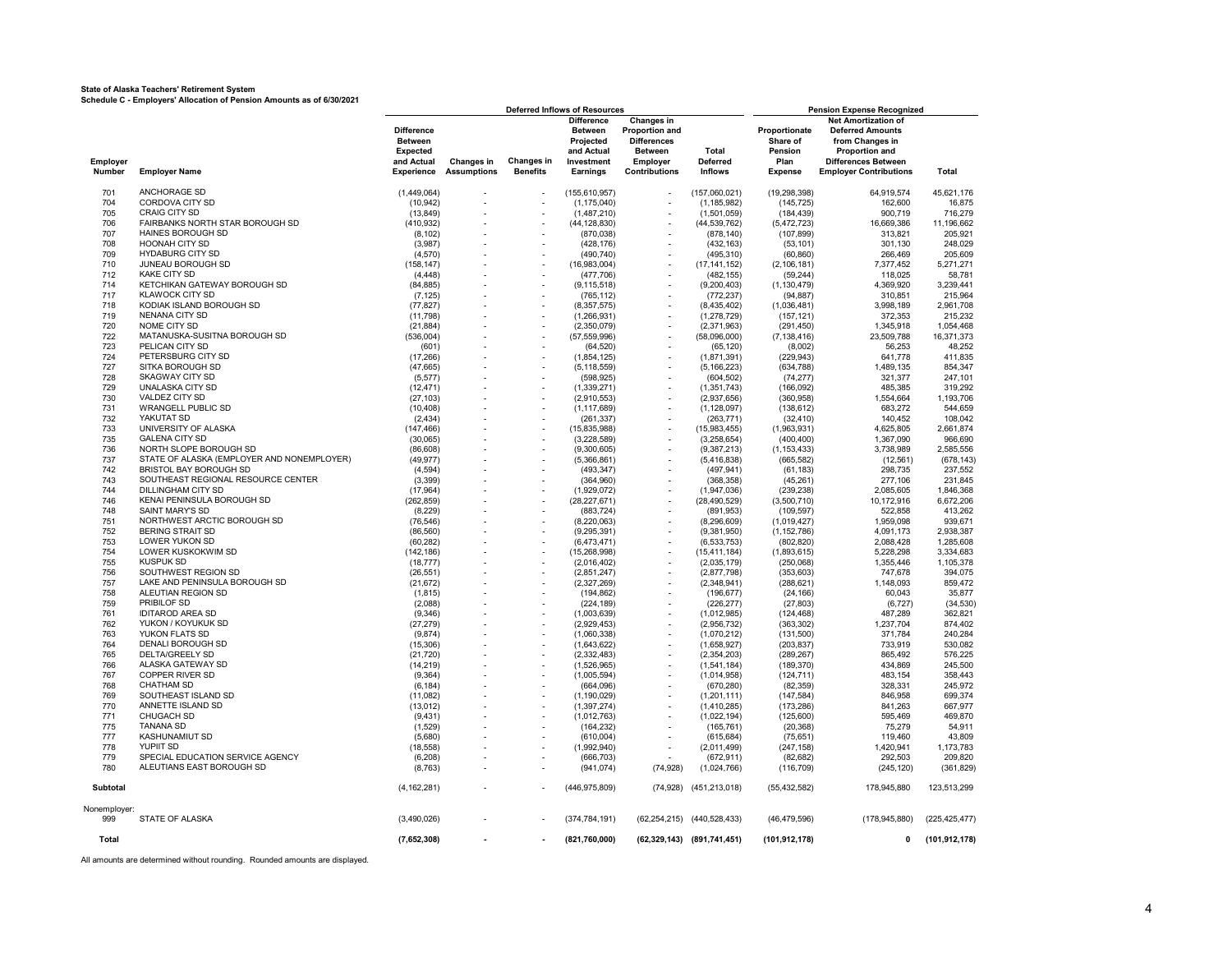#### **State of Alaska Teachers' Retirement System Schedule C - Employers' Allocation of Pension Amounts as of 6/30/2021**

|              |                                            |                   | <b>Deferred Inflows of Resources</b> |                   |                   |                       |                            | <b>Pension Expense Recognized</b> |                               |                 |  |  |
|--------------|--------------------------------------------|-------------------|--------------------------------------|-------------------|-------------------|-----------------------|----------------------------|-----------------------------------|-------------------------------|-----------------|--|--|
|              |                                            |                   |                                      |                   | <b>Difference</b> | <b>Changes in</b>     |                            |                                   | <b>Net Amortization of</b>    |                 |  |  |
|              |                                            | <b>Difference</b> |                                      |                   | Between           | <b>Proportion and</b> |                            | Proportionate                     | <b>Deferred Amounts</b>       |                 |  |  |
|              |                                            | <b>Between</b>    |                                      |                   | Projected         | <b>Differences</b>    |                            | Share of                          | from Changes in               |                 |  |  |
|              |                                            | <b>Expected</b>   |                                      |                   | and Actual        | <b>Between</b>        | <b>Total</b>               | Pension                           | Proportion and                |                 |  |  |
| Employer     |                                            | and Actual        | <b>Changes in</b>                    | <b>Changes in</b> | Investment        | Employer              | <b>Deferred</b>            | Plan                              | <b>Differences Between</b>    |                 |  |  |
| Number       | <b>Employer Name</b>                       | Experience        | <b>Assumptions</b>                   | <b>Benefits</b>   | Earnings          | <b>Contributions</b>  | <b>Inflows</b>             | <b>Expense</b>                    | <b>Employer Contributions</b> | Total           |  |  |
|              |                                            |                   |                                      |                   |                   |                       |                            |                                   |                               |                 |  |  |
| 701          | ANCHORAGE SD                               | (1,449,064)       |                                      |                   | (155, 610, 957)   |                       | (157,060,021)              | (19, 298, 398)                    | 64,919,574                    | 45,621,176      |  |  |
| 704          | CORDOVA CITY SD                            |                   |                                      |                   |                   |                       |                            |                                   |                               |                 |  |  |
|              |                                            | (10, 942)         |                                      |                   | (1, 175, 040)     |                       | (1, 185, 982)              | (145, 725)                        | 162,600                       | 16,875          |  |  |
| 705          | <b>CRAIG CITY SD</b>                       | (13, 849)         |                                      |                   | (1,487,210)       |                       | (1,501,059)                | (184, 439)                        | 900,719                       | 716,279         |  |  |
| 706          | FAIRBANKS NORTH STAR BOROUGH SD            | (410, 932)        |                                      |                   | (44, 128, 830)    |                       | (44, 539, 762)             | (5,472,723)                       | 16,669,386                    | 11,196,662      |  |  |
| 707          | HAINES BOROUGH SD                          | (8, 102)          |                                      |                   | (870, 038)        |                       | (878, 140)                 | (107, 899)                        | 313,821                       | 205,921         |  |  |
| 708          | <b>HOONAH CITY SD</b>                      | (3,987)           |                                      |                   | (428, 176)        |                       | (432, 163)                 | (53, 101)                         | 301,130                       | 248,029         |  |  |
| 709          | <b>HYDABURG CITY SD</b>                    | (4, 570)          |                                      |                   | (490, 740)        |                       | (495, 310)                 | (60, 860)                         | 266,469                       | 205,609         |  |  |
| 710          | JUNEAU BOROUGH SD                          | (158, 147)        |                                      |                   | (16,983,004)      |                       | (17, 141, 152)             | (2, 106, 181)                     | 7,377,452                     | 5,271,271       |  |  |
| 712          | <b>KAKE CITY SD</b>                        | (4, 448)          |                                      |                   | (477,706)         |                       | (482, 155)                 | (59, 244)                         | 118,025                       | 58,781          |  |  |
|              |                                            |                   |                                      |                   |                   |                       |                            |                                   |                               |                 |  |  |
| 714          | KETCHIKAN GATEWAY BOROUGH SD               | (84, 885)         |                                      |                   | (9, 115, 518)     |                       | (9,200,403)                | (1, 130, 479)                     | 4,369,920                     | 3,239,441       |  |  |
| 717          | <b>KLAWOCK CITY SD</b>                     | (7, 125)          |                                      |                   | (765, 112)        |                       | (772, 237)                 | (94, 887)                         | 310,851                       | 215,964         |  |  |
| 718          | KODIAK ISLAND BOROUGH SD                   | (77, 827)         |                                      |                   | (8, 357, 575)     |                       | (8,435,402)                | (1,036,481)                       | 3,998,189                     | 2,961,708       |  |  |
| 719          | NENANA CITY SD                             | (11, 798)         |                                      |                   | (1,266,931)       |                       | (1, 278, 729)              | (157, 121)                        | 372,353                       | 215,232         |  |  |
| 720          | NOME CITY SD                               | (21, 884)         | $\sim$                               |                   | (2,350,079)       | $\overline{a}$        | (2,371,963)                | (291, 450)                        | 1,345,918                     | 1,054,468       |  |  |
| 722          | MATANUSKA-SUSITNA BOROUGH SD               | (536,004)         |                                      |                   | (57, 559, 996)    |                       | (58,096,000)               | (7, 138, 416)                     | 23,509,788                    | 16,371,373      |  |  |
| 723          | PELICAN CITY SD                            | (601)             |                                      |                   |                   |                       |                            |                                   | 56,253                        |                 |  |  |
|              |                                            |                   |                                      |                   | (64, 520)         |                       | (65, 120)                  | (8,002)                           |                               | 48,252          |  |  |
| 724          | PETERSBURG CITY SD                         | (17, 266)         |                                      |                   | (1,854,125)       |                       | (1,871,391)                | (229, 943)                        | 641,778                       | 411,835         |  |  |
| 727          | SITKA BOROUGH SD                           | (47, 665)         |                                      |                   | (5, 118, 559)     |                       | (5, 166, 223)              | (634, 788)                        | 1.489.135                     | 854.347         |  |  |
| 728          | <b>SKAGWAY CITY SD</b>                     | (5, 577)          |                                      |                   | (598, 925)        |                       | (604, 502)                 | (74, 277)                         | 321,377                       | 247,101         |  |  |
| 729          | <b>UNALASKA CITY SD</b>                    | (12, 471)         |                                      |                   | (1, 339, 271)     |                       | (1, 351, 743)              | (166, 092)                        | 485,385                       | 319,292         |  |  |
| 730          | VALDEZ CITY SD                             | (27, 103)         |                                      |                   | (2,910,553)       |                       | (2,937,656)                | (360, 958)                        | 1,554,664                     | 1,193,706       |  |  |
| 731          | <b>WRANGELL PUBLIC SD</b>                  |                   |                                      |                   |                   |                       | (1, 128, 097)              | (138, 612)                        | 683,272                       | 544,659         |  |  |
|              |                                            | (10, 408)         |                                      |                   | (1, 117, 689)     |                       |                            |                                   |                               |                 |  |  |
| 732          | YAKUTAT SD                                 | (2, 434)          |                                      |                   | (261, 337)        |                       | (263, 771)                 | (32, 410)                         | 140,452                       | 108,042         |  |  |
| 733          | UNIVERSITY OF ALASKA                       | (147, 466)        |                                      |                   | (15, 835, 988)    |                       | (15,983,455)               | (1,963,931)                       | 4,625,805                     | 2,661,874       |  |  |
| 735          | <b>GALENA CITY SD</b>                      | (30,065)          |                                      |                   | (3,228,589)       |                       | (3.258.654)                | (400, 400)                        | 1.367.090                     | 966.690         |  |  |
| 736          | NORTH SLOPE BOROUGH SD                     | (86, 608)         |                                      |                   | (9,300,605)       |                       | (9,387,213)                | (1, 153, 433)                     | 3,738,989                     | 2,585,556       |  |  |
| 737          | STATE OF ALASKA (EMPLOYER AND NONEMPLOYER) | (49, 977)         |                                      |                   | (5,366,861)       |                       | (5,416,838)                | (665, 582)                        | (12, 561)                     | (678, 143)      |  |  |
| 742          | BRISTOL BAY BOROUGH SD                     |                   |                                      |                   |                   |                       |                            |                                   |                               |                 |  |  |
|              |                                            | (4, 594)          |                                      |                   | (493, 347)        |                       | (497, 941)                 | (61, 183)                         | 298,735                       | 237,552         |  |  |
| 743          | SOUTHEAST REGIONAL RESOURCE CENTER         | (3, 399)          |                                      |                   | (364,960)         |                       | (368, 358)                 | (45, 261)                         | 277,106                       | 231,845         |  |  |
| 744          | DILLINGHAM CITY SD                         | (17, 964)         |                                      |                   | (1,929,072)       |                       | (1,947,036)                | (239, 238)                        | 2,085,605                     | 1,846,368       |  |  |
| 746          | KENAI PENINSULA BOROUGH SD                 | (262, 859)        |                                      |                   | (28, 227, 671)    |                       | (28, 490, 529)             | (3,500,710)                       | 10,172,916                    | 6,672,206       |  |  |
| 748          | SAINT MARY'S SD                            | (8, 229)          |                                      |                   | (883, 724)        |                       | (891, 953)                 | (109, 597)                        | 522,858                       | 413,262         |  |  |
| 751          | NORTHWEST ARCTIC BOROUGH SD                | (76, 546)         |                                      |                   | (8, 220, 063)     |                       | (8, 296, 609)              | (1,019,427)                       | 1,959,098                     | 939,671         |  |  |
| 752          | <b>BERING STRAIT SD</b>                    | (86, 560)         |                                      |                   | (9, 295, 391)     |                       | (9,381,950)                | (1, 152, 786)                     | 4,091,173                     | 2,938,387       |  |  |
| 753          | LOWER YUKON SD                             |                   |                                      |                   |                   |                       |                            |                                   |                               |                 |  |  |
|              |                                            | (60, 282)         |                                      |                   | (6,473,471)       |                       | (6, 533, 753)              | (802, 820)                        | 2,088,428                     | 1,285,608       |  |  |
| 754          | LOWER KUSKOKWIM SD                         | (142, 186)        |                                      |                   | (15, 268, 998)    |                       | (15, 411, 184)             | (1,893,615)                       | 5,228,298                     | 3,334,683       |  |  |
| 755          | <b>KUSPUK SD</b>                           | (18, 777)         |                                      |                   | (2,016,402)       |                       | (2,035,179)                | (250,068)                         | 1,355,446                     | 1,105,378       |  |  |
| 756          | SOUTHWEST REGION SD                        | (26, 551)         | ÷,                                   |                   | (2,851,247)       |                       | (2,877,798)                | (353, 603)                        | 747,678                       | 394,075         |  |  |
| 757          | LAKE AND PENINSULA BOROUGH SD              | (21, 672)         |                                      |                   | (2,327,269)       |                       | (2,348,941)                | (288, 621)                        | 1,148,093                     | 859,472         |  |  |
| 758          | ALEUTIAN REGION SD                         | (1, 815)          |                                      |                   | (194, 862)        |                       | (196, 677)                 | (24, 166)                         | 60,043                        | 35,877          |  |  |
| 759          | PRIBILOF SD                                | (2,088)           |                                      |                   | (224, 189)        |                       | (226, 277)                 | (27, 803)                         | (6, 727)                      | (34, 530)       |  |  |
|              |                                            |                   |                                      |                   |                   |                       |                            |                                   |                               |                 |  |  |
| 761          | <b>IDITAROD AREA SD</b>                    | (9, 346)          |                                      |                   | (1,003,639)       |                       | (1,012,985)                | (124, 468)                        | 487,289                       | 362,821         |  |  |
| 762          | YUKON / KOYUKUK SD                         | (27, 279)         |                                      |                   | (2,929,453)       |                       | (2,956,732)                | (363, 302)                        | 1,237,704                     | 874,402         |  |  |
| 763          | YUKON FLATS SD                             | (9,874)           |                                      |                   | (1,060,338)       |                       | (1,070,212)                | (131, 500)                        | 371,784                       | 240,284         |  |  |
| 764          | DENALI BOROUGH SD                          | (15,306)          |                                      |                   | (1,643,622)       |                       | (1,658,927)                | (203, 837)                        | 733,919                       | 530,082         |  |  |
| 765          | DELTA/GREELY SD                            | (21, 720)         |                                      |                   | (2,332,483)       |                       | (2,354,203)                | (289, 267)                        | 865,492                       | 576,225         |  |  |
| 766          | ALASKA GATEWAY SD                          | (14, 219)         |                                      |                   | (1,526,965)       |                       | (1,541,184)                | (189, 370)                        | 434,869                       | 245,500         |  |  |
|              | <b>COPPER RIVER SD</b>                     |                   |                                      |                   |                   |                       |                            |                                   |                               |                 |  |  |
| 767          |                                            | (9, 364)          |                                      |                   | (1,005,594)       |                       | (1,014,958)                | (124, 711)                        | 483,154                       | 358,443         |  |  |
| 768          | <b>CHATHAM SD</b>                          | (6, 184)          |                                      |                   | (664,096)         |                       | (670, 280)                 | (82, 359)                         | 328,331                       | 245,972         |  |  |
| 769          | SOUTHEAST ISLAND SD                        | (11,082)          |                                      |                   | (1, 190, 029)     |                       | (1,201,111)                | (147, 584)                        | 846,958                       | 699,374         |  |  |
| 770          | ANNETTE ISLAND SD                          | (13, 012)         |                                      |                   | (1, 397, 274)     |                       | (1,410,285)                | (173, 286)                        | 841,263                       | 667,977         |  |  |
| 771          | <b>CHUGACH SD</b>                          | (9,431)           |                                      |                   | (1,012,763)       |                       | (1,022,194)                | (125,600)                         | 595,469                       | 469,870         |  |  |
| 775          | <b>TANANA SD</b>                           | (1,529)           |                                      |                   | (164.232)         |                       | (165, 761)                 | (20, 368)                         | 75,279                        | 54.911          |  |  |
| 777          | <b>KASHUNAMIUT SD</b>                      | (5,680)           |                                      |                   | (610,004)         |                       | (615, 684)                 | (75, 651)                         | 119.460                       | 43.809          |  |  |
|              |                                            |                   |                                      |                   |                   |                       |                            |                                   |                               |                 |  |  |
| 778          | <b>YUPIIT SD</b>                           | (18, 558)         |                                      |                   | (1,992,940)       |                       | (2,011,499)                | (247, 158)                        | 1,420,941                     | 1,173,783       |  |  |
| 779          | SPECIAL EDUCATION SERVICE AGENCY           | (6, 208)          |                                      |                   | (666, 703)        |                       | (672, 911)                 | (82, 682)                         | 292,503                       | 209,820         |  |  |
| 780          | ALEUTIANS EAST BOROUGH SD                  | (8, 763)          |                                      |                   | (941, 074)        | (74, 928)             | (1,024,766)                | (116, 709)                        | (245, 120)                    | (361, 829)      |  |  |
|              |                                            |                   |                                      |                   |                   |                       |                            |                                   |                               |                 |  |  |
| Subtotal     |                                            | (4, 162, 281)     |                                      |                   | (446, 975, 809)   | (74, 928)             | (451, 213, 018)            | (55, 432, 582)                    | 178,945,880                   | 123,513,299     |  |  |
|              |                                            |                   |                                      |                   |                   |                       |                            |                                   |                               |                 |  |  |
| Nonemployer: |                                            |                   |                                      |                   |                   |                       |                            |                                   |                               |                 |  |  |
| 999          | STATE OF ALASKA                            | (3,490,026)       |                                      |                   | (374, 784, 191)   |                       | (62,254,215) (440,528,433) | (46, 479, 596)                    | (178, 945, 880)               | (225, 425, 477) |  |  |
| Total        |                                            | (7,652,308)       |                                      |                   | (821,760,000)     |                       | (62,329,143) (891,741,451) | (101, 912, 178)                   | 0                             | (101, 912, 178) |  |  |
|              |                                            |                   |                                      |                   |                   |                       |                            |                                   |                               |                 |  |  |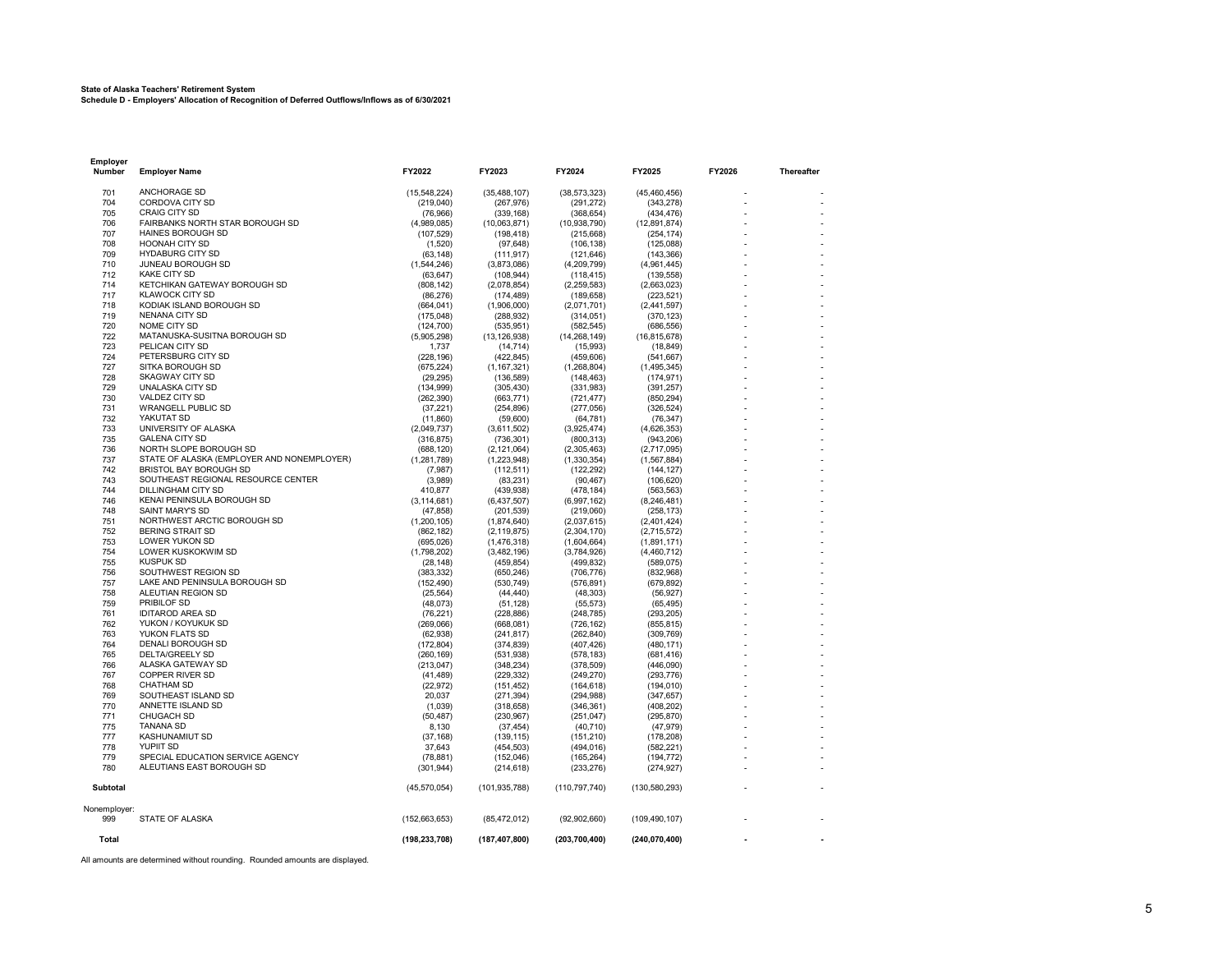#### **State of Alaska Teachers' Retirement System**

**Schedule D - Employers' Allocation of Recognition of Deferred Outflows/Inflows as of 6/30/2021**

| Employer<br>Number  | <b>Employer Name</b>                                  | FY2022                    | FY2023                       | FY2024                     | FY2025                      | FY2026 | Thereafter |
|---------------------|-------------------------------------------------------|---------------------------|------------------------------|----------------------------|-----------------------------|--------|------------|
| 701                 | ANCHORAGE SD                                          | (15,548,224)              | (35, 488, 107)               | (38, 573, 323)             | (45, 460, 456)              |        |            |
| 704                 | <b>CORDOVA CITY SD</b>                                | (219, 040)                | (267, 976)                   | (291, 272)                 | (343, 278)                  |        |            |
| 705                 | CRAIG CITY SD                                         | (76,966)                  | (339, 168)                   | (368, 654)                 | (434, 476)                  |        |            |
| 706                 | FAIRBANKS NORTH STAR BOROUGH SD                       | (4,989,085)               | (10,063,871)                 | (10, 938, 790)             | (12,891,874)                |        |            |
| 707                 | <b>HAINES BOROUGH SD</b>                              | (107, 529)                | (198, 418)                   | (215, 668)                 | (254, 174)                  |        |            |
| 708<br>709          | <b>HOONAH CITY SD</b><br><b>HYDABURG CITY SD</b>      | (1,520)                   | (97, 648)                    | (106, 138)                 | (125,088)                   |        |            |
| 710                 | JUNEAU BOROUGH SD                                     | (63, 148)<br>(1,544,246)  | (111, 917)<br>(3,873,086)    | (121, 646)<br>(4,209,799)  | (143, 366)<br>(4,961,445)   |        |            |
| 712                 | <b>KAKE CITY SD</b>                                   | (63, 647)                 | (108, 944)                   | (118, 415)                 | (139, 558)                  |        |            |
| 714                 | KETCHIKAN GATEWAY BOROUGH SD                          | (808, 142)                | (2,078,854)                  | (2, 259, 583)              | (2,663,023)                 |        |            |
| 717                 | <b>KLAWOCK CITY SD</b>                                | (86, 276)                 | (174, 489)                   | (189, 658)                 | (223, 521)                  |        |            |
| 718                 | KODIAK ISLAND BOROUGH SD                              | (664, 041)                | (1,906,000)                  | (2,071,701)                | (2,441,597)                 |        |            |
| 719                 | NENANA CITY SD                                        | (175, 048)                | (288, 932)                   | (314, 051)                 | (370, 123)                  |        |            |
| 720<br>722          | NOME CITY SD<br>MATANUSKA-SUSITNA BOROUGH SD          | (124, 700)<br>(5,905,298) | (535, 951)<br>(13, 126, 938) | (582, 545)                 | (686, 556)                  |        |            |
| 723                 | PELICAN CITY SD                                       | 1,737                     | (14, 714)                    | (14, 268, 149)<br>(15,993) | (16, 815, 678)<br>(18, 849) |        |            |
| 724                 | PETERSBURG CITY SD                                    | (228, 196)                | (422, 845)                   | (459, 606)                 | (541, 667)                  |        |            |
| 727                 | SITKA BOROUGH SD                                      | (675, 224)                | (1, 167, 321)                | (1,268,804)                | (1,495,345)                 |        |            |
| 728                 | <b>SKAGWAY CITY SD</b>                                | (29, 295)                 | (136, 589)                   | (148, 463)                 | (174.971)                   |        |            |
| 729                 | UNALASKA CITY SD                                      | (134, 999)                | (305, 430)                   | (331,983)                  | (391, 257)                  |        |            |
| 730                 | VALDEZ CITY SD                                        | (262, 390)                | (663, 771)                   | (721, 477)                 | (850, 294)                  |        |            |
| 731                 | <b>WRANGELL PUBLIC SD</b>                             | (37, 221)                 | (254, 896)                   | (277,056)                  | (326, 524)                  |        |            |
| 732<br>733          | YAKUTAT SD<br>UNIVERSITY OF ALASKA                    | (11, 860)                 | (59,600)                     | (64, 781)                  | (76, 347)                   |        |            |
| 735                 | <b>GALENA CITY SD</b>                                 | (2,049,737)<br>(316, 875) | (3,611,502)<br>(736, 301)    | (3,925,474)<br>(800, 313)  | (4,626,353)<br>(943, 206)   |        |            |
| 736                 | NORTH SLOPE BOROUGH SD                                | (688, 120)                | (2, 121, 064)                | (2,305,463)                | (2,717,095)                 |        |            |
| 737                 | STATE OF ALASKA (EMPLOYER AND NONEMPLOYER)            | (1, 281, 789)             | (1,223,948)                  | (1,330,354)                | (1, 567, 884)               |        |            |
| 742                 | BRISTOL BAY BOROUGH SD                                | (7,987)                   | (112, 511)                   | (122, 292)                 | (144, 127)                  |        |            |
| 743                 | SOUTHEAST REGIONAL RESOURCE CENTER                    | (3,989)                   | (83, 231)                    | (90, 467)                  | (106, 620)                  |        |            |
| 744                 | DILLINGHAM CITY SD                                    | 410,877                   | (439, 938)                   | (478, 184)                 | (563, 563)                  |        |            |
| 746                 | KENAI PENINSULA BOROUGH SD                            | (3, 114, 681)             | (6,437,507)                  | (6,997,162)                | (8,246,481)                 |        |            |
| 748<br>751          | <b>SAINT MARY'S SD</b><br>NORTHWEST ARCTIC BOROUGH SD | (47, 858)<br>(1,200,105)  | (201, 539)<br>(1,874,640)    | (219,060)<br>(2,037,615)   | (258, 173)<br>(2,401,424)   |        |            |
| 752                 | <b>BERING STRAIT SD</b>                               | (862, 182)                | (2, 119, 875)                | (2,304,170)                | (2,715,572)                 |        |            |
| 753                 | LOWER YUKON SD                                        | (695, 026)                | (1,476,318)                  | (1,604,664)                | (1,891,171)                 |        |            |
| 754                 | LOWER KUSKOKWIM SD                                    | (1,798,202)               | (3,482,196)                  | (3,784,926)                | (4,460,712)                 |        |            |
| 755                 | <b>KUSPUK SD</b>                                      | (28, 148)                 | (459, 854)                   | (499, 832)                 | (589, 075)                  |        |            |
| 756                 | SOUTHWEST REGION SD                                   | (383, 332)                | (650.246)                    | (706, 776)                 | (832.968)                   |        |            |
| 757                 | LAKE AND PENINSULA BOROUGH SD                         | (152, 490)                | (530, 749)                   | (576, 891)                 | (679, 892)                  |        |            |
| 758                 | ALEUTIAN REGION SD<br>PRIBILOF SD                     | (25, 564)                 | (44, 440)                    | (48, 303)                  | (56, 927)                   |        |            |
| 759<br>761          | <b>IDITAROD AREA SD</b>                               | (48, 073)<br>(76, 221)    | (51, 128)<br>(228, 886)      | (55, 573)<br>(248, 785)    | (65, 495)<br>(293, 205)     |        |            |
| 762                 | YUKON / KOYUKUK SD                                    | (269,066)                 | (668, 081)                   | (726, 162)                 | (855, 815)                  |        |            |
| 763                 | YUKON FLATS SD                                        | (62, 938)                 | (241, 817)                   | (262, 840)                 | (309, 769)                  |        |            |
| 764                 | DENALI BOROUGH SD                                     | (172, 804)                | (374, 839)                   | (407, 426)                 | (480, 171)                  |        |            |
| 765                 | DELTA/GREELY SD                                       | (260, 169)                | (531, 938)                   | (578, 183)                 | (681, 416)                  |        |            |
| 766                 | ALASKA GATEWAY SD                                     | (213, 047)                | (348, 234)                   | (378, 509)                 | (446,090)                   |        |            |
| 767                 | <b>COPPER RIVER SD</b>                                | (41, 489)                 | (229, 332)                   | (249, 270)                 | (293, 776)                  |        |            |
| 768                 | <b>CHATHAM SD</b>                                     | (22, 972)                 | (151, 452)                   | (164, 618)                 | (194, 010)                  |        |            |
| 769<br>770          | SOUTHEAST ISLAND SD<br>ANNETTE ISLAND SD              | 20.037<br>(1,039)         | (271, 394)<br>(318, 658)     | (294, 988)<br>(346, 361)   | (347, 657)<br>(408, 202)    |        |            |
| 771                 | CHUGACH SD                                            | (50, 487)                 | (230, 967)                   | (251, 047)                 | (295, 870)                  |        |            |
| 775                 | <b>TANANA SD</b>                                      | 8,130                     | (37, 454)                    | (40, 710)                  | (47, 979)                   |        |            |
| 777                 | KASHUNAMIUT SD                                        | (37, 168)                 | (139, 115)                   | (151, 210)                 | (178, 208)                  |        |            |
| 778                 | YUPIIT SD                                             | 37,643                    | (454, 503)                   | (494, 016)                 | (582, 221)                  |        |            |
| 779                 | SPECIAL EDUCATION SERVICE AGENCY                      | (78, 881)                 | (152,046)                    | (165, 264)                 | (194, 772)                  |        |            |
| 780                 | ALEUTIANS EAST BOROUGH SD                             | (301, 944)                | (214, 618)                   | (233, 276)                 | (274, 927)                  |        |            |
| Subtotal            |                                                       | (45, 570, 054)            | (101, 935, 788)              | (110, 797, 740)            | (130, 580, 293)             |        |            |
| Nonemployer:<br>999 | STATE OF ALASKA                                       |                           |                              |                            |                             |        |            |
|                     |                                                       | (152, 663, 653)           | (85, 472, 012)               | (92,902,660)               | (109, 490, 107)             |        |            |
| Total               |                                                       | (198, 233, 708)           | (187, 407, 800)              | (203, 700, 400)            | (240, 070, 400)             |        |            |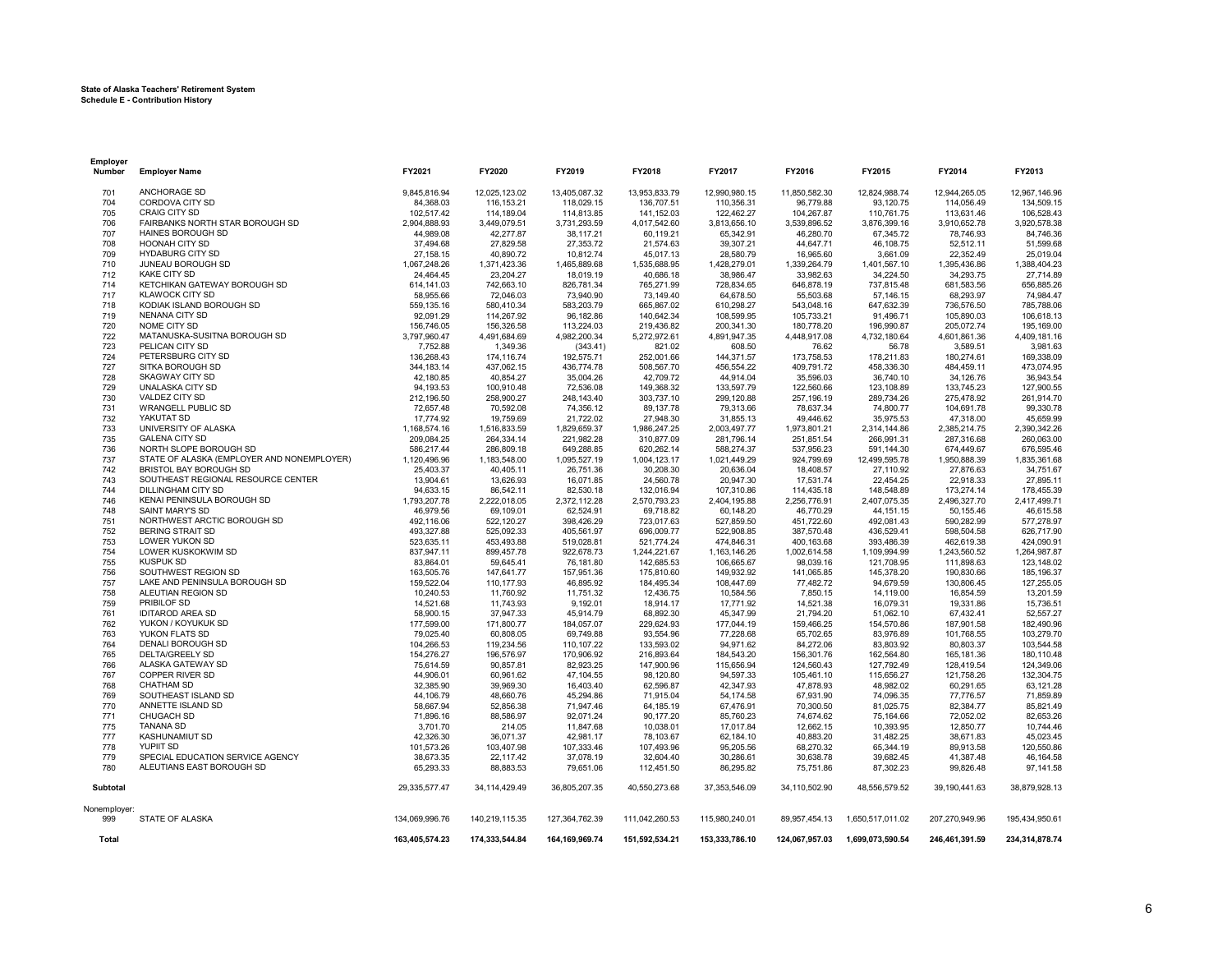#### **State of Alaska Teachers' Retirement System Schedule E - Contribution History**

**Employer**

| Number              | <b>Employer Name</b>                       | FY2021         | FY2020         | FY2019            | FY2018         | FY2017          | FY2016         | FY2015           | FY2014         | FY2013         |
|---------------------|--------------------------------------------|----------------|----------------|-------------------|----------------|-----------------|----------------|------------------|----------------|----------------|
| 701                 | ANCHORAGE SD                               | 9.845.816.94   | 12.025.123.02  | 13,405,087.32     | 13,953,833.79  | 12,990,980.15   | 11.850.582.30  | 12.824.988.74    | 12.944.265.05  | 12,967,146.96  |
| 704                 | CORDOVA CITY SD                            | 84,368.03      | 116, 153.21    | 118,029.15        | 136,707.51     | 110,356.31      | 96,779.88      | 93,120.75        | 114,056.49     | 134,509.15     |
| 705                 | CRAIG CITY SD                              | 102,517.42     | 114,189.04     | 114,813.85        | 141,152.03     | 122,462.27      | 104,267.87     | 110,761.75       | 113,631.46     | 106,528.43     |
| 706                 | FAIRBANKS NORTH STAR BOROUGH SD            | 2,904,888.93   | 3,449,079.51   | 3,731,293.59      | 4,017,542.60   | 3,813,656.10    | 3,539,896.52   | 3,876,399.16     | 3,910,652.78   | 3,920,578.38   |
| 707                 | HAINES BOROUGH SD                          | 44,989.08      | 42,277.87      | 38,117.21         | 60,119.21      | 65,342.91       | 46,280.70      | 67,345.72        | 78,746.93      | 84,746.36      |
| 708                 | HOONAH CITY SD                             | 37,494.68      | 27,829.58      | 27,353.72         | 21,574.63      | 39,307.21       | 44,647.71      | 46,108.75        | 52,512.11      | 51,599.68      |
| 709                 | <b>HYDABURG CITY SD</b>                    | 27,158.15      | 40,890.72      | 10,812.74         | 45,017.13      | 28,580.79       | 16,965.60      | 3,661.09         | 22,352.49      | 25,019.04      |
| 710                 | JUNEAU BOROUGH SD                          | 1,067,248.26   | 1,371,423.36   | 1,465,889.68      | 1,535,688.95   | 1,428,279.01    | 1,339,264.79   | 1,401,567.10     | 1,395,436.86   | 1,388,404.23   |
| 712                 | <b>KAKE CITY SD</b>                        | 24,464.45      | 23,204.27      | 18,019.19         | 40,686.18      | 38,986.47       | 33,982.63      | 34,224.50        | 34,293.75      | 27,714.89      |
| 714                 | KETCHIKAN GATEWAY BOROUGH SD               | 614,141.03     | 742,663.10     | 826,781.34        | 765,271.99     | 728,834.65      | 646,878.19     | 737,815.48       | 681,583.56     | 656,885.26     |
| 717                 | <b>KLAWOCK CITY SD</b>                     | 58,955.66      | 72,046.03      | 73,940.90         | 73,149.40      | 64,678.50       | 55,503.68      | 57,146.15        | 68,293.97      | 74,984.47      |
| 718                 | KODIAK ISLAND BOROUGH SD                   | 559,135.16     | 580,410.34     | 583,203.79        | 665,867.02     | 610,298.27      | 543,048.16     | 647,632.39       | 736,576.50     | 785,788.06     |
| 719                 | NENANA CITY SD                             | 92,091.29      | 114,267.92     | 96,182.86         | 140,642.34     | 108,599.95      | 105,733.21     | 91,496.71        | 105,890.03     | 106,618.13     |
| 720                 | NOME CITY SD                               | 156,746.05     | 156,326.58     | 113,224.03        | 219,436.82     | 200,341.30      | 180,778.20     | 196,990.87       | 205,072.74     | 195,169.00     |
| 722                 | MATANUSKA-SUSITNA BOROUGH SD               | 3,797,960.47   | 4,491,684.69   | 4,982,200.34      | 5,272,972.61   | 4,891,947.35    | 4,448,917.08   | 4,732,180.64     | 4,601,861.36   | 4,409,181.16   |
| 723                 | PELICAN CITY SD                            | 7,752.88       | 1,349.36       | (343.41)          | 821.02         | 608.50          | 76.62          | 56.78            | 3,589.51       | 3,981.63       |
| 724                 | PETERSBURG CITY SD                         | 136,268.43     | 174,116.74     | 192,575.71        | 252,001.66     | 144,371.57      | 173,758.53     | 178,211.83       | 180,274.61     | 169,338.09     |
| 727                 | SITKA BOROUGH SD                           | 344, 183. 14   | 437,062.15     | 436,774.78        | 508,567.70     | 456,554.22      | 409,791.72     | 458,336.30       | 484,459.11     | 473,074.95     |
| 728                 | <b>SKAGWAY CITY SD</b>                     | 42,180.85      | 40,854.27      | 35,004.26         | 42,709.72      | 44,914.04       | 35,596.03      | 36,740.10        | 34,126.76      | 36,943.54      |
| 729                 | UNALASKA CITY SD                           | 94,193.53      | 100,910.48     | 72,536.08         | 149,368.32     | 133,597.79      | 122,560.66     | 123,108.89       | 133,745.23     | 127,900.55     |
| 730                 | VALDEZ CITY SD                             | 212,196.50     | 258.900.27     | 248.143.40        | 303.737.10     | 299,120.88      | 257,196.19     | 289,734.26       | 275,478.92     | 261,914.70     |
| 731                 | <b>WRANGELL PUBLIC SD</b>                  | 72,657.48      | 70,592.08      | 74,356.12         | 89,137.78      | 79,313.66       | 78,637.34      | 74,800.77        | 104,691.78     | 99,330.78      |
| 732                 | YAKUTAT SD                                 | 17,774.92      | 19,759.69      | 21,722.02         | 27,948.30      | 31,855.13       | 49,446.62      | 35,975.53        | 47,318.00      | 45,659.99      |
| 733                 | UNIVERSITY OF ALASKA                       | 1,168,574.16   | 1,516,833.59   | 1,829,659.37      | 1,986,247.25   | 2,003,497.77    | 1,973,801.21   | 2,314,144.86     | 2,385,214.75   | 2,390,342.26   |
| 735                 | <b>GALENA CITY SD</b>                      | 209,084.25     | 264.334.14     | 221,982.28        | 310,877.09     | 281,796.14      | 251,851.54     | 266,991.31       | 287,316.68     | 260,063.00     |
| 736                 | NORTH SLOPE BOROUGH SD                     | 586,217.44     | 286,809.18     | 649,288.85        | 620,262.14     | 588,274.37      | 537,956.23     | 591,144.30       | 674,449.67     | 676,595.46     |
| 737                 | STATE OF ALASKA (EMPLOYER AND NONEMPLOYER) | 1,120,496.96   | 1,183,548.00   | 1,095,527.19      | 1,004,123.17   | 1,021,449.29    | 924,799.69     | 12,499,595.78    | 1,950,888.39   | 1,835,361.68   |
| 742                 | BRISTOL BAY BOROUGH SD                     | 25,403.37      | 40.405.11      | 26.751.36         | 30.208.30      | 20,636.04       | 18.408.57      | 27.110.92        | 27.876.63      | 34,751.67      |
| 743                 | SOUTHEAST REGIONAL RESOURCE CENTER         | 13,904.61      | 13,626.93      | 16,071.85         | 24,560.78      | 20,947.30       | 17,531.74      | 22,454.25        | 22,918.33      | 27,895.11      |
| 744                 | DILLINGHAM CITY SD                         | 94.633.15      | 86.542.11      | 82.530.18         | 132,016.94     | 107,310.86      | 114,435.18     | 148,548.89       | 173,274.14     | 178,455.39     |
| 746                 | KENAI PENINSULA BOROUGH SD                 | 1,793,207.78   | 2,222,018.05   | 2,372,112.28      | 2,570,793.23   | 2,404,195.88    | 2,256,776.91   | 2,407,075.35     | 2,496,327.70   | 2,417,499.71   |
| 748                 | SAINT MARY'S SD                            | 46,979.56      | 69,109.01      | 62,524.91         | 69,718.82      | 60,148.20       | 46,770.29      | 44, 151. 15      | 50,155.46      | 46,615.58      |
| 751                 | NORTHWEST ARCTIC BOROUGH SD                | 492.116.06     | 522,120.27     | 398.426.29        | 723,017.63     | 527,859.50      | 451,722.60     | 492,081.43       | 590.282.99     | 577,278.97     |
| 752                 | <b>BERING STRAIT SD</b>                    | 493,327.88     | 525,092.33     | 405,561.97        | 696,009.77     | 522,908.85      | 387,570.48     | 436,529.41       | 598,504.58     | 626,717.90     |
| 753                 | LOWER YUKON SD                             | 523,635.11     | 453.493.88     | 519,028.81        | 521,774.24     | 474,846.31      | 400,163.68     | 393,486.39       | 462.619.38     | 424,090.91     |
| 754                 | LOWER KUSKOKWIM SD                         | 837,947.11     | 899,457.78     | 922,678.73        | 1,244,221.67   | 1,163,146.26    | 1,002,614.58   | 1,109,994.99     | 1,243,560.52   | 1,264,987.87   |
| 755                 | <b>KUSPUK SD</b>                           | 83,864.01      | 59,645.41      | 76,181.80         | 142,685.53     | 106,665.67      | 98,039.16      | 121,708.95       | 111,898.63     | 123,148.02     |
| 756                 | SOUTHWEST REGION SD                        | 163,505.76     | 147,641.77     | 157,951.36        | 175,810.60     | 149,932.92      | 141,065.85     | 145,378.20       | 190,830.66     | 185,196.37     |
| 757                 | LAKE AND PENINSULA BOROUGH SD              | 159,522.04     | 110,177.93     | 46,895.92         | 184,495.34     | 108,447.69      | 77,482.72      | 94,679.59        | 130,806.45     | 127,255.05     |
| 758                 | ALEUTIAN REGION SD                         | 10,240.53      | 11,760.92      | 11,751.32         | 12,436.75      | 10,584.56       | 7,850.15       | 14,119.00        | 16,854.59      | 13,201.59      |
| 759                 | PRIBILOF SD                                | 14,521.68      | 11,743.93      | 9,192.01          | 18,914.17      | 17,771.92       | 14,521.38      | 16,079.31        | 19,331.86      | 15,736.51      |
| 761                 | <b>IDITAROD AREA SD</b>                    | 58,900.15      | 37,947.33      | 45,914.79         | 68,892.30      | 45,347.99       | 21,794.20      | 51,062.10        | 67,432.41      | 52,557.27      |
| 762                 | YUKON / KOYUKUK SD                         | 177,599.00     | 171,800.77     | 184,057.07        | 229,624.93     | 177,044.19      | 159,466.25     | 154,570.86       | 187,901.58     | 182,490.96     |
| 763                 | YUKON FLATS SD                             | 79,025.40      | 60,808.05      | 69,749.88         | 93,554.96      | 77,228.68       | 65,702.65      | 83,976.89        | 101,768.55     | 103,279.70     |
| 764                 | DENALI BOROUGH SD                          | 104,266.53     | 119,234.56     | 110,107.22        | 133,593.02     | 94,971.62       | 84,272.06      | 83,803.92        | 80,803.37      | 103,544.58     |
| 765                 | DELTA/GREELY SD                            | 154,276.27     | 196,576.97     | 170,906.92        | 216,893.64     | 184,543.20      | 156,301.76     | 162,564.80       | 165, 181.36    | 180,110.48     |
| 766                 | ALASKA GATEWAY SD                          | 75,614.59      | 90.857.81      | 82.923.25         | 147,900.96     | 115.656.94      | 124,560.43     | 127,792.49       | 128,419.54     | 124,349.06     |
| 767                 | COPPER RIVER SD                            | 44,906.01      | 60,961.62      | 47,104.55         | 98,120.80      | 94,597.33       | 105,461.10     | 115,656.27       | 121,758.26     | 132,304.75     |
| 768                 | CHATHAM SD                                 | 32,385.90      | 39,969.30      | 16.403.40         | 62,596.87      | 42,347.93       | 47,878.93      | 48,982.02        | 60,291.65      | 63,121.28      |
| 769                 | SOUTHEAST ISLAND SD                        | 44,106.79      | 48,660.76      | 45,294.86         | 71,915.04      | 54,174.58       | 67,931.90      | 74,096.35        | 77,776.57      | 71,859.89      |
| 770                 | ANNETTE ISLAND SD                          | 58,667.94      | 52,856.38      | 71,947.46         | 64,185.19      | 67,476.91       | 70,300.50      | 81,025.75        | 82,384.77      | 85,821.49      |
| 771                 | CHUGACH SD                                 | 71,896.16      | 88,586.97      | 92,071.24         | 90,177.20      | 85,760.23       | 74,674.62      | 75,164.66        | 72,052.02      | 82,653.26      |
| 775                 | <b>TANANA SD</b>                           | 3,701.70       | 214.05         | 11,847.68         | 10,038.01      | 17,017.84       | 12,662.15      | 10,393.95        | 12,850.77      | 10,744.46      |
| 777                 | <b>KASHUNAMIUT SD</b>                      | 42,326.30      | 36.071.37      | 42.981.17         | 78,103.67      | 62,184.10       | 40,883.20      | 31,482.25        | 38,671.83      | 45.023.45      |
| 778                 | YUPIIT SD                                  | 101,573.26     | 103,407.98     | 107,333.46        | 107,493.96     | 95,205.56       | 68,270.32      | 65,344.19        | 89,913.58      | 120,550.86     |
| 779                 | SPECIAL EDUCATION SERVICE AGENCY           | 38,673.35      | 22.117.42      | 37.078.19         | 32,604.40      | 30,286.61       | 30,638.78      | 39,682.45        | 41,387.48      | 46.164.58      |
| 780                 | ALEUTIANS EAST BOROUGH SD                  | 65,293.33      | 88,883.53      | 79,651.06         | 112,451.50     | 86,295.82       | 75,751.86      | 87,302.23        | 99,826.48      | 97,141.58      |
|                     |                                            |                |                |                   |                |                 |                |                  |                |                |
| Subtotal            |                                            | 29,335,577.47  | 34,114,429.49  | 36,805,207.35     | 40,550,273.68  | 37, 353, 546.09 | 34,110,502.90  | 48,556,579.52    | 39,190,441.63  | 38,879,928.13  |
| Nonemployer:<br>999 | STATE OF ALASKA                            | 134,069,996.76 | 140,219,115.35 | 127,364,762.39    | 111,042,260.53 | 115,980,240.01  | 89,957,454.13  | 1,650,517,011.02 | 207,270,949.96 | 195,434,950.61 |
|                     |                                            |                |                |                   |                |                 |                |                  |                |                |
| Total               |                                            | 163,405,574.23 | 174,333,544.84 | 164, 169, 969. 74 | 151,592,534.21 | 153,333,786.10  | 124,067,957.03 | 1,699,073,590.54 | 246,461,391.59 | 234,314,878.74 |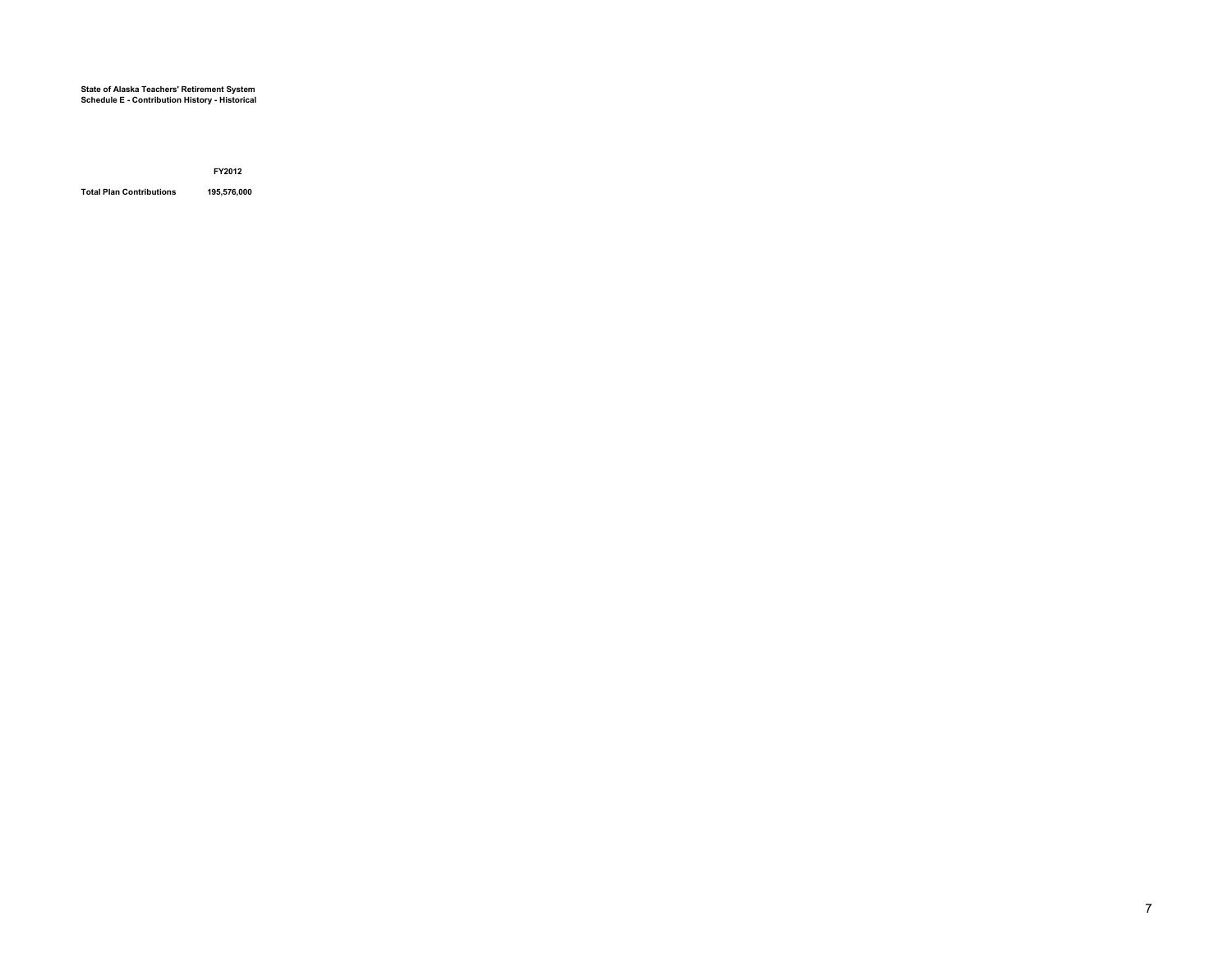#### **State of Alaska Teachers' Retirement System Schedule E - Contribution History - Historical**

**FY2012**

**Total Plan Contributions 195,576,000**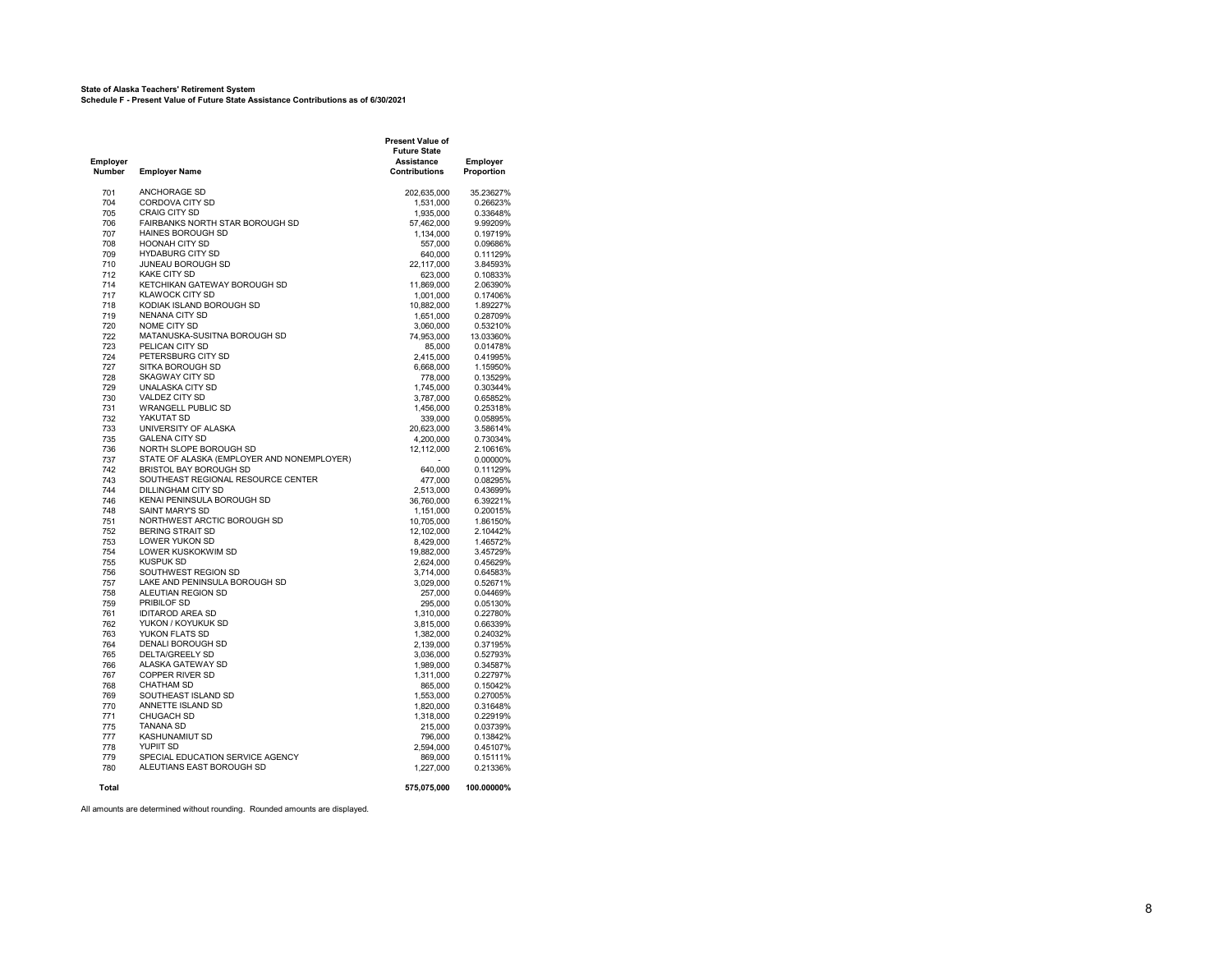#### **State of Alaska Teachers' Retirement System Schedule F - Present Value of Future State Assistance Contributions as of 6/30/2021**

| Employer<br>Number | <b>Employer Name</b>                         | Present Value of<br><b>Future State</b><br><b>Assistance</b><br><b>Contributions</b> | <b>Employer</b><br>Proportion |
|--------------------|----------------------------------------------|--------------------------------------------------------------------------------------|-------------------------------|
| 701                | ANCHORAGE SD                                 | 202,635,000                                                                          | 35.23627%                     |
| 704                | CORDOVA CITY SD                              | 1,531,000                                                                            | 0.26623%                      |
| 705                | <b>CRAIG CITY SD</b>                         | 1,935,000                                                                            | 0.33648%                      |
| 706                | FAIRBANKS NORTH STAR BOROUGH SD              | 57,462,000                                                                           | 9.99209%                      |
| 707                | <b>HAINES BOROUGH SD</b>                     | 1,134,000                                                                            | 0.19719%                      |
| 708                | <b>HOONAH CITY SD</b>                        | 557,000                                                                              | 0.09686%                      |
| 709                | <b>HYDABURG CITY SD</b>                      | 640,000                                                                              | 0.11129%                      |
| 710                | JUNEAU BOROUGH SD                            | 22,117,000                                                                           | 3.84593%                      |
| 712                | <b>KAKE CITY SD</b>                          | 623,000                                                                              | 0.10833%                      |
| 714                | KETCHIKAN GATEWAY BOROUGH SD                 | 11,869,000                                                                           | 2.06390%                      |
| 717                | KLAWOCK CITY SD                              | 1,001,000                                                                            | 0.17406%                      |
| 718                | KODIAK ISLAND BOROUGH SD                     | 10,882,000                                                                           | 1.89227%                      |
| 719                | NENANA CITY SD                               | 1,651,000                                                                            | 0.28709%                      |
| 720                | NOME CITY SD<br>MATANUSKA-SUSITNA BOROUGH SD | 3,060,000                                                                            | 0.53210%                      |
| 722<br>723         | PELICAN CITY SD                              | 74,953,000<br>85,000                                                                 | 13.03360%<br>0.01478%         |
| 724                | PETERSBURG CITY SD                           | 2,415,000                                                                            | 0.41995%                      |
| 727                | SITKA BOROUGH SD                             | 6,668,000                                                                            | 1.15950%                      |
| 728                | <b>SKAGWAY CITY SD</b>                       | 778,000                                                                              | 0.13529%                      |
| 729                | UNALASKA CITY SD                             | 1.745.000                                                                            | 0.30344%                      |
| 730                | VALDEZ CITY SD                               | 3,787,000                                                                            | 0.65852%                      |
| 731                | <b>WRANGELL PUBLIC SD</b>                    | 1,456,000                                                                            | 0.25318%                      |
| 732                | YAKUTAT SD                                   | 339,000                                                                              | 0.05895%                      |
| 733                | UNIVERSITY OF ALASKA                         | 20,623,000                                                                           | 3.58614%                      |
| 735                | <b>GALENA CITY SD</b>                        | 4,200,000                                                                            | 0.73034%                      |
| 736                | NORTH SLOPE BOROUGH SD                       | 12,112,000                                                                           | 2.10616%                      |
| 737                | STATE OF ALASKA (EMPLOYER AND NONEMPLOYER)   |                                                                                      | 0.00000%                      |
| 742                | BRISTOL BAY BOROUGH SD                       | 640,000                                                                              | 0.11129%                      |
| 743                | SOUTHEAST REGIONAL RESOURCE CENTER           | 477,000                                                                              | 0.08295%                      |
| 744                | DILLINGHAM CITY SD                           | 2,513,000                                                                            | 0.43699%                      |
| 746                | KENAI PENINSULA BOROUGH SD                   | 36,760,000                                                                           | 6.39221%                      |
| 748                | <b>SAINT MARY'S SD</b>                       | 1,151,000                                                                            | 0.20015%                      |
| 751                | NORTHWEST ARCTIC BOROUGH SD                  | 10,705,000                                                                           | 1.86150%                      |
| 752<br>753         | <b>BERING STRAIT SD</b><br>LOWER YUKON SD    | 12,102,000                                                                           | 2.10442%                      |
| 754                | LOWER KUSKOKWIM SD                           | 8,429,000<br>19,882,000                                                              | 1.46572%<br>3.45729%          |
| 755                | <b>KUSPUK SD</b>                             | 2,624,000                                                                            | 0.45629%                      |
| 756                | SOUTHWEST REGION SD                          | 3,714,000                                                                            | 0.64583%                      |
| 757                | LAKE AND PENINSULA BOROUGH SD                | 3,029,000                                                                            | 0.52671%                      |
| 758                | ALEUTIAN REGION SD                           | 257,000                                                                              | 0.04469%                      |
| 759                | PRIBILOF SD                                  | 295,000                                                                              | 0.05130%                      |
| 761                | <b>IDITAROD AREA SD</b>                      | 1,310,000                                                                            | 0.22780%                      |
| 762                | YUKON / KOYUKUK SD                           | 3,815,000                                                                            | 0.66339%                      |
| 763                | YUKON FLATS SD                               | 1,382,000                                                                            | 0.24032%                      |
| 764                | DENALI BOROUGH SD                            | 2,139,000                                                                            | 0.37195%                      |
| 765                | DELTA/GREELY SD                              | 3,036,000                                                                            | 0.52793%                      |
| 766                | ALASKA GATEWAY SD                            | 1,989,000                                                                            | 0.34587%                      |
| 767                | COPPER RIVER SD                              | 1,311,000                                                                            | 0.22797%                      |
| 768                | CHATHAM SD                                   | 865,000                                                                              | 0.15042%                      |
| 769                | SOUTHEAST ISLAND SD                          | 1,553,000                                                                            | 0.27005%                      |
| 770                | ANNETTE ISLAND SD                            | 1,820,000                                                                            | 0.31648%                      |
| 771                | <b>CHUGACH SD</b><br>TANANA SD               | 1,318,000                                                                            | 0.22919%                      |
| 775<br>777         | KASHUNAMIUT SD                               | 215,000<br>796,000                                                                   | 0.03739%<br>0.13842%          |
| 778                | YUPIIT SD                                    | 2,594,000                                                                            | 0.45107%                      |
| 779                | SPECIAL EDUCATION SERVICE AGENCY             | 869,000                                                                              | 0.15111%                      |
| 780                | ALEUTIANS EAST BOROUGH SD                    | 1,227,000                                                                            | 0.21336%                      |
| Total              |                                              | 575,075,000                                                                          | 100.00000%                    |
|                    |                                              |                                                                                      |                               |